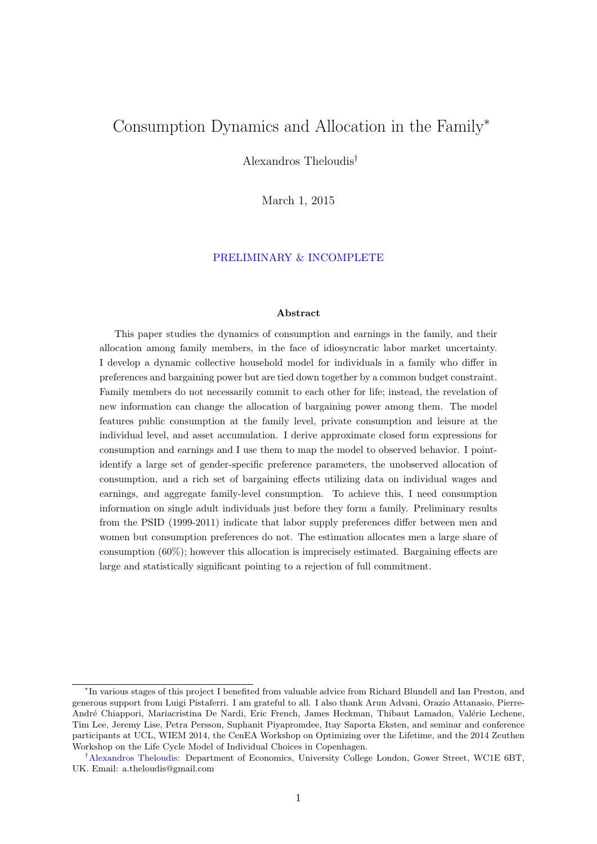## Consumption Dynamics and Allocation in the Family<sup>∗</sup>

Alexandros Theloudis†

March 1, 2015

#### PRELIMINARY & INCOMPLETE

#### Abstract

This paper studies the dynamics of consumption and earnings in the family, and their allocation among family members, in the face of idiosyncratic labor market uncertainty. I develop a dynamic collective household model for individuals in a family who differ in preferences and bargaining power but are tied down together by a common budget constraint. Family members do not necessarily commit to each other for life; instead, the revelation of new information can change the allocation of bargaining power among them. The model features public consumption at the family level, private consumption and leisure at the individual level, and asset accumulation. I derive approximate closed form expressions for consumption and earnings and I use them to map the model to observed behavior. I pointidentify a large set of gender-specific preference parameters, the unobserved allocation of consumption, and a rich set of bargaining effects utilizing data on individual wages and earnings, and aggregate family-level consumption. To achieve this, I need consumption information on single adult individuals just before they form a family. Preliminary results from the PSID (1999-2011) indicate that labor supply preferences differ between men and women but consumption preferences do not. The estimation allocates men a large share of consumption (60%); however this allocation is imprecisely estimated. Bargaining effects are large and statistically significant pointing to a rejection of full commitment.

<sup>∗</sup> In various stages of this project I benefited from valuable advice from Richard Blundell and Ian Preston, and generous support from Luigi Pistaferri. I am grateful to all. I also thank Arun Advani, Orazio Attanasio, Pierre-André Chiappori, Mariacristina De Nardi, Eric French, James Heckman, Thibaut Lamadon, Valérie Lechene, Tim Lee, Jeremy Lise, Petra Persson, Suphanit Piyapromdee, Itay Saporta Eksten, and seminar and conference participants at UCL, WIEM 2014, the CenEA Workshop on Optimizing over the Lifetime, and the 2014 Zeuthen Workshop on the Life Cycle Model of Individual Choices in Copenhagen.

<sup>†</sup>[Alexandros Theloudis:](http://www.ucl.ac.uk/~uctpalt/) Department of Economics, University College London, Gower Street, WC1E 6BT, UK. Email: a.theloudis@gmail.com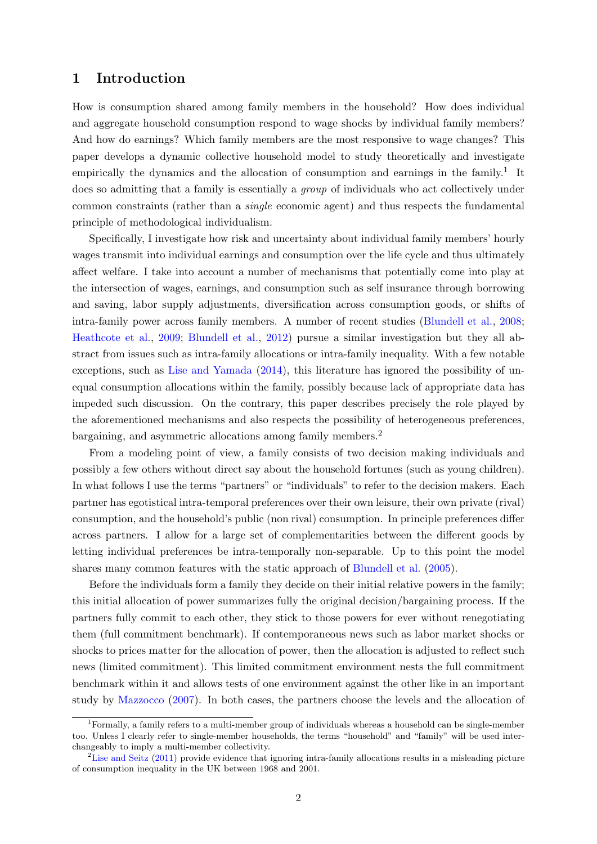## 1 Introduction

How is consumption shared among family members in the household? How does individual and aggregate household consumption respond to wage shocks by individual family members? And how do earnings? Which family members are the most responsive to wage changes? This paper develops a dynamic collective household model to study theoretically and investigate empirically the dynamics and the allocation of consumption and earnings in the family.<sup>1</sup> It does so admitting that a family is essentially a *group* of individuals who act collectively under common constraints (rather than a single economic agent) and thus respects the fundamental principle of methodological individualism.

Specifically, I investigate how risk and uncertainty about individual family members' hourly wages transmit into individual earnings and consumption over the life cycle and thus ultimately affect welfare. I take into account a number of mechanisms that potentially come into play at the intersection of wages, earnings, and consumption such as self insurance through borrowing and saving, labor supply adjustments, diversification across consumption goods, or shifts of intra-family power across family members. A number of recent studies [\(Blundell et al.,](#page-31-0) [2008;](#page-31-0) [Heathcote et al.,](#page-33-0) [2009;](#page-33-0) [Blundell et al.,](#page-32-0) [2012\)](#page-32-0) pursue a similar investigation but they all abstract from issues such as intra-family allocations or intra-family inequality. With a few notable exceptions, such as [Lise and Yamada](#page-33-1) [\(2014\)](#page-33-1), this literature has ignored the possibility of unequal consumption allocations within the family, possibly because lack of appropriate data has impeded such discussion. On the contrary, this paper describes precisely the role played by the aforementioned mechanisms and also respects the possibility of heterogeneous preferences, bargaining, and asymmetric allocations among family members.<sup>2</sup>

From a modeling point of view, a family consists of two decision making individuals and possibly a few others without direct say about the household fortunes (such as young children). In what follows I use the terms "partners" or "individuals" to refer to the decision makers. Each partner has egotistical intra-temporal preferences over their own leisure, their own private (rival) consumption, and the household's public (non rival) consumption. In principle preferences differ across partners. I allow for a large set of complementarities between the different goods by letting individual preferences be intra-temporally non-separable. Up to this point the model shares many common features with the static approach of [Blundell et al.](#page-31-1) [\(2005\)](#page-31-1).

Before the individuals form a family they decide on their initial relative powers in the family; this initial allocation of power summarizes fully the original decision/bargaining process. If the partners fully commit to each other, they stick to those powers for ever without renegotiating them (full commitment benchmark). If contemporaneous news such as labor market shocks or shocks to prices matter for the allocation of power, then the allocation is adjusted to reflect such news (limited commitment). This limited commitment environment nests the full commitment benchmark within it and allows tests of one environment against the other like in an important study by [Mazzocco](#page-34-0) [\(2007\)](#page-34-0). In both cases, the partners choose the levels and the allocation of

<sup>1</sup>Formally, a family refers to a multi-member group of individuals whereas a household can be single-member too. Unless I clearly refer to single-member households, the terms "household" and "family" will be used interchangeably to imply a multi-member collectivity.

<sup>&</sup>lt;sup>2</sup>[Lise and Seitz](#page-33-2) [\(2011\)](#page-33-2) provide evidence that ignoring intra-family allocations results in a misleading picture of consumption inequality in the UK between 1968 and 2001.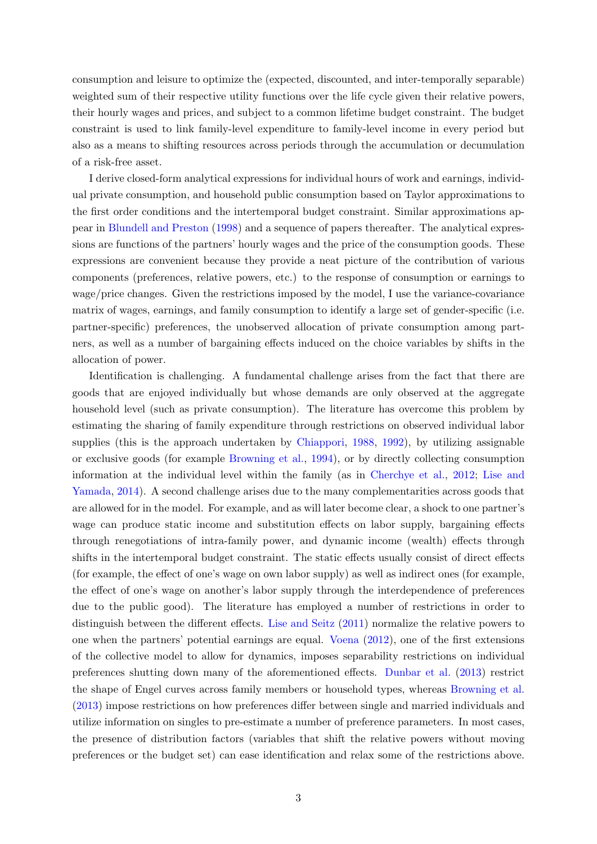consumption and leisure to optimize the (expected, discounted, and inter-temporally separable) weighted sum of their respective utility functions over the life cycle given their relative powers, their hourly wages and prices, and subject to a common lifetime budget constraint. The budget constraint is used to link family-level expenditure to family-level income in every period but also as a means to shifting resources across periods through the accumulation or decumulation of a risk-free asset.

I derive closed-form analytical expressions for individual hours of work and earnings, individual private consumption, and household public consumption based on Taylor approximations to the first order conditions and the intertemporal budget constraint. Similar approximations appear in [Blundell and Preston](#page-32-1) [\(1998\)](#page-32-1) and a sequence of papers thereafter. The analytical expressions are functions of the partners' hourly wages and the price of the consumption goods. These expressions are convenient because they provide a neat picture of the contribution of various components (preferences, relative powers, etc.) to the response of consumption or earnings to wage/price changes. Given the restrictions imposed by the model, I use the variance-covariance matrix of wages, earnings, and family consumption to identify a large set of gender-specific (i.e. partner-specific) preferences, the unobserved allocation of private consumption among partners, as well as a number of bargaining effects induced on the choice variables by shifts in the allocation of power.

Identification is challenging. A fundamental challenge arises from the fact that there are goods that are enjoyed individually but whose demands are only observed at the aggregate household level (such as private consumption). The literature has overcome this problem by estimating the sharing of family expenditure through restrictions on observed individual labor supplies (this is the approach undertaken by [Chiappori,](#page-32-2) [1988,](#page-32-2) [1992\)](#page-32-3), by utilizing assignable or exclusive goods (for example [Browning et al.,](#page-32-4) [1994\)](#page-32-4), or by directly collecting consumption information at the individual level within the family (as in [Cherchye et al.,](#page-32-5) [2012;](#page-32-5) [Lise and](#page-33-1) [Yamada,](#page-33-1) [2014\)](#page-33-1). A second challenge arises due to the many complementarities across goods that are allowed for in the model. For example, and as will later become clear, a shock to one partner's wage can produce static income and substitution effects on labor supply, bargaining effects through renegotiations of intra-family power, and dynamic income (wealth) effects through shifts in the intertemporal budget constraint. The static effects usually consist of direct effects (for example, the effect of one's wage on own labor supply) as well as indirect ones (for example, the effect of one's wage on another's labor supply through the interdependence of preferences due to the public good). The literature has employed a number of restrictions in order to distinguish between the different effects. [Lise and Seitz](#page-33-2) [\(2011\)](#page-33-2) normalize the relative powers to one when the partners' potential earnings are equal. [Voena](#page-34-1) [\(2012\)](#page-34-1), one of the first extensions of the collective model to allow for dynamics, imposes separability restrictions on individual preferences shutting down many of the aforementioned effects. [Dunbar et al.](#page-33-3) [\(2013\)](#page-33-3) restrict the shape of Engel curves across family members or household types, whereas [Browning et al.](#page-32-6) [\(2013\)](#page-32-6) impose restrictions on how preferences differ between single and married individuals and utilize information on singles to pre-estimate a number of preference parameters. In most cases, the presence of distribution factors (variables that shift the relative powers without moving preferences or the budget set) can ease identification and relax some of the restrictions above.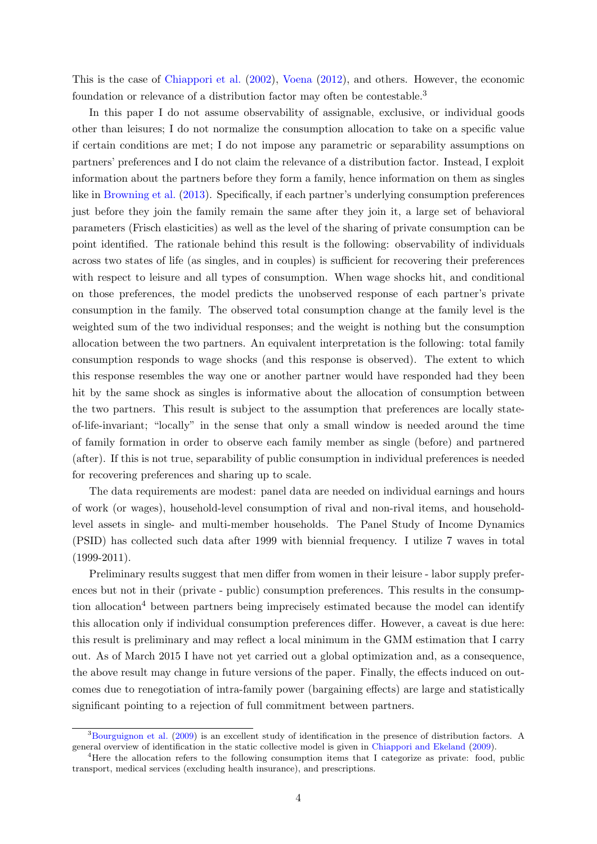This is the case of [Chiappori et al.](#page-33-4) [\(2002\)](#page-33-4), [Voena](#page-34-1) [\(2012\)](#page-34-1), and others. However, the economic foundation or relevance of a distribution factor may often be contestable.<sup>3</sup>

In this paper I do not assume observability of assignable, exclusive, or individual goods other than leisures; I do not normalize the consumption allocation to take on a specific value if certain conditions are met; I do not impose any parametric or separability assumptions on partners' preferences and I do not claim the relevance of a distribution factor. Instead, I exploit information about the partners before they form a family, hence information on them as singles like in [Browning et al.](#page-32-6) [\(2013\)](#page-32-6). Specifically, if each partner's underlying consumption preferences just before they join the family remain the same after they join it, a large set of behavioral parameters (Frisch elasticities) as well as the level of the sharing of private consumption can be point identified. The rationale behind this result is the following: observability of individuals across two states of life (as singles, and in couples) is sufficient for recovering their preferences with respect to leisure and all types of consumption. When wage shocks hit, and conditional on those preferences, the model predicts the unobserved response of each partner's private consumption in the family. The observed total consumption change at the family level is the weighted sum of the two individual responses; and the weight is nothing but the consumption allocation between the two partners. An equivalent interpretation is the following: total family consumption responds to wage shocks (and this response is observed). The extent to which this response resembles the way one or another partner would have responded had they been hit by the same shock as singles is informative about the allocation of consumption between the two partners. This result is subject to the assumption that preferences are locally stateof-life-invariant; "locally" in the sense that only a small window is needed around the time of family formation in order to observe each family member as single (before) and partnered (after). If this is not true, separability of public consumption in individual preferences is needed for recovering preferences and sharing up to scale.

The data requirements are modest: panel data are needed on individual earnings and hours of work (or wages), household-level consumption of rival and non-rival items, and householdlevel assets in single- and multi-member households. The Panel Study of Income Dynamics (PSID) has collected such data after 1999 with biennial frequency. I utilize 7 waves in total  $(1999-2011).$ 

Preliminary results suggest that men differ from women in their leisure - labor supply preferences but not in their (private - public) consumption preferences. This results in the consumption allocation<sup>4</sup> between partners being imprecisely estimated because the model can identify this allocation only if individual consumption preferences differ. However, a caveat is due here: this result is preliminary and may reflect a local minimum in the GMM estimation that I carry out. As of March 2015 I have not yet carried out a global optimization and, as a consequence, the above result may change in future versions of the paper. Finally, the effects induced on outcomes due to renegotiation of intra-family power (bargaining effects) are large and statistically significant pointing to a rejection of full commitment between partners.

<sup>3</sup>[Bourguignon et al.](#page-32-7) [\(2009\)](#page-32-7) is an excellent study of identification in the presence of distribution factors. A general overview of identification in the static collective model is given in [Chiappori and Ekeland](#page-33-5) [\(2009\)](#page-33-5).

<sup>4</sup>Here the allocation refers to the following consumption items that I categorize as private: food, public transport, medical services (excluding health insurance), and prescriptions.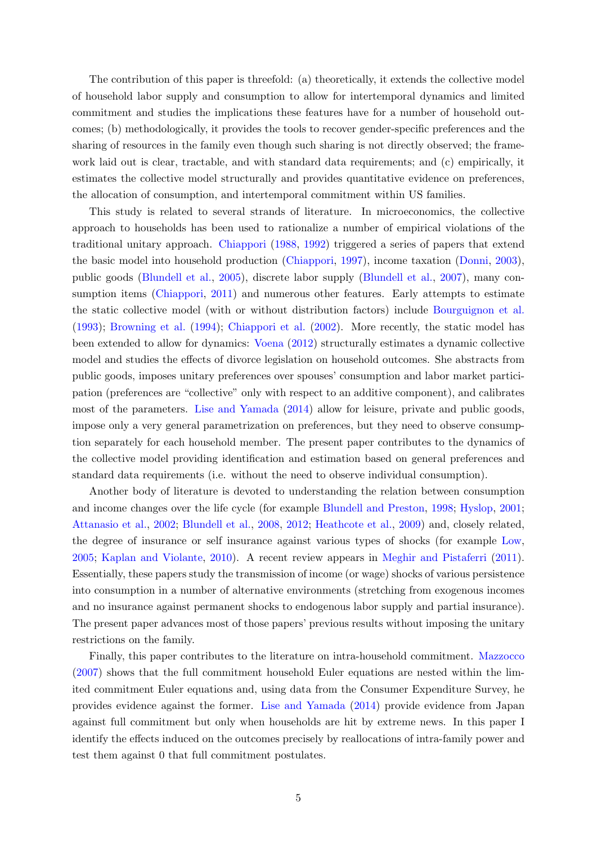The contribution of this paper is threefold: (a) theoretically, it extends the collective model of household labor supply and consumption to allow for intertemporal dynamics and limited commitment and studies the implications these features have for a number of household outcomes; (b) methodologically, it provides the tools to recover gender-specific preferences and the sharing of resources in the family even though such sharing is not directly observed; the framework laid out is clear, tractable, and with standard data requirements; and (c) empirically, it estimates the collective model structurally and provides quantitative evidence on preferences, the allocation of consumption, and intertemporal commitment within US families.

This study is related to several strands of literature. In microeconomics, the collective approach to households has been used to rationalize a number of empirical violations of the traditional unitary approach. [Chiappori](#page-32-2) [\(1988,](#page-32-2) [1992\)](#page-32-3) triggered a series of papers that extend the basic model into household production [\(Chiappori,](#page-32-8) [1997\)](#page-32-8), income taxation [\(Donni,](#page-33-6) [2003\)](#page-33-6), public goods [\(Blundell et al.,](#page-31-1) [2005\)](#page-31-1), discrete labor supply [\(Blundell et al.,](#page-31-2) [2007\)](#page-31-2), many con-sumption items [\(Chiappori,](#page-32-9) [2011\)](#page-32-9) and numerous other features. Early attempts to estimate the static collective model (with or without distribution factors) include [Bourguignon et al.](#page-32-10) [\(1993\)](#page-32-10); [Browning et al.](#page-32-4) [\(1994\)](#page-32-4); [Chiappori et al.](#page-33-4) [\(2002\)](#page-33-4). More recently, the static model has been extended to allow for dynamics: [Voena](#page-34-1) [\(2012\)](#page-34-1) structurally estimates a dynamic collective model and studies the effects of divorce legislation on household outcomes. She abstracts from public goods, imposes unitary preferences over spouses' consumption and labor market participation (preferences are "collective" only with respect to an additive component), and calibrates most of the parameters. [Lise and Yamada](#page-33-1) [\(2014\)](#page-33-1) allow for leisure, private and public goods, impose only a very general parametrization on preferences, but they need to observe consumption separately for each household member. The present paper contributes to the dynamics of the collective model providing identification and estimation based on general preferences and standard data requirements (i.e. without the need to observe individual consumption).

Another body of literature is devoted to understanding the relation between consumption and income changes over the life cycle (for example [Blundell and Preston,](#page-32-1) [1998;](#page-32-1) [Hyslop,](#page-33-7) [2001;](#page-33-7) [Attanasio et al.,](#page-31-3) [2002;](#page-31-3) [Blundell et al.,](#page-31-0) [2008,](#page-31-0) [2012;](#page-32-0) [Heathcote et al.,](#page-33-0) [2009\)](#page-33-0) and, closely related, the degree of insurance or self insurance against various types of shocks (for example [Low,](#page-34-2) [2005;](#page-34-2) [Kaplan and Violante,](#page-33-8) [2010\)](#page-33-8). A recent review appears in [Meghir and Pistaferri](#page-34-3) [\(2011\)](#page-34-3). Essentially, these papers study the transmission of income (or wage) shocks of various persistence into consumption in a number of alternative environments (stretching from exogenous incomes and no insurance against permanent shocks to endogenous labor supply and partial insurance). The present paper advances most of those papers' previous results without imposing the unitary restrictions on the family.

Finally, this paper contributes to the literature on intra-household commitment. [Mazzocco](#page-34-0) [\(2007\)](#page-34-0) shows that the full commitment household Euler equations are nested within the limited commitment Euler equations and, using data from the Consumer Expenditure Survey, he provides evidence against the former. [Lise and Yamada](#page-33-1) [\(2014\)](#page-33-1) provide evidence from Japan against full commitment but only when households are hit by extreme news. In this paper I identify the effects induced on the outcomes precisely by reallocations of intra-family power and test them against 0 that full commitment postulates.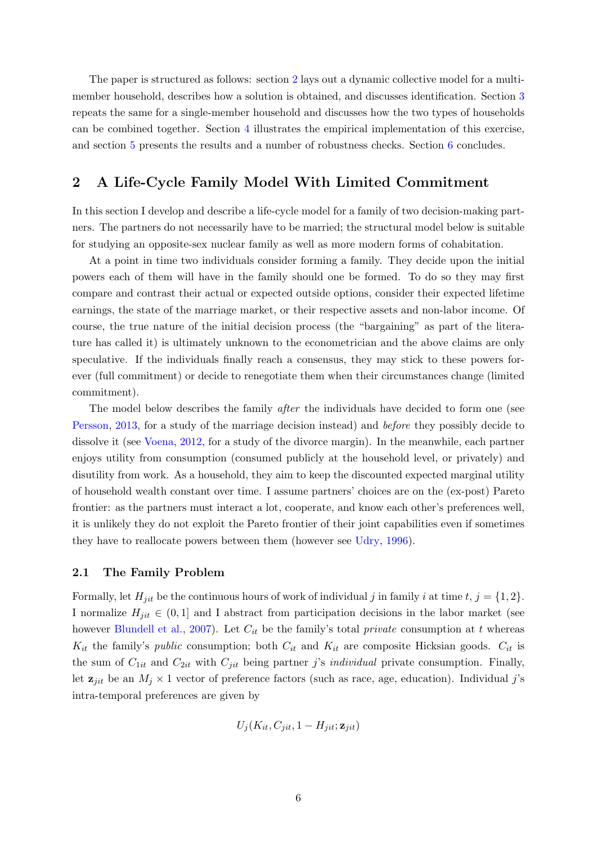The paper is structured as follows: section [2](#page-5-0) lays out a dynamic collective model for a multimember household, describes how a solution is obtained, and discusses identification. Section [3](#page-18-0) repeats the same for a single-member household and discusses how the two types of households can be combined together. Section [4](#page-21-0) illustrates the empirical implementation of this exercise, and section [5](#page-27-0) presents the results and a number of robustness checks. Section [6](#page-30-0) concludes.

## <span id="page-5-0"></span>2 A Life-Cycle Family Model With Limited Commitment

In this section I develop and describe a life-cycle model for a family of two decision-making partners. The partners do not necessarily have to be married; the structural model below is suitable for studying an opposite-sex nuclear family as well as more modern forms of cohabitation.

At a point in time two individuals consider forming a family. They decide upon the initial powers each of them will have in the family should one be formed. To do so they may first compare and contrast their actual or expected outside options, consider their expected lifetime earnings, the state of the marriage market, or their respective assets and non-labor income. Of course, the true nature of the initial decision process (the "bargaining" as part of the literature has called it) is ultimately unknown to the econometrician and the above claims are only speculative. If the individuals finally reach a consensus, they may stick to these powers forever (full commitment) or decide to renegotiate them when their circumstances change (limited commitment).

The model below describes the family *after* the individuals have decided to form one (see [Persson,](#page-34-4) [2013,](#page-34-4) for a study of the marriage decision instead) and before they possibly decide to dissolve it (see [Voena,](#page-34-1) [2012,](#page-34-1) for a study of the divorce margin). In the meanwhile, each partner enjoys utility from consumption (consumed publicly at the household level, or privately) and disutility from work. As a household, they aim to keep the discounted expected marginal utility of household wealth constant over time. I assume partners' choices are on the (ex-post) Pareto frontier: as the partners must interact a lot, cooperate, and know each other's preferences well, it is unlikely they do not exploit the Pareto frontier of their joint capabilities even if sometimes they have to reallocate powers between them (however see [Udry,](#page-34-5) [1996\)](#page-34-5).

#### <span id="page-5-1"></span>2.1 The Family Problem

Formally, let  $H_{jit}$  be the continuous hours of work of individual j in family i at time  $t, j = \{1, 2\}.$ I normalize  $H_{jit} \in (0,1]$  and I abstract from participation decisions in the labor market (see however [Blundell et al.,](#page-31-2) [2007\)](#page-31-2). Let  $C_{it}$  be the family's total *private* consumption at t whereas  $K_{it}$  the family's *public* consumption; both  $C_{it}$  and  $K_{it}$  are composite Hicksian goods.  $C_{it}$  is the sum of  $C_{1it}$  and  $C_{2it}$  with  $C_{jit}$  being partner j's *individual* private consumption. Finally, let  $z_{jit}$  be an  $M_j \times 1$  vector of preference factors (such as race, age, education). Individual j's intra-temporal preferences are given by

$$
U_j(K_{it}, C_{jit}, 1 - H_{jit}; \mathbf{z}_{jit})
$$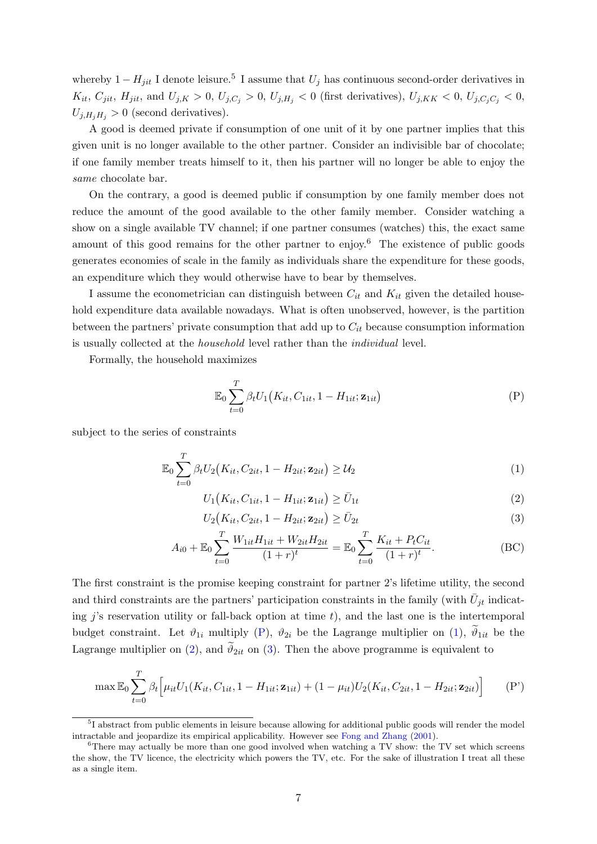whereby  $1 - H_{jit}$  I denote leisure.<sup>5</sup> I assume that  $U_j$  has continuous second-order derivatives in  $K_{it}, C_{jit}, H_{jit}, \text{ and } U_{j,K} > 0, U_{j,C_j} > 0, U_{j,H_j} < 0 \text{ (first derivatives)}, U_{j,KK} < 0, U_{j,C_j, C_j} < 0,$  $U_{j,H_jH_j} > 0$  (second derivatives).

A good is deemed private if consumption of one unit of it by one partner implies that this given unit is no longer available to the other partner. Consider an indivisible bar of chocolate; if one family member treats himself to it, then his partner will no longer be able to enjoy the same chocolate bar.

On the contrary, a good is deemed public if consumption by one family member does not reduce the amount of the good available to the other family member. Consider watching a show on a single available TV channel; if one partner consumes (watches) this, the exact same amount of this good remains for the other partner to enjoy.<sup>6</sup> The existence of public goods generates economies of scale in the family as individuals share the expenditure for these goods, an expenditure which they would otherwise have to bear by themselves.

I assume the econometrician can distinguish between  $C_{it}$  and  $K_{it}$  given the detailed household expenditure data available nowadays. What is often unobserved, however, is the partition between the partners' private consumption that add up to  $C_{it}$  because consumption information is usually collected at the household level rather than the individual level.

Formally, the household maximizes

<span id="page-6-1"></span><span id="page-6-0"></span>
$$
\mathbb{E}_0 \sum_{t=0}^T \beta_t U_1\big(K_{it}, C_{1it}, 1 - H_{1it}; \mathbf{z}_{1it}\big) \tag{P}
$$

subject to the series of constraints

$$
\mathbb{E}_0 \sum_{t=0}^T \beta_t U_2\big(K_{it}, C_{2it}, 1 - H_{2it}; \mathbf{z}_{2it}\big) \ge \mathcal{U}_2 \tag{1}
$$

<span id="page-6-2"></span>
$$
U_1(K_{it}, C_{1it}, 1 - H_{1it}; \mathbf{z}_{1it}) \ge \bar{U}_{1t}
$$
\n(2)

<span id="page-6-5"></span><span id="page-6-4"></span><span id="page-6-3"></span>
$$
U_2(K_{it}, C_{2it}, 1 - H_{2it}; \mathbf{z}_{2it}) \ge \bar{U}_{2t}
$$
\n(3)

$$
A_{i0} + \mathbb{E}_0 \sum_{t=0}^{T} \frac{W_{1it} H_{1it} + W_{2it} H_{2it}}{(1+r)^t} = \mathbb{E}_0 \sum_{t=0}^{T} \frac{K_{it} + P_t C_{it}}{(1+r)^t}.
$$
 (BC)

The first constraint is the promise keeping constraint for partner 2's lifetime utility, the second and third constraints are the partners' participation constraints in the family (with  $\bar{U}_{jt}$  indicating j's reservation utility or fall-back option at time  $t$ ), and the last one is the intertemporal budget constraint. Let  $\vartheta_{1i}$  multiply [\(P\)](#page-6-0),  $\vartheta_{2i}$  be the Lagrange multiplier on [\(1\)](#page-6-1),  $\widetilde{\vartheta}_{1it}$  be the Lagrange multiplier on [\(2\)](#page-6-2), and  $\vartheta_{2it}$  on [\(3\)](#page-6-3). Then the above programme is equivalent to

<span id="page-6-6"></span>
$$
\max \mathbb{E}_0 \sum_{t=0}^T \beta_t \Big[ \mu_{it} U_1(K_{it}, C_{1it}, 1 - H_{1it}; \mathbf{z}_{1it}) + (1 - \mu_{it}) U_2(K_{it}, C_{2it}, 1 - H_{2it}; \mathbf{z}_{2it}) \Big]
$$
 (P')

<sup>&</sup>lt;sup>5</sup>I abstract from public elements in leisure because allowing for additional public goods will render the model intractable and jeopardize its empirical applicability. However see [Fong and Zhang](#page-33-9) [\(2001\)](#page-33-9).

<sup>&</sup>lt;sup>6</sup>There may actually be more than one good involved when watching a TV show: the TV set which screens the show, the TV licence, the electricity which powers the TV, etc. For the sake of illustration I treat all these as a single item.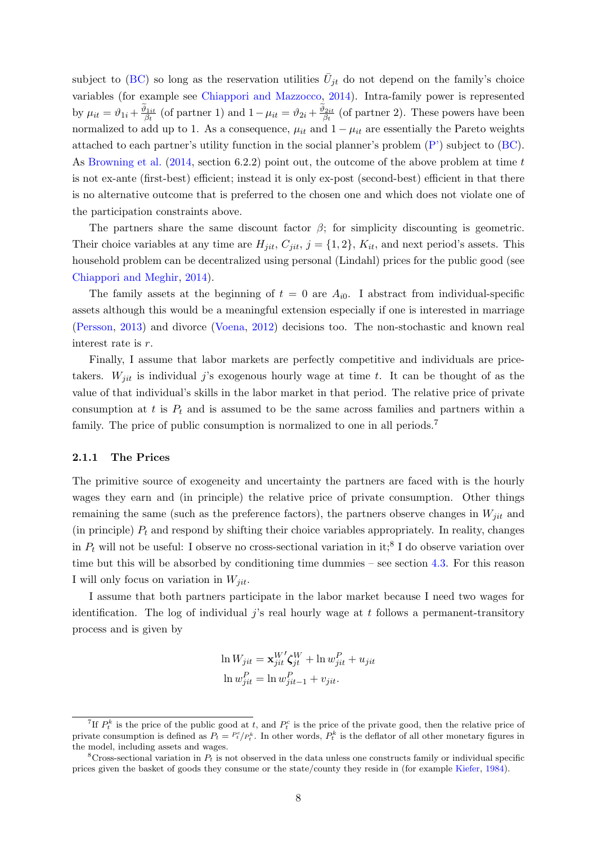subject to [\(BC\)](#page-6-4) so long as the reservation utilities  $\bar{U}_{jt}$  do not depend on the family's choice variables (for example see [Chiappori and Mazzocco,](#page-33-10) [2014\)](#page-33-10). Intra-family power is represented by  $\mu_{it} = \vartheta_{1i} + \frac{\vartheta_{1it}}{\beta_t}$  (of partner 1) and  $1 - \mu_{it} = \vartheta_{2i} + \frac{\vartheta_{2it}}{\beta_t}$  (of partner 2). These powers have been normalized to add up to 1. As a consequence,  $\mu_{it}$  and  $1 - \mu_{it}$  are essentially the Pareto weights attached to each partner's utility function in the social planner's problem [\(P'\)](#page-6-5) subject to [\(BC\)](#page-6-4). As [Browning et al.](#page-32-11) [\(2014,](#page-32-11) section 6.2.2) point out, the outcome of the above problem at time t is not ex-ante (first-best) efficient; instead it is only ex-post (second-best) efficient in that there is no alternative outcome that is preferred to the chosen one and which does not violate one of the participation constraints above.

The partners share the same discount factor  $\beta$ ; for simplicity discounting is geometric. Their choice variables at any time are  $H_{jit}$ ,  $C_{jit}$ ,  $j = \{1, 2\}$ ,  $K_{it}$ , and next period's assets. This household problem can be decentralized using personal (Lindahl) prices for the public good (see [Chiappori and Meghir,](#page-33-11) [2014\)](#page-33-11).

The family assets at the beginning of  $t = 0$  are  $A_{i0}$ . I abstract from individual-specific assets although this would be a meaningful extension especially if one is interested in marriage [\(Persson,](#page-34-4) [2013\)](#page-34-4) and divorce [\(Voena,](#page-34-1) [2012\)](#page-34-1) decisions too. The non-stochastic and known real interest rate is r.

Finally, I assume that labor markets are perfectly competitive and individuals are pricetakers.  $W_{ijt}$  is individual j's exogenous hourly wage at time t. It can be thought of as the value of that individual's skills in the labor market in that period. The relative price of private consumption at t is  $P_t$  and is assumed to be the same across families and partners within a family. The price of public consumption is normalized to one in all periods.<sup>7</sup>

#### 2.1.1 The Prices

The primitive source of exogeneity and uncertainty the partners are faced with is the hourly wages they earn and (in principle) the relative price of private consumption. Other things remaining the same (such as the preference factors), the partners observe changes in  $W_{jit}$  and (in principle)  $P_t$  and respond by shifting their choice variables appropriately. In reality, changes in  $P_t$  will not be useful: I observe no cross-sectional variation in it;<sup>8</sup> I do observe variation over time but this will be absorbed by conditioning time dummies – see section [4.3.](#page-25-0) For this reason I will only focus on variation in  $W_{ijt}$ .

I assume that both partners participate in the labor market because I need two wages for identification. The log of individual  $j$ 's real hourly wage at  $t$  follows a permanent-transitory process and is given by

$$
\ln W_{jit} = \mathbf{x}_{jit}^{W'} \boldsymbol{\zeta}_{jt}^{W} + \ln w_{jit}^{P} + u_{jit}
$$

$$
\ln w_{jit}^{P} = \ln w_{jit-1}^{P} + v_{jit}.
$$

<sup>&</sup>lt;sup>7</sup>If  $P_t^k$  is the price of the public good at t, and  $P_t^c$  is the price of the private good, then the relative price of private consumption is defined as  $P_t = \frac{P_t^c}{P_t^k}$ . In other words,  $P_t^k$  is the deflator of all other monetary figures in the model, including assets and wages.

 $8$ Cross-sectional variation in  $P_t$  is not observed in the data unless one constructs family or individual specific prices given the basket of goods they consume or the state/county they reside in (for example [Kiefer,](#page-33-12) [1984\)](#page-33-12).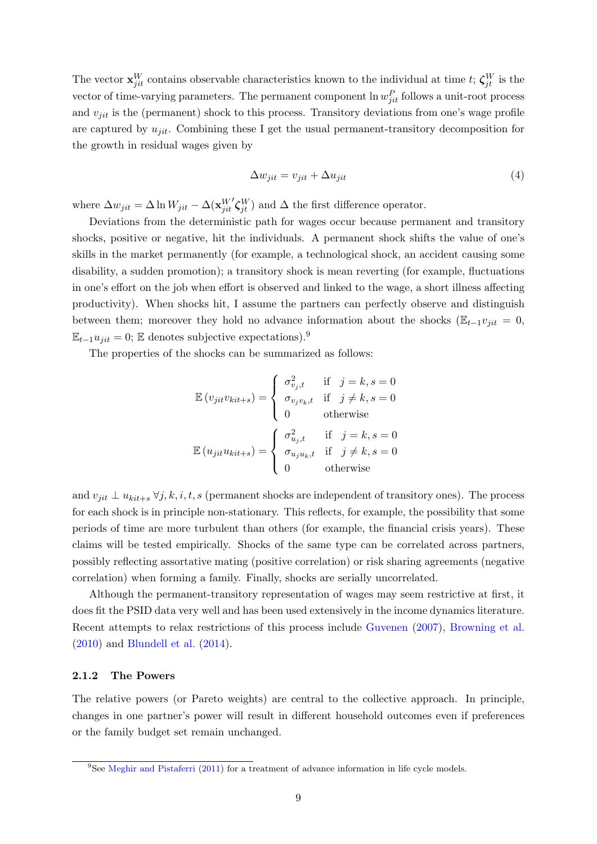The vector  $\mathbf{x}_{jit}^W$  contains observable characteristics known to the individual at time t;  $\zeta_{jt}^W$  is the vector of time-varying parameters. The permanent component  $\ln w_{jit}^P$  follows a unit-root process and  $v_{jit}$  is the (permanent) shock to this process. Transitory deviations from one's wage profile are captured by  $u_{jit}$ . Combining these I get the usual permanent-transitory decomposition for the growth in residual wages given by

$$
\Delta w_{jit} = v_{jit} + \Delta u_{jit} \tag{4}
$$

where  $\Delta w_{jit} = \Delta \ln W_{jit} - \Delta (\mathbf{x}_{jit}^W)$  $\mathcal{L}_{\mathcal{J}_{it}}^{W}$  and  $\Delta$  the first difference operator.

Deviations from the deterministic path for wages occur because permanent and transitory shocks, positive or negative, hit the individuals. A permanent shock shifts the value of one's skills in the market permanently (for example, a technological shock, an accident causing some disability, a sudden promotion); a transitory shock is mean reverting (for example, fluctuations in one's effort on the job when effort is observed and linked to the wage, a short illness affecting productivity). When shocks hit, I assume the partners can perfectly observe and distinguish between them; moreover they hold no advance information about the shocks ( $\mathbb{E}_{t-1}v_{ijt} = 0$ ,  $\mathbb{E}_{t-1}u_{jit} = 0$ ;  $\mathbb E$  denotes subjective expectations).<sup>9</sup>

The properties of the shocks can be summarized as follows:

$$
\mathbb{E}(v_{jit}v_{kit+s}) = \begin{cases}\n\sigma_{v_j,t}^2 & \text{if } j = k, s = 0 \\
\sigma_{v_jv_k,t} & \text{if } j \neq k, s = 0 \\
0 & \text{otherwise}\n\end{cases}
$$
\n
$$
\mathbb{E}(u_{jit}u_{kit+s}) = \begin{cases}\n\sigma_{u_j,t}^2 & \text{if } j = k, s = 0 \\
\sigma_{u_ju_k,t} & \text{if } j \neq k, s = 0 \\
0 & \text{otherwise}\n\end{cases}
$$

and  $v_{jit} \perp u_{kit+s} \,\forall j, k, i, t, s$  (permanent shocks are independent of transitory ones). The process for each shock is in principle non-stationary. This reflects, for example, the possibility that some periods of time are more turbulent than others (for example, the financial crisis years). These claims will be tested empirically. Shocks of the same type can be correlated across partners, possibly reflecting assortative mating (positive correlation) or risk sharing agreements (negative correlation) when forming a family. Finally, shocks are serially uncorrelated.

Although the permanent-transitory representation of wages may seem restrictive at first, it does fit the PSID data very well and has been used extensively in the income dynamics literature. Recent attempts to relax restrictions of this process include [Guvenen](#page-33-13) [\(2007\)](#page-33-13), [Browning et al.](#page-32-12) [\(2010\)](#page-32-12) and [Blundell et al.](#page-31-4) [\(2014\)](#page-31-4).

#### 2.1.2 The Powers

The relative powers (or Pareto weights) are central to the collective approach. In principle, changes in one partner's power will result in different household outcomes even if preferences or the family budget set remain unchanged.

<sup>9</sup>See [Meghir and Pistaferri](#page-34-3) [\(2011\)](#page-34-3) for a treatment of advance information in life cycle models.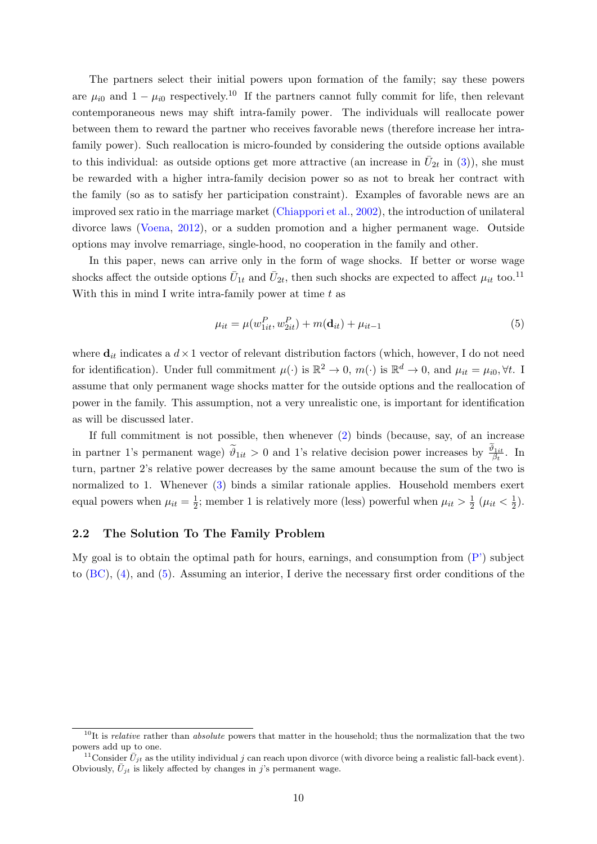The partners select their initial powers upon formation of the family; say these powers are  $\mu_{i0}$  and  $1 - \mu_{i0}$  respectively.<sup>10</sup> If the partners cannot fully commit for life, then relevant contemporaneous news may shift intra-family power. The individuals will reallocate power between them to reward the partner who receives favorable news (therefore increase her intrafamily power). Such reallocation is micro-founded by considering the outside options available to this individual: as outside options get more attractive (an increase in  $\bar{U}_{2t}$  in [\(3\)](#page-6-3)), she must be rewarded with a higher intra-family decision power so as not to break her contract with the family (so as to satisfy her participation constraint). Examples of favorable news are an improved sex ratio in the marriage market [\(Chiappori et al.,](#page-33-4) [2002\)](#page-33-4), the introduction of unilateral divorce laws [\(Voena,](#page-34-1) [2012\)](#page-34-1), or a sudden promotion and a higher permanent wage. Outside options may involve remarriage, single-hood, no cooperation in the family and other.

In this paper, news can arrive only in the form of wage shocks. If better or worse wage shocks affect the outside options  $\bar{U}_{1t}$  and  $\bar{U}_{2t}$ , then such shocks are expected to affect  $\mu_{it}$  too.<sup>11</sup> With this in mind I write intra-family power at time  $t$  as

<span id="page-9-0"></span>
$$
\mu_{it} = \mu(w_{1it}^P, w_{2it}^P) + m(\mathbf{d}_{it}) + \mu_{it-1}
$$
\n(5)

where  $\mathbf{d}_{it}$  indicates a  $d \times 1$  vector of relevant distribution factors (which, however, I do not need for identification). Under full commitment  $\mu(\cdot)$  is  $\mathbb{R}^2 \to 0$ ,  $m(\cdot)$  is  $\mathbb{R}^d \to 0$ , and  $\mu_{it} = \mu_{i0}$ ,  $\forall t$ . I assume that only permanent wage shocks matter for the outside options and the reallocation of power in the family. This assumption, not a very unrealistic one, is important for identification as will be discussed later.

If full commitment is not possible, then whenever [\(2\)](#page-6-2) binds (because, say, of an increase in partner 1's permanent wage)  $\widetilde{\theta}_{1it} > 0$  and 1's relative decision power increases by  $\frac{\vartheta_{1it}}{\beta_t}$ . In turn, partner 2's relative power decreases by the same amount because the sum of the two is normalized to 1. Whenever [\(3\)](#page-6-3) binds a similar rationale applies. Household members exert equal powers when  $\mu_{it} = \frac{1}{2}$  $\frac{1}{2}$ ; member 1 is relatively more (less) powerful when  $\mu_{it} > \frac{1}{2}$  $\frac{1}{2}$  ( $\mu_{it} < \frac{1}{2}$  $(\frac{1}{2})$ .

#### <span id="page-9-1"></span>2.2 The Solution To The Family Problem

My goal is to obtain the optimal path for hours, earnings, and consumption from  $(P')$  subject to  $(BC)$ ,  $(4)$ , and  $(5)$ . Assuming an interior, I derive the necessary first order conditions of the

 $10$ It is *relative* rather than *absolute* powers that matter in the household; thus the normalization that the two powers add up to one.

<sup>&</sup>lt;sup>11</sup>Consider  $\bar{U}_{jt}$  as the utility individual j can reach upon divorce (with divorce being a realistic fall-back event). Obviously,  $\bar{U}_{jt}$  is likely affected by changes in j's permanent wage.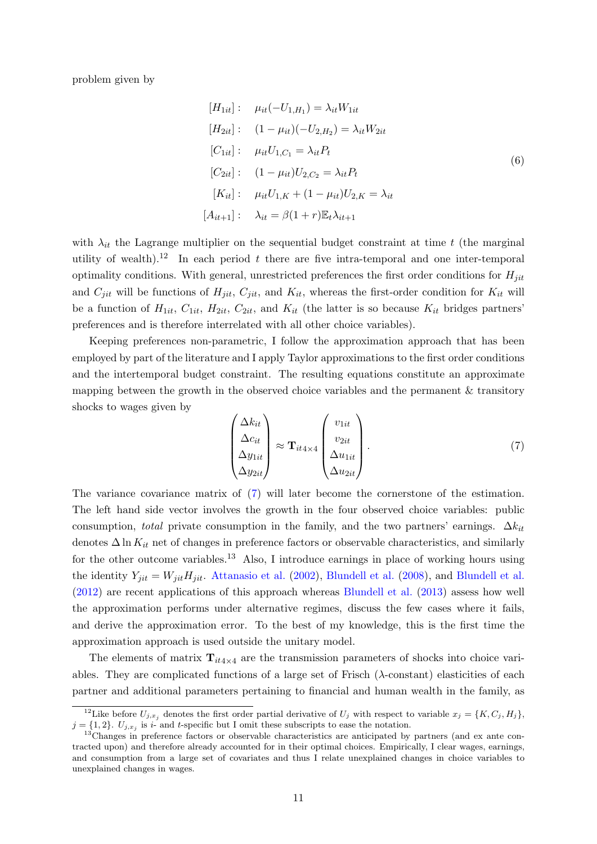problem given by

<span id="page-10-1"></span>
$$
[H_{1it}] : \mu_{it}(-U_{1,H_1}) = \lambda_{it}W_{1it}
$$
  
\n
$$
[H_{2it}] : (1 - \mu_{it})(-U_{2,H_2}) = \lambda_{it}W_{2it}
$$
  
\n
$$
[C_{1it}] : \mu_{it}U_{1,C_1} = \lambda_{it}P_t
$$
  
\n
$$
[C_{2it}] : (1 - \mu_{it})U_{2,C_2} = \lambda_{it}P_t
$$
  
\n
$$
[K_{it}] : \mu_{it}U_{1,K} + (1 - \mu_{it})U_{2,K} = \lambda_{it}
$$
  
\n
$$
[A_{it+1}] : \lambda_{it} = \beta(1+r)\mathbb{E}_t\lambda_{it+1}
$$

with  $\lambda_{it}$  the Lagrange multiplier on the sequential budget constraint at time t (the marginal utility of wealth).<sup>12</sup> In each period t there are five intra-temporal and one inter-temporal optimality conditions. With general, unrestricted preferences the first order conditions for  $H_{ijt}$ and  $C_{jit}$  will be functions of  $H_{jit}$ ,  $C_{jit}$ , and  $K_{it}$ , whereas the first-order condition for  $K_{it}$  will be a function of  $H_{1it}$ ,  $C_{1it}$ ,  $H_{2it}$ ,  $C_{2it}$ , and  $K_{it}$  (the latter is so because  $K_{it}$  bridges partners' preferences and is therefore interrelated with all other choice variables).

Keeping preferences non-parametric, I follow the approximation approach that has been employed by part of the literature and I apply Taylor approximations to the first order conditions and the intertemporal budget constraint. The resulting equations constitute an approximate mapping between the growth in the observed choice variables and the permanent & transitory shocks to wages given by

<span id="page-10-0"></span>
$$
\begin{pmatrix}\n\Delta k_{it} \\
\Delta c_{it} \\
\Delta y_{1it} \\
\Delta y_{2it}\n\end{pmatrix} \approx \mathbf{T}_{it4 \times 4} \begin{pmatrix}\nv_{1it} \\
v_{2it} \\
\Delta u_{1it} \\
\Delta u_{2it}\n\end{pmatrix} . \tag{7}
$$

The variance covariance matrix of [\(7\)](#page-10-0) will later become the cornerstone of the estimation. The left hand side vector involves the growth in the four observed choice variables: public consumption, total private consumption in the family, and the two partners' earnings.  $\Delta k_{it}$ denotes  $\Delta \ln K_{it}$  net of changes in preference factors or observable characteristics, and similarly for the other outcome variables.<sup>13</sup> Also, I introduce earnings in place of working hours using the identity  $Y_{jit} = W_{jit} H_{jit}$ . [Attanasio et al.](#page-31-3) [\(2002\)](#page-31-3), [Blundell et al.](#page-32-0) [\(2008\)](#page-31-0), and Blundell et al. [\(2012\)](#page-32-0) are recent applications of this approach whereas [Blundell et al.](#page-31-5) [\(2013\)](#page-31-5) assess how well the approximation performs under alternative regimes, discuss the few cases where it fails, and derive the approximation error. To the best of my knowledge, this is the first time the approximation approach is used outside the unitary model.

The elements of matrix  $\mathbf{T}_{it4\times 4}$  are the transmission parameters of shocks into choice variables. They are complicated functions of a large set of Frisch  $(\lambda$ -constant) elasticities of each partner and additional parameters pertaining to financial and human wealth in the family, as

<sup>&</sup>lt;sup>12</sup>Like before  $U_{j,x_j}$  denotes the first order partial derivative of  $U_j$  with respect to variable  $x_j = \{K, C_j, H_j\}$ ,  $j = \{1, 2\}$ .  $U_{j, x_j}$  is i- and t-specific but I omit these subscripts to ease the notation.

 $13$ Changes in preference factors or observable characteristics are anticipated by partners (and ex ante contracted upon) and therefore already accounted for in their optimal choices. Empirically, I clear wages, earnings, and consumption from a large set of covariates and thus I relate unexplained changes in choice variables to unexplained changes in wages.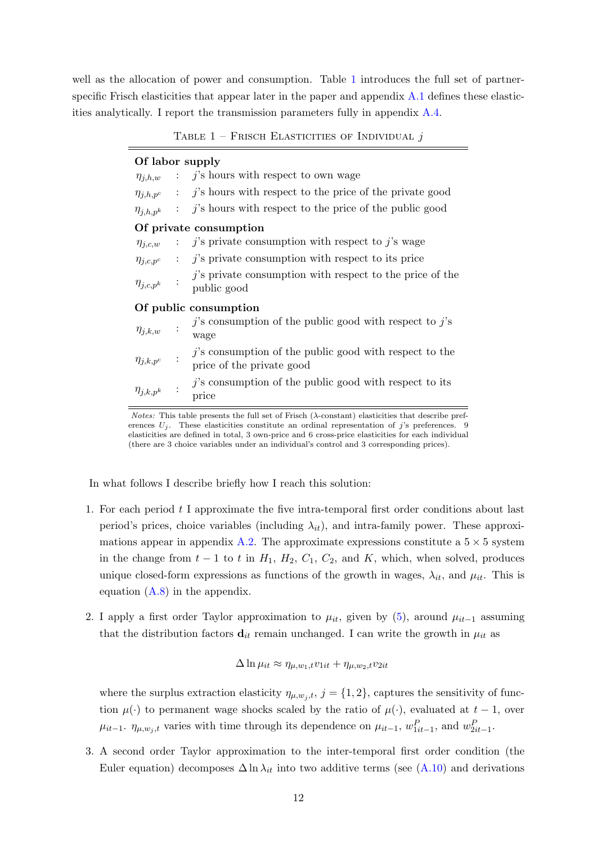<span id="page-11-0"></span>well as the allocation of power and consumption. Table [1](#page-11-0) introduces the full set of partnerspecific Frisch elasticities that appear later in the paper and appendix [A.1](#page-45-0) defines these elasticities analytically. I report the transmission parameters fully in appendix [A.4.](#page-50-0)

TABLE  $1$  – Frisch Elasticities of Individual j

| Of labor supply    |                                                                                               |
|--------------------|-----------------------------------------------------------------------------------------------|
| $\eta_{j,h,w}$     | $j$ 's hours with respect to own wage                                                         |
|                    | $\eta_{j,h,p^c}$ : j's hours with respect to the price of the private good                    |
| $\eta_{j,h,p^k}$   | $j$ 's hours with respect to the price of the public good                                     |
|                    | Of private consumption                                                                        |
| $\eta_{j,c,w}$     | $j$ 's private consumption with respect to $j$ 's wage                                        |
|                    | $\eta_{j,c,p^c}$ : <i>j</i> 's private consumption with respect to its price                  |
|                    | $j$ 's private consumption with respect to the price of the<br>$\eta_{j,c,p^k}$ : public good |
|                    | Of public consumption                                                                         |
| $\eta_{j,k,w}$     | $j$ 's consumption of the public good with respect to $j$ 's<br>wage                          |
| $\eta_{j,k,p^c}$   | $j$ 's consumption of the public good with respect to the<br>price of the private good        |
| $\eta_{j,k,p^k}$ : | $j$ 's consumption of the public good with respect to its<br>price                            |

Notes: This table presents the full set of Frisch  $(\lambda$ -constant) elasticities that describe preferences  $U_j$ . These elasticities constitute an ordinal representation of j's preferences. 9 elasticities are defined in total, 3 own-price and 6 cross-price elasticities for each individual (there are 3 choice variables under an individual's control and 3 corresponding prices).

In what follows I describe briefly how I reach this solution:

- 1. For each period  $t$  I approximate the five intra-temporal first order conditions about last period's prices, choice variables (including  $\lambda_{it}$ ), and intra-family power. These approxi-mations appear in appendix [A.2.](#page-46-0) The approximate expressions constitute a  $5 \times 5$  system in the change from  $t - 1$  to  $t$  in  $H_1$ ,  $H_2$ ,  $C_1$ ,  $C_2$ , and  $K$ , which, when solved, produces unique closed-form expressions as functions of the growth in wages,  $\lambda_{it}$ , and  $\mu_{it}$ . This is equation [\(A.8\)](#page-47-0) in the appendix.
- 2. I apply a first order Taylor approximation to  $\mu_{it}$ , given by [\(5\)](#page-9-0), around  $\mu_{it-1}$  assuming that the distribution factors  $\mathbf{d}_{it}$  remain unchanged. I can write the growth in  $\mu_{it}$  as

$$
\Delta \ln \mu_{it} \approx \eta_{\mu, w_1, t} v_{1it} + \eta_{\mu, w_2, t} v_{2it}
$$

where the surplus extraction elasticity  $\eta_{\mu,w_j,t}$ ,  $j = \{1,2\}$ , captures the sensitivity of function  $\mu(\cdot)$  to permanent wage shocks scaled by the ratio of  $\mu(\cdot)$ , evaluated at  $t-1$ , over  $\mu_{it-1}$ .  $\eta_{\mu,w_j,t}$  varies with time through its dependence on  $\mu_{it-1}$ ,  $w_{1it-1}^P$ , and  $w_{2it-1}^P$ .

3. A second order Taylor approximation to the inter-temporal first order condition (the Euler equation) decomposes  $\Delta \ln \lambda_{it}$  into two additive terms (see [\(A.10\)](#page-48-0) and derivations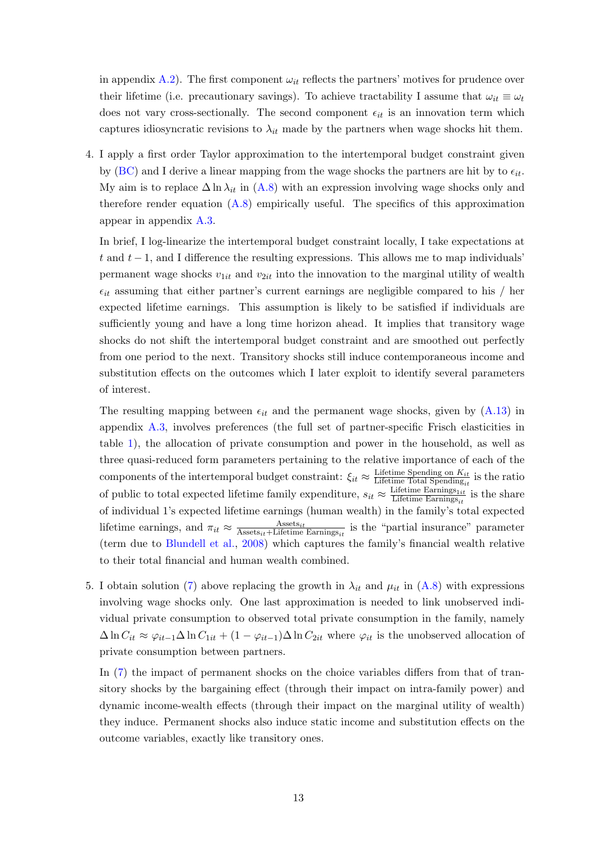in appendix [A.2\)](#page-46-0). The first component  $\omega_{it}$  reflects the partners' motives for prudence over their lifetime (i.e. precautionary savings). To achieve tractability I assume that  $\omega_{it} \equiv \omega_t$ does not vary cross-sectionally. The second component  $\epsilon_{it}$  is an innovation term which captures idiosyncratic revisions to  $\lambda_{it}$  made by the partners when wage shocks hit them.

4. I apply a first order Taylor approximation to the intertemporal budget constraint given by [\(BC\)](#page-6-4) and I derive a linear mapping from the wage shocks the partners are hit by to  $\epsilon_{it}$ . My aim is to replace  $\Delta \ln \lambda_{it}$  in [\(A.8\)](#page-47-0) with an expression involving wage shocks only and therefore render equation  $(A.8)$  empirically useful. The specifics of this approximation appear in appendix [A.3.](#page-48-1)

In brief, I log-linearize the intertemporal budget constraint locally, I take expectations at t and  $t-1$ , and I difference the resulting expressions. This allows me to map individuals' permanent wage shocks  $v_{1it}$  and  $v_{2it}$  into the innovation to the marginal utility of wealth  $\epsilon_{it}$  assuming that either partner's current earnings are negligible compared to his / her expected lifetime earnings. This assumption is likely to be satisfied if individuals are sufficiently young and have a long time horizon ahead. It implies that transitory wage shocks do not shift the intertemporal budget constraint and are smoothed out perfectly from one period to the next. Transitory shocks still induce contemporaneous income and substitution effects on the outcomes which I later exploit to identify several parameters of interest.

The resulting mapping between  $\epsilon_{it}$  and the permanent wage shocks, given by [\(A.13\)](#page-50-1) in appendix [A.3,](#page-48-1) involves preferences (the full set of partner-specific Frisch elasticities in table [1\)](#page-11-0), the allocation of private consumption and power in the household, as well as three quasi-reduced form parameters pertaining to the relative importance of each of the components of the intertemporal budget constraint:  $\xi_{it} \approx \frac{\text{Lifetime Spending on } K_{it}}{\text{Lifetime Total Spending of } K_{it}}$ Lifetime Spending on  $\frac{K_{it}}{K_{it}}$  is the ratio of public to total expected lifetime family expenditure,  $s_{it} \approx \frac{\text{Lifetime Earning}_{1it}}{\text{Lifetime Earning}_{1it}}$ Lifetime Earnings $_{it}$  is the share of individual 1's expected lifetime earnings (human wealth) in the family's total expected lifetime earnings, and  $\pi_{it} \approx \frac{\text{Assets}_{it}}{\text{Assets}_{it} + \text{Lifetime}}$  $\frac{\text{Assets}_{it}}{\text{Assets}_{it} + \text{Lifetime Earning}_{it}}$  is the "partial insurance" parameter (term due to [Blundell et al.,](#page-31-0) [2008\)](#page-31-0) which captures the family's financial wealth relative to their total financial and human wealth combined.

5. I obtain solution [\(7\)](#page-10-0) above replacing the growth in  $\lambda_{it}$  and  $\mu_{it}$  in [\(A.8\)](#page-47-0) with expressions involving wage shocks only. One last approximation is needed to link unobserved individual private consumption to observed total private consumption in the family, namely  $\Delta \ln C_{it} \approx \varphi_{it-1} \Delta \ln C_{1it} + (1 - \varphi_{it-1}) \Delta \ln C_{2it}$  where  $\varphi_{it}$  is the unobserved allocation of private consumption between partners.

In [\(7\)](#page-10-0) the impact of permanent shocks on the choice variables differs from that of transitory shocks by the bargaining effect (through their impact on intra-family power) and dynamic income-wealth effects (through their impact on the marginal utility of wealth) they induce. Permanent shocks also induce static income and substitution effects on the outcome variables, exactly like transitory ones.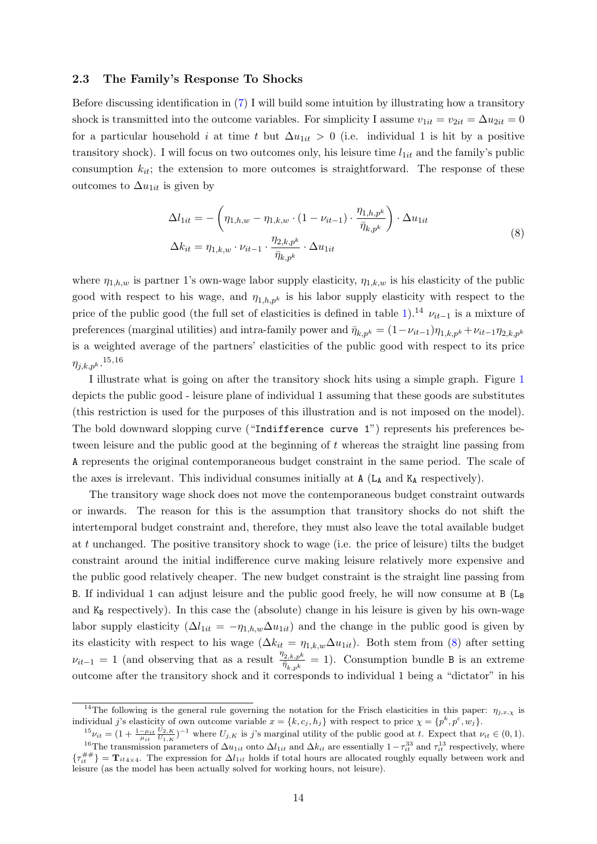#### <span id="page-13-1"></span>2.3 The Family's Response To Shocks

Before discussing identification in [\(7\)](#page-10-0) I will build some intuition by illustrating how a transitory shock is transmitted into the outcome variables. For simplicity I assume  $v_{1it} = v_{2it} = \Delta u_{2it} = 0$ for a particular household *i* at time t but  $\Delta u_{1it} > 0$  (i.e. individual 1 is hit by a positive transitory shock). I will focus on two outcomes only, his leisure time  $l_{1it}$  and the family's public consumption  $k_{it}$ ; the extension to more outcomes is straightforward. The response of these outcomes to  $\Delta u_{1it}$  is given by

<span id="page-13-0"></span>
$$
\Delta l_{1it} = -\left(\eta_{1,h,w} - \eta_{1,k,w} \cdot (1 - \nu_{it-1}) \cdot \frac{\eta_{1,h,p^k}}{\bar{\eta}_{k,p^k}}\right) \cdot \Delta u_{1it}
$$
\n
$$
\Delta k_{it} = \eta_{1,k,w} \cdot \nu_{it-1} \cdot \frac{\eta_{2,k,p^k}}{\bar{\eta}_{k,p^k}} \cdot \Delta u_{1it}
$$
\n(8)

where  $\eta_{1,h,w}$  is partner 1's own-wage labor supply elasticity,  $\eta_{1,k,w}$  is his elasticity of the public good with respect to his wage, and  $\eta_{1,h,p^k}$  is his labor supply elasticity with respect to the price of the public good (the full set of elasticities is defined in table [1\)](#page-11-0).<sup>14</sup>  $\nu_{it-1}$  is a mixture of preferences (marginal utilities) and intra-family power and  $\bar{\eta}_{k,p^k} = (1 - \nu_{it-1})\eta_{1,k,p^k} + \nu_{it-1}\eta_{2,k,p^k}$ is a weighted average of the partners' elasticities of the public good with respect to its price  $\eta_{j,k,p^k}.^{\hbox{\scriptsize{$15,16}}}$ 

I illustrate what is going on after the transitory shock hits using a simple graph. Figure [1](#page-14-0) depicts the public good - leisure plane of individual 1 assuming that these goods are substitutes (this restriction is used for the purposes of this illustration and is not imposed on the model). The bold downward slopping curve ("Indifference curve 1") represents his preferences between leisure and the public good at the beginning of t whereas the straight line passing from A represents the original contemporaneous budget constraint in the same period. The scale of the axes is irrelevant. This individual consumes initially at  $A(L_A \text{ and } K_A \text{ respectively}).$ 

The transitory wage shock does not move the contemporaneous budget constraint outwards or inwards. The reason for this is the assumption that transitory shocks do not shift the intertemporal budget constraint and, therefore, they must also leave the total available budget at t unchanged. The positive transitory shock to wage (i.e. the price of leisure) tilts the budget constraint around the initial indifference curve making leisure relatively more expensive and the public good relatively cheaper. The new budget constraint is the straight line passing from B. If individual 1 can adjust leisure and the public good freely, he will now consume at  $B(L_B)$ and  $K_B$  respectively). In this case the (absolute) change in his leisure is given by his own-wage labor supply elasticity  $(\Delta l_{1it} = -\eta_{1,h,w}\Delta u_{1it})$  and the change in the public good is given by its elasticity with respect to his wage  $(\Delta k_{it} = \eta_{1,k,w} \Delta u_{1it})$ . Both stem from [\(8\)](#page-13-0) after setting  $\nu_{it-1} = 1$  (and observing that as a result  $\frac{\eta_{2,k,p^k}}{\overline{\eta}_{k,p^k}} = 1$ ). Consumption bundle B is an extreme outcome after the transitory shock and it corresponds to individual 1 being a "dictator" in his

<sup>&</sup>lt;sup>14</sup>The following is the general rule governing the notation for the Frisch elasticities in this paper:  $\eta_{j,x,\chi}$  is individual j's elasticity of own outcome variable  $x = \{k, c_j, h_j\}$  with respect to price  $\chi = \{p^k, p^c, w_j\}$ .

 $^{15}\nu_{it} = (1 + \frac{1-\mu_{it}}{\mu_{it}})$  $U_{2,K}$  $\frac{U_{2,K}}{U_{1,K}}$  <sup>-1</sup> where  $U_{j,K}$  is j's marginal utility of the public good at t. Expect that  $\nu_{it} \in (0,1)$ .

<sup>&</sup>lt;sup>16</sup>The transmission parameters of  $\Delta u_{1it}$  onto  $\Delta l_{1it}$  and  $\Delta k_{it}$  are essentially  $1-\tau_{it}^{33}$  and  $\tau_{it}^{13}$  respectively, where  $\{\tau_{it}^{\#}\} = \mathbf{T}_{it4\times 4}$ . The expression for  $\Delta l_{1it}$  holds if total hours are allocated roughly equally between work and leisure (as the model has been actually solved for working hours, not leisure).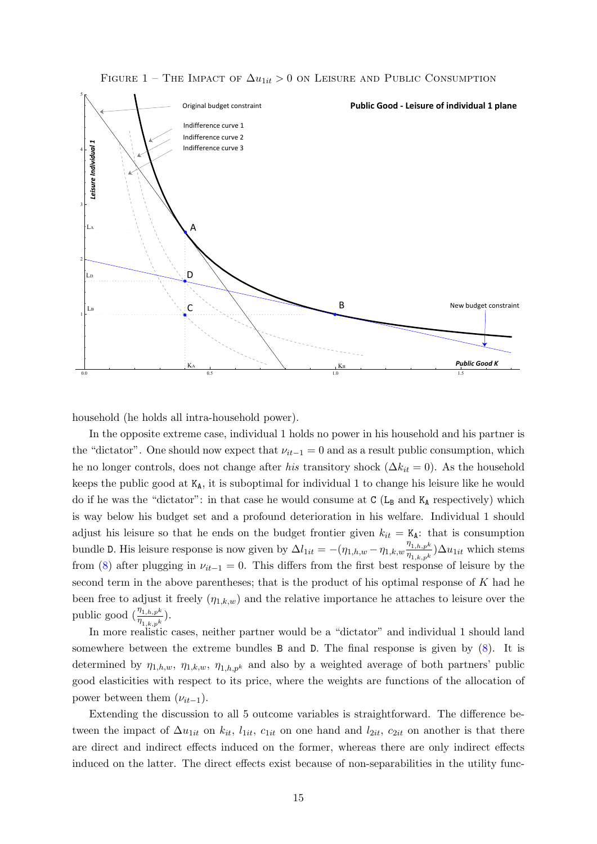

<span id="page-14-0"></span>FIGURE 1 - THE IMPACT OF  $\Delta u_{1it} > 0$  on Leisure and Public Consumption

household (he holds all intra-household power).

In the opposite extreme case, individual 1 holds no power in his household and his partner is the "dictator". One should now expect that  $\nu_{it-1} = 0$  and as a result public consumption, which he no longer controls, does not change after his transitory shock ( $\Delta k_{it} = 0$ ). As the household keeps the public good at  $K_A$ , it is suboptimal for individual 1 to change his leisure like he would do if he was the "dictator": in that case he would consume at  $C(L_B$  and  $K_A$  respectively) which is way below his budget set and a profound deterioration in his welfare. Individual 1 should adjust his leisure so that he ends on the budget frontier given  $k_{it} = K_A$ : that is consumption bundle D. His leisure response is now given by  $\Delta l_{1it} = -(\eta_{1,h,w} - \eta_{1,k,w} \frac{\eta_{1,h,pk}}{n_{1,h,pk}})$  $\frac{\eta_{1,h,p^k}}{\eta_{1,k,p^k}}$ ) $\Delta u_{1it}$  which stems from [\(8\)](#page-13-0) after plugging in  $\nu_{it-1} = 0$ . This differs from the first best response of leisure by the second term in the above parentheses; that is the product of his optimal response of K had he been free to adjust it freely  $(\eta_{1,k,w})$  and the relative importance he attaches to leisure over the public good  $\left(\frac{\eta_{1,h,p^k}}{\eta_{1,k,p^k}}\right)$ .

In more realistic cases, neither partner would be a "dictator" and individual 1 should land somewhere between the extreme bundles B and D. The final response is given by [\(8\)](#page-13-0). It is determined by  $\eta_{1,h,w}, \eta_{1,k,w}, \eta_{1,h,p^k}$  and also by a weighted average of both partners' public good elasticities with respect to its price, where the weights are functions of the allocation of power between them  $(\nu_{it-1})$ .

Extending the discussion to all 5 outcome variables is straightforward. The difference between the impact of  $\Delta u_{1it}$  on  $k_{it}$ ,  $l_{1it}$ ,  $c_{1it}$  on one hand and  $l_{2it}$ ,  $c_{2it}$  on another is that there are direct and indirect effects induced on the former, whereas there are only indirect effects induced on the latter. The direct effects exist because of non-separabilities in the utility func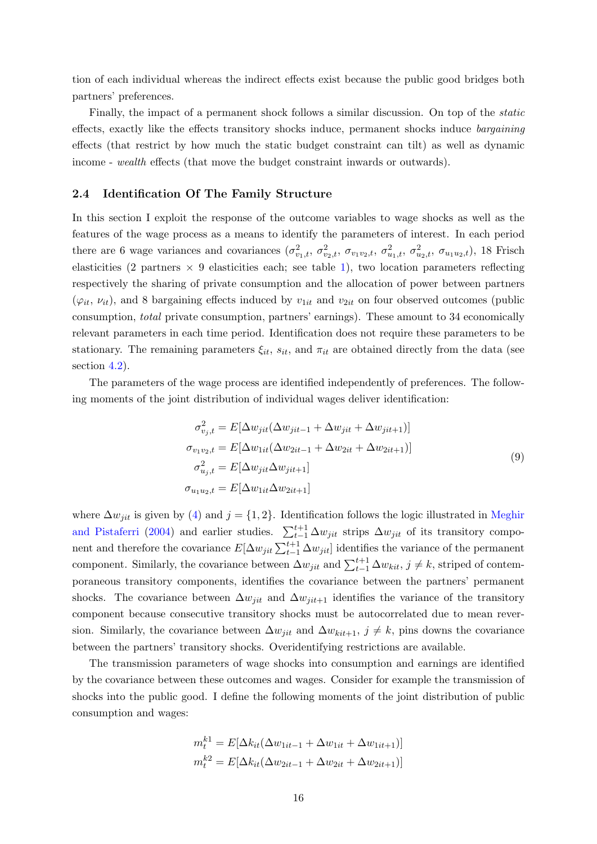tion of each individual whereas the indirect effects exist because the public good bridges both partners' preferences.

Finally, the impact of a permanent shock follows a similar discussion. On top of the static effects, exactly like the effects transitory shocks induce, permanent shocks induce bargaining effects (that restrict by how much the static budget constraint can tilt) as well as dynamic income - wealth effects (that move the budget constraint inwards or outwards).

#### 2.4 Identification Of The Family Structure

In this section I exploit the response of the outcome variables to wage shocks as well as the features of the wage process as a means to identify the parameters of interest. In each period there are 6 wage variances and covariances  $(\sigma_{v_1,t}^2, \sigma_{v_2,t}^2, \sigma_{v_1v_2,t}, \sigma_{u_1,t}^2, \sigma_{u_2,t}^2, \sigma_{u_1u_2,t})$ , 18 Frisch elasticities (2 partners  $\times$  9 elasticities each; see table [1\)](#page-11-0), two location parameters reflecting respectively the sharing of private consumption and the allocation of power between partners  $(\varphi_{it}, \nu_{it})$ , and 8 bargaining effects induced by  $v_{1it}$  and  $v_{2it}$  on four observed outcomes (public consumption, total private consumption, partners' earnings). These amount to 34 economically relevant parameters in each time period. Identification does not require these parameters to be stationary. The remaining parameters  $\xi_{it}$ ,  $s_{it}$ , and  $\pi_{it}$  are obtained directly from the data (see section [4.2\)](#page-23-0).

The parameters of the wage process are identified independently of preferences. The following moments of the joint distribution of individual wages deliver identification:

<span id="page-15-0"></span>
$$
\sigma_{v_j,t}^2 = E[\Delta w_{jit}(\Delta w_{jit-1} + \Delta w_{jit} + \Delta w_{jit+1})]
$$
  
\n
$$
\sigma_{v_1v_2,t} = E[\Delta w_{1it}(\Delta w_{2it-1} + \Delta w_{2it} + \Delta w_{2it+1})]
$$
  
\n
$$
\sigma_{u_j,t}^2 = E[\Delta w_{jit} \Delta w_{jit+1}]
$$
  
\n
$$
\sigma_{u_1u_2,t} = E[\Delta w_{1it} \Delta w_{2it+1}]
$$
\n(9)

where  $\Delta w_{ijt}$  is given by [\(4\)](#page-6-6) and  $j = \{1, 2\}$ . Identification follows the logic illustrated in [Meghir](#page-34-6) [and Pistaferri](#page-34-6) [\(2004\)](#page-34-6) and earlier studies.  $\sum_{t=1}^{t+1} \Delta w_{jit}$  strips  $\Delta w_{jit}$  of its transitory component and therefore the covariance  $E[\Delta w_{jit} \sum_{t=1}^{t+1} \Delta w_{jit}]$  identifies the variance of the permanent component. Similarly, the covariance between  $\Delta w_{jit}$  and  $\sum_{t=1}^{t+1} \Delta w_{kit}$ ,  $j \neq k$ , striped of contemporaneous transitory components, identifies the covariance between the partners' permanent shocks. The covariance between  $\Delta w_{ijt}$  and  $\Delta w_{ijt+1}$  identifies the variance of the transitory component because consecutive transitory shocks must be autocorrelated due to mean reversion. Similarly, the covariance between  $\Delta w_{jit}$  and  $\Delta w_{kit+1}, j \neq k$ , pins downs the covariance between the partners' transitory shocks. Overidentifying restrictions are available.

The transmission parameters of wage shocks into consumption and earnings are identified by the covariance between these outcomes and wages. Consider for example the transmission of shocks into the public good. I define the following moments of the joint distribution of public consumption and wages:

$$
m_t^{k1} = E[\Delta k_{it}(\Delta w_{1it-1} + \Delta w_{1it} + \Delta w_{1it+1})]
$$
  

$$
m_t^{k2} = E[\Delta k_{it}(\Delta w_{2it-1} + \Delta w_{2it} + \Delta w_{2it+1})]
$$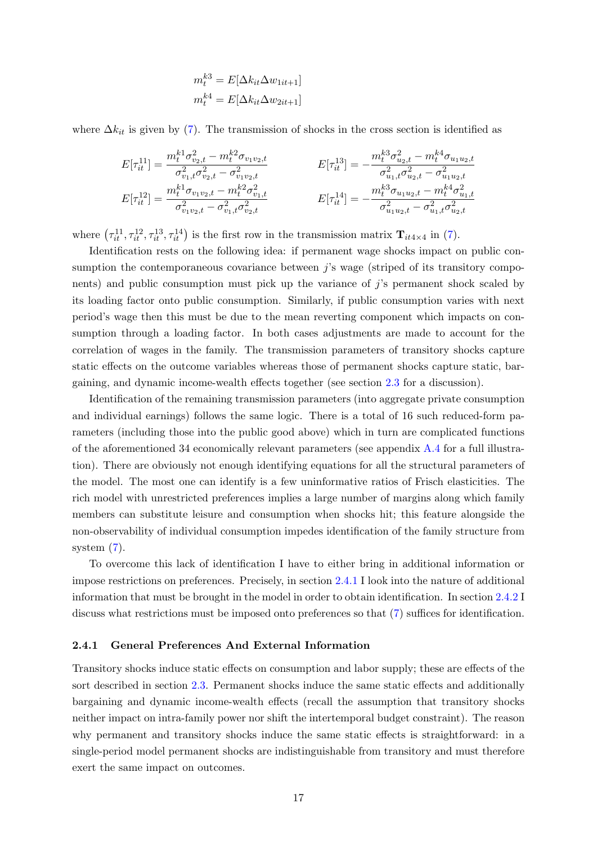$$
m_t^{k3} = E[\Delta k_{it} \Delta w_{1it+1}]
$$
  

$$
m_t^{k4} = E[\Delta k_{it} \Delta w_{2it+1}]
$$

where  $\Delta k_{it}$  is given by [\(7\)](#page-10-0). The transmission of shocks in the cross section is identified as

$$
E[\tau_{it}^{11}] = \frac{m_t^{k1} \sigma_{v_{2,t}}^2 - m_t^{k2} \sigma_{v_1 v_2,t}}{\sigma_{v_{1,t}}^2 \sigma_{v_{2,t}}^2 - \sigma_{v_1 v_2,t}^2} \qquad E[\tau_{it}^{13}] = -\frac{m_t^{k3} \sigma_{u_{2,t}}^2 - m_t^{k4} \sigma_{u_1 u_2,t}}{\sigma_{u_{1,t}}^2 \sigma_{u_{2,t}}^2 - \sigma_{u_1 u_2,t}^2}
$$
  
\n
$$
E[\tau_{it}^{12}] = \frac{m_t^{k1} \sigma_{v_1 v_2,t} - m_t^{k2} \sigma_{v_{1,t}}^2}{\sigma_{v_1 v_2,t}^2 - \sigma_{v_{1,t}}^2 \sigma_{v_2,t}^2} \qquad E[\tau_{it}^{14}] = -\frac{m_t^{k3} \sigma_{u_1 u_2,t} - m_t^{k4} \sigma_{u_{1,t}}^2}{\sigma_{u_1 u_2,t}^2 - \sigma_{u_{1,t}}^2 \sigma_{u_2,t}^2}
$$

where  $(\tau_{it}^{11}, \tau_{it}^{12}, \tau_{it}^{13}, \tau_{it}^{14})$  is the first row in the transmission matrix  $\mathbf{T}_{it4\times 4}$  in [\(7\)](#page-10-0).

Identification rests on the following idea: if permanent wage shocks impact on public consumption the contemporaneous covariance between  $j$ 's wage (striped of its transitory components) and public consumption must pick up the variance of  $j$ 's permanent shock scaled by its loading factor onto public consumption. Similarly, if public consumption varies with next period's wage then this must be due to the mean reverting component which impacts on consumption through a loading factor. In both cases adjustments are made to account for the correlation of wages in the family. The transmission parameters of transitory shocks capture static effects on the outcome variables whereas those of permanent shocks capture static, bargaining, and dynamic income-wealth effects together (see section [2.3](#page-13-1) for a discussion).

Identification of the remaining transmission parameters (into aggregate private consumption and individual earnings) follows the same logic. There is a total of 16 such reduced-form parameters (including those into the public good above) which in turn are complicated functions of the aforementioned 34 economically relevant parameters (see appendix [A.4](#page-50-0) for a full illustration). There are obviously not enough identifying equations for all the structural parameters of the model. The most one can identify is a few uninformative ratios of Frisch elasticities. The rich model with unrestricted preferences implies a large number of margins along which family members can substitute leisure and consumption when shocks hit; this feature alongside the non-observability of individual consumption impedes identification of the family structure from system [\(7\)](#page-10-0).

To overcome this lack of identification I have to either bring in additional information or impose restrictions on preferences. Precisely, in section [2.4.1](#page-16-0) I look into the nature of additional information that must be brought in the model in order to obtain identification. In section [2.4.2](#page-18-1) I discuss what restrictions must be imposed onto preferences so that [\(7\)](#page-10-0) suffices for identification.

#### <span id="page-16-0"></span>2.4.1 General Preferences And External Information

Transitory shocks induce static effects on consumption and labor supply; these are effects of the sort described in section [2.3.](#page-13-1) Permanent shocks induce the same static effects and additionally bargaining and dynamic income-wealth effects (recall the assumption that transitory shocks neither impact on intra-family power nor shift the intertemporal budget constraint). The reason why permanent and transitory shocks induce the same static effects is straightforward: in a single-period model permanent shocks are indistinguishable from transitory and must therefore exert the same impact on outcomes.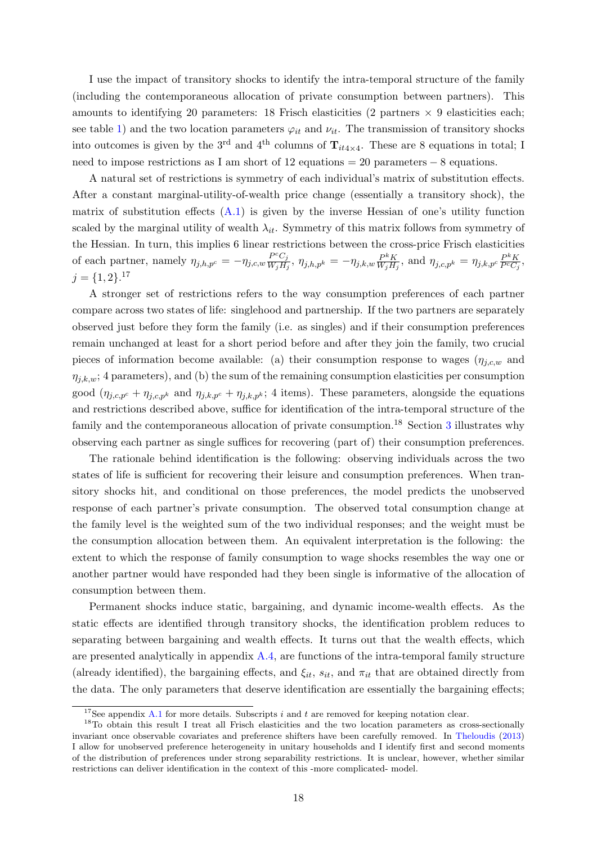I use the impact of transitory shocks to identify the intra-temporal structure of the family (including the contemporaneous allocation of private consumption between partners). This amounts to identifying 20 parameters: 18 Frisch elasticities (2 partners  $\times$  9 elasticities each; see table [1\)](#page-11-0) and the two location parameters  $\varphi_{it}$  and  $\nu_{it}$ . The transmission of transitory shocks into outcomes is given by the 3<sup>rd</sup> and 4<sup>th</sup> columns of  $\mathbf{T}_{it4\times 4}$ . These are 8 equations in total; I need to impose restrictions as I am short of 12 equations = 20 parameters − 8 equations.

A natural set of restrictions is symmetry of each individual's matrix of substitution effects. After a constant marginal-utility-of-wealth price change (essentially a transitory shock), the matrix of substitution effects  $(A.1)$  is given by the inverse Hessian of one's utility function scaled by the marginal utility of wealth  $\lambda_{it}$ . Symmetry of this matrix follows from symmetry of the Hessian. In turn, this implies 6 linear restrictions between the cross-price Frisch elasticities of each partner, namely  $\eta_{j,h,p^c} = -\eta_{j,c,w} \frac{P^c C_j}{W_s H}$  $\frac{P^cC_j}{W_jH_j},\ \eta_{j,h,p^k}=-\eta_{j,k,w}\frac{P^kK}{W_jH_j}$  $\frac{P^k K}{W_j H_j}$ , and  $\eta_{j,c,p^k} = \eta_{j,k,p^c} \frac{P^k K}{P^c C_j}$  $\frac{P^n K}{P^c C_j},$  $j = \{1, 2\}$ .<sup>17</sup>

A stronger set of restrictions refers to the way consumption preferences of each partner compare across two states of life: singlehood and partnership. If the two partners are separately observed just before they form the family (i.e. as singles) and if their consumption preferences remain unchanged at least for a short period before and after they join the family, two crucial pieces of information become available: (a) their consumption response to wages  $(\eta_{i,c,w}$  and  $\eta_{j,k,w}$ ; 4 parameters), and (b) the sum of the remaining consumption elasticities per consumption good  $(\eta_{j,c,p^c} + \eta_{j,c,p^k}$  and  $\eta_{j,k,p^c} + \eta_{j,k,p^k}$ ; 4 items). These parameters, alongside the equations and restrictions described above, suffice for identification of the intra-temporal structure of the family and the contemporaneous allocation of private consumption.<sup>18</sup> Section [3](#page-18-0) illustrates why observing each partner as single suffices for recovering (part of) their consumption preferences.

The rationale behind identification is the following: observing individuals across the two states of life is sufficient for recovering their leisure and consumption preferences. When transitory shocks hit, and conditional on those preferences, the model predicts the unobserved response of each partner's private consumption. The observed total consumption change at the family level is the weighted sum of the two individual responses; and the weight must be the consumption allocation between them. An equivalent interpretation is the following: the extent to which the response of family consumption to wage shocks resembles the way one or another partner would have responded had they been single is informative of the allocation of consumption between them.

Permanent shocks induce static, bargaining, and dynamic income-wealth effects. As the static effects are identified through transitory shocks, the identification problem reduces to separating between bargaining and wealth effects. It turns out that the wealth effects, which are presented analytically in appendix  $A.4$ , are functions of the intra-temporal family structure (already identified), the bargaining effects, and  $\xi_{it}$ ,  $s_{it}$ , and  $\pi_{it}$  that are obtained directly from the data. The only parameters that deserve identification are essentially the bargaining effects;

<sup>&</sup>lt;sup>17</sup>See appendix [A.1](#page-45-0) for more details. Subscripts i and t are removed for keeping notation clear.

<sup>&</sup>lt;sup>18</sup>To obtain this result I treat all Frisch elasticities and the two location parameters as cross-sectionally invariant once observable covariates and preference shifters have been carefully removed. In [Theloudis](#page-34-7) [\(2013\)](#page-34-7) I allow for unobserved preference heterogeneity in unitary households and I identify first and second moments of the distribution of preferences under strong separability restrictions. It is unclear, however, whether similar restrictions can deliver identification in the context of this -more complicated- model.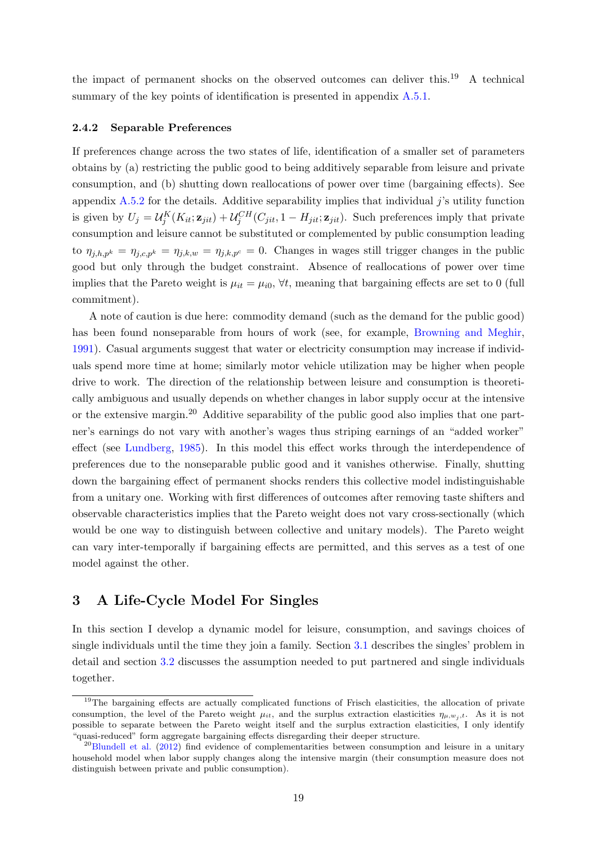the impact of permanent shocks on the observed outcomes can deliver this.<sup>19</sup> A technical summary of the key points of identification is presented in appendix [A.5.1.](#page-52-0)

#### <span id="page-18-1"></span>2.4.2 Separable Preferences

If preferences change across the two states of life, identification of a smaller set of parameters obtains by (a) restricting the public good to being additively separable from leisure and private consumption, and (b) shutting down reallocations of power over time (bargaining effects). See appendix [A.5.2](#page-53-0) for the details. Additive separability implies that individual  $j$ 's utility function is given by  $U_j = \mathcal{U}_j^K(K_{it}; \mathbf{z}_{jit}) + \mathcal{U}_j^{CH}(C_{jit}, 1 - H_{jit}; \mathbf{z}_{jit})$ . Such preferences imply that private consumption and leisure cannot be substituted or complemented by public consumption leading to  $\eta_{j,h,p^k} = \eta_{j,c,p^k} = \eta_{j,k,w} = \eta_{j,k,p^c} = 0$ . Changes in wages still trigger changes in the public good but only through the budget constraint. Absence of reallocations of power over time implies that the Pareto weight is  $\mu_{it} = \mu_{i0}$ ,  $\forall t$ , meaning that bargaining effects are set to 0 (full commitment).

A note of caution is due here: commodity demand (such as the demand for the public good) has been found nonseparable from hours of work (see, for example, [Browning and Meghir,](#page-32-13) [1991\)](#page-32-13). Casual arguments suggest that water or electricity consumption may increase if individuals spend more time at home; similarly motor vehicle utilization may be higher when people drive to work. The direction of the relationship between leisure and consumption is theoretically ambiguous and usually depends on whether changes in labor supply occur at the intensive or the extensive margin.<sup>20</sup> Additive separability of the public good also implies that one partner's earnings do not vary with another's wages thus striping earnings of an "added worker" effect (see [Lundberg,](#page-34-8) [1985\)](#page-34-8). In this model this effect works through the interdependence of preferences due to the nonseparable public good and it vanishes otherwise. Finally, shutting down the bargaining effect of permanent shocks renders this collective model indistinguishable from a unitary one. Working with first differences of outcomes after removing taste shifters and observable characteristics implies that the Pareto weight does not vary cross-sectionally (which would be one way to distinguish between collective and unitary models). The Pareto weight can vary inter-temporally if bargaining effects are permitted, and this serves as a test of one model against the other.

## <span id="page-18-0"></span>3 A Life-Cycle Model For Singles

In this section I develop a dynamic model for leisure, consumption, and savings choices of single individuals until the time they join a family. Section [3.1](#page-19-0) describes the singles' problem in detail and section [3.2](#page-20-0) discusses the assumption needed to put partnered and single individuals together.

<sup>&</sup>lt;sup>19</sup>The bargaining effects are actually complicated functions of Frisch elasticities, the allocation of private consumption, the level of the Pareto weight  $\mu_{it}$ , and the surplus extraction elasticities  $\eta_{\mu,w_i,t}$ . As it is not possible to separate between the Pareto weight itself and the surplus extraction elasticities, I only identify "quasi-reduced" form aggregate bargaining effects disregarding their deeper structure.

 $^{20}$ [Blundell et al.](#page-32-0) [\(2012\)](#page-32-0) find evidence of complementarities between consumption and leisure in a unitary household model when labor supply changes along the intensive margin (their consumption measure does not distinguish between private and public consumption).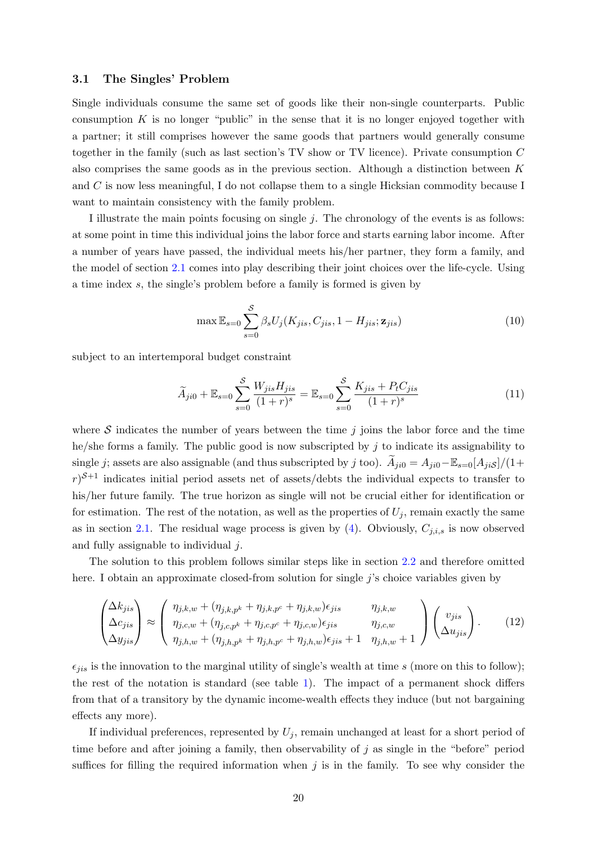#### <span id="page-19-0"></span>3.1 The Singles' Problem

Single individuals consume the same set of goods like their non-single counterparts. Public consumption  $K$  is no longer "public" in the sense that it is no longer enjoyed together with a partner; it still comprises however the same goods that partners would generally consume together in the family (such as last section's TV show or TV licence). Private consumption C also comprises the same goods as in the previous section. Although a distinction between K and C is now less meaningful, I do not collapse them to a single Hicksian commodity because I want to maintain consistency with the family problem.

I illustrate the main points focusing on single j. The chronology of the events is as follows: at some point in time this individual joins the labor force and starts earning labor income. After a number of years have passed, the individual meets his/her partner, they form a family, and the model of section [2.1](#page-5-1) comes into play describing their joint choices over the life-cycle. Using a time index s, the single's problem before a family is formed is given by

$$
\max \mathbb{E}_{s=0} \sum_{s=0}^{S} \beta_s U_j(K_{jis}, C_{jis}, 1 - H_{jis}; \mathbf{z}_{jis})
$$
\n(10)

subject to an intertemporal budget constraint

<span id="page-19-1"></span>
$$
\widetilde{A}_{ji0} + \mathbb{E}_{s=0} \sum_{s=0}^{S} \frac{W_{jis} H_{jis}}{(1+r)^s} = \mathbb{E}_{s=0} \sum_{s=0}^{S} \frac{K_{jis} + P_t C_{jis}}{(1+r)^s}
$$
\n(11)

where  $S$  indicates the number of years between the time j joins the labor force and the time he/she forms a family. The public good is now subscripted by  $j$  to indicate its assignability to single j; assets are also assignable (and thus subscripted by j too).  $\widetilde{A}_{ji0} = A_{ji0} - \mathbb{E}_{s=0}[A_{jiS}]/(1+\epsilon)$  $r^{S+1}$  indicates initial period assets net of assets/debts the individual expects to transfer to his/her future family. The true horizon as single will not be crucial either for identification or for estimation. The rest of the notation, as well as the properties of  $U_i$ , remain exactly the same as in section [2.1.](#page-5-1) The residual wage process is given by  $(4)$ . Obviously,  $C_{j,i,s}$  is now observed and fully assignable to individual j.

The solution to this problem follows similar steps like in section [2.2](#page-9-1) and therefore omitted here. I obtain an approximate closed-from solution for single j's choice variables given by

<span id="page-19-2"></span>
$$
\begin{pmatrix}\n\Delta k_{jis} \\
\Delta c_{jis} \\
\Delta y_{jis}\n\end{pmatrix} \approx \begin{pmatrix}\n\eta_{j,k,w} + (\eta_{j,k,p^k} + \eta_{j,k,p^c} + \eta_{j,k,w})\epsilon_{jis} & \eta_{j,k,w} \\
\eta_{j,c,w} + (\eta_{j,c,p^k} + \eta_{j,c,p^c} + \eta_{j,c,w})\epsilon_{jis} & \eta_{j,c,w} \\
\eta_{j,0,w} + (\eta_{j,h,p^k} + \eta_{j,h,p^c} + \eta_{j,h,w})\epsilon_{jis} + 1 & \eta_{j,h,w} + 1\n\end{pmatrix} \begin{pmatrix}\nv_{jis} \\
\Delta u_{jis}\n\end{pmatrix}.
$$
\n(12)

 $\epsilon_{jis}$  is the innovation to the marginal utility of single's wealth at time s (more on this to follow); the rest of the notation is standard (see table [1\)](#page-11-0). The impact of a permanent shock differs from that of a transitory by the dynamic income-wealth effects they induce (but not bargaining effects any more).

If individual preferences, represented by  $U_i$ , remain unchanged at least for a short period of time before and after joining a family, then observability of j as single in the "before" period suffices for filling the required information when  $j$  is in the family. To see why consider the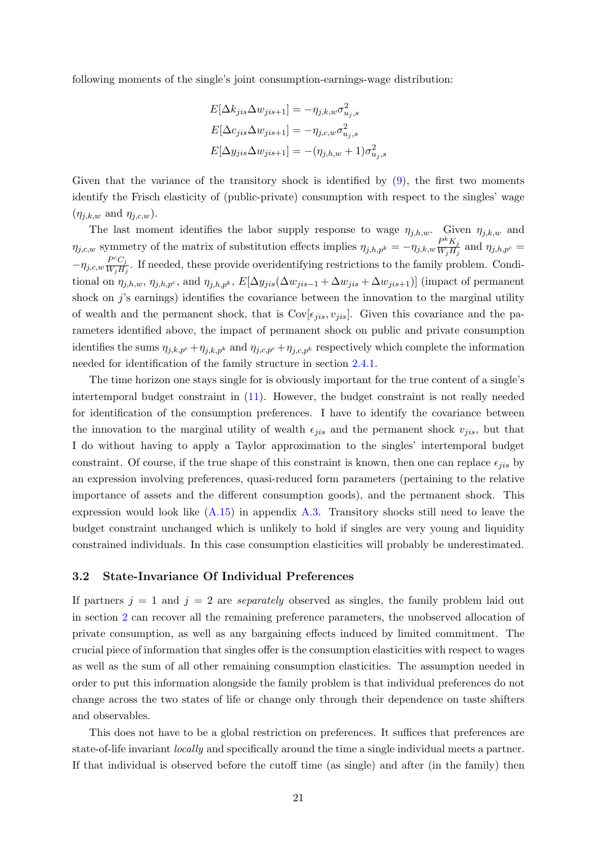following moments of the single's joint consumption-earnings-wage distribution:

$$
E[\Delta k_{jis}\Delta w_{jis+1}] = -\eta_{j,k,w}\sigma_{u_j,s}^2
$$
  
\n
$$
E[\Delta c_{jis}\Delta w_{jis+1}] = -\eta_{j,c,w}\sigma_{u_j,s}^2
$$
  
\n
$$
E[\Delta y_{jis}\Delta w_{jis+1}] = -(\eta_{j,h,w} + 1)\sigma_{u_j,s}^2
$$

Given that the variance of the transitory shock is identified by  $(9)$ , the first two moments identify the Frisch elasticity of (public-private) consumption with respect to the singles' wage  $(\eta_{j,k,w} \text{ and } \eta_{j,c,w}).$ 

The last moment identifies the labor supply response to wage  $\eta_{j,h,w}$ . Given  $\eta_{j,k,w}$  and  $\eta_{j,c,w}$  symmetry of the matrix of substitution effects implies  $\eta_{j,h,p^k} = -\eta_{j,k,w} \frac{P^k K_j}{W_i H^j}$  $\frac{F - K_j}{W_j H_j}$  and  $\eta_{j,h,p^c} =$  $-\eta_{j,c,w}\frac{P^cC_j}{W_iH}$  $\frac{F^{\prime}C_j}{W_jH_j}$ . If needed, these provide overidentifying restrictions to the family problem. Conditional on  $\eta_{j,h,w}, \eta_{j,h,p^c}$ , and  $\eta_{j,h,p^k}, E[\Delta y_{jis}(\Delta w_{jis-1} + \Delta w_{jis} + \Delta w_{jis+1})]$  (impact of permanent shock on j's earnings) identifies the covariance between the innovation to the marginal utility of wealth and the permanent shock, that is  $Cov[\epsilon_{jis}, v_{jis}]$ . Given this covariance and the parameters identified above, the impact of permanent shock on public and private consumption identifies the sums  $\eta_{j,k,p^c} + \eta_{j,k,p^k}$  and  $\eta_{j,c,p^c} + \eta_{j,c,p^k}$  respectively which complete the information needed for identification of the family structure in section [2.4.1.](#page-16-0)

The time horizon one stays single for is obviously important for the true content of a single's intertemporal budget constraint in [\(11\)](#page-19-1). However, the budget constraint is not really needed for identification of the consumption preferences. I have to identify the covariance between the innovation to the marginal utility of wealth  $\epsilon_{jis}$  and the permanent shock  $v_{jis}$ , but that I do without having to apply a Taylor approximation to the singles' intertemporal budget constraint. Of course, if the true shape of this constraint is known, then one can replace  $\epsilon_{iis}$  by an expression involving preferences, quasi-reduced form parameters (pertaining to the relative importance of assets and the different consumption goods), and the permanent shock. This expression would look like [\(A.15\)](#page-50-2) in appendix [A.3.](#page-48-1) Transitory shocks still need to leave the budget constraint unchanged which is unlikely to hold if singles are very young and liquidity constrained individuals. In this case consumption elasticities will probably be underestimated.

#### <span id="page-20-0"></span>3.2 State-Invariance Of Individual Preferences

If partners  $j = 1$  and  $j = 2$  are *separately* observed as singles, the family problem laid out in section [2](#page-5-0) can recover all the remaining preference parameters, the unobserved allocation of private consumption, as well as any bargaining effects induced by limited commitment. The crucial piece of information that singles offer is the consumption elasticities with respect to wages as well as the sum of all other remaining consumption elasticities. The assumption needed in order to put this information alongside the family problem is that individual preferences do not change across the two states of life or change only through their dependence on taste shifters and observables.

This does not have to be a global restriction on preferences. It suffices that preferences are state-of-life invariant locally and specifically around the time a single individual meets a partner. If that individual is observed before the cutoff time (as single) and after (in the family) then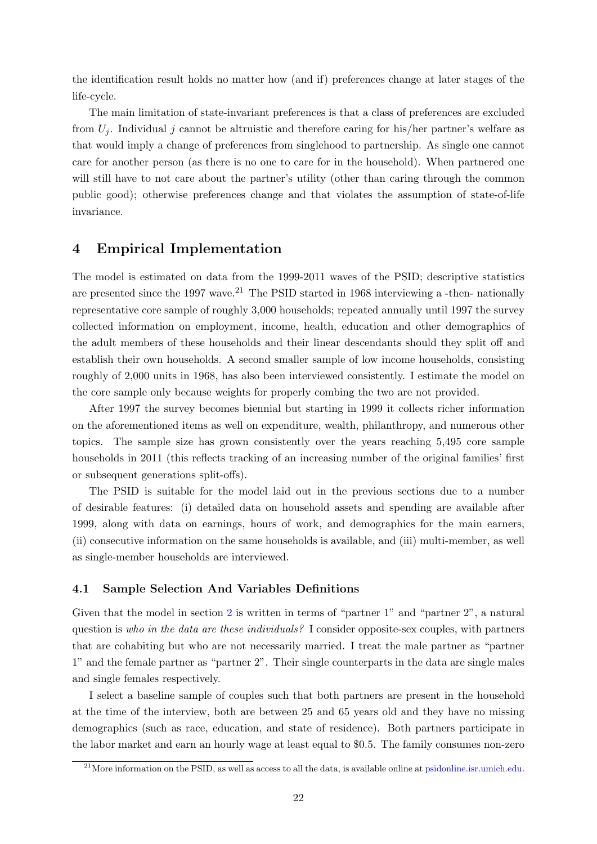the identification result holds no matter how (and if) preferences change at later stages of the life-cycle.

The main limitation of state-invariant preferences is that a class of preferences are excluded from  $U_i$ . Individual j cannot be altruistic and therefore caring for his/her partner's welfare as that would imply a change of preferences from singlehood to partnership. As single one cannot care for another person (as there is no one to care for in the household). When partnered one will still have to not care about the partner's utility (other than caring through the common public good); otherwise preferences change and that violates the assumption of state-of-life invariance.

## <span id="page-21-0"></span>4 Empirical Implementation

The model is estimated on data from the 1999-2011 waves of the PSID; descriptive statistics are presented since the 1997 wave.<sup>21</sup> The PSID started in 1968 interviewing a -then- nationally representative core sample of roughly 3,000 households; repeated annually until 1997 the survey collected information on employment, income, health, education and other demographics of the adult members of these households and their linear descendants should they split off and establish their own households. A second smaller sample of low income households, consisting roughly of 2,000 units in 1968, has also been interviewed consistently. I estimate the model on the core sample only because weights for properly combing the two are not provided.

After 1997 the survey becomes biennial but starting in 1999 it collects richer information on the aforementioned items as well on expenditure, wealth, philanthropy, and numerous other topics. The sample size has grown consistently over the years reaching 5,495 core sample households in 2011 (this reflects tracking of an increasing number of the original families' first or subsequent generations split-offs).

The PSID is suitable for the model laid out in the previous sections due to a number of desirable features: (i) detailed data on household assets and spending are available after 1999, along with data on earnings, hours of work, and demographics for the main earners, (ii) consecutive information on the same households is available, and (iii) multi-member, as well as single-member households are interviewed.

#### <span id="page-21-1"></span>4.1 Sample Selection And Variables Definitions

Given that the model in section [2](#page-5-0) is written in terms of "partner 1" and "partner 2", a natural question is who in the data are these individuals? I consider opposite-sex couples, with partners that are cohabiting but who are not necessarily married. I treat the male partner as "partner 1" and the female partner as "partner 2". Their single counterparts in the data are single males and single females respectively.

I select a baseline sample of couples such that both partners are present in the household at the time of the interview, both are between 25 and 65 years old and they have no missing demographics (such as race, education, and state of residence). Both partners participate in the labor market and earn an hourly wage at least equal to \$0.5. The family consumes non-zero

 $^{21}$ More information on the PSID, as well as access to all the data, is available online at [psidonline.isr.umich.edu.](http://psidonline.isr.umich.edu/)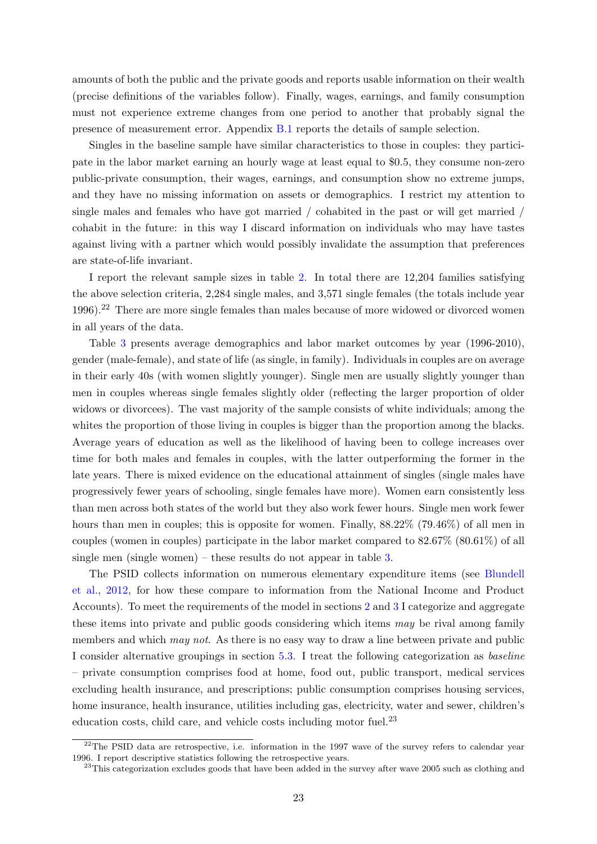amounts of both the public and the private goods and reports usable information on their wealth (precise definitions of the variables follow). Finally, wages, earnings, and family consumption must not experience extreme changes from one period to another that probably signal the presence of measurement error. Appendix [B.1](#page-54-0) reports the details of sample selection.

Singles in the baseline sample have similar characteristics to those in couples: they participate in the labor market earning an hourly wage at least equal to \$0.5, they consume non-zero public-private consumption, their wages, earnings, and consumption show no extreme jumps, and they have no missing information on assets or demographics. I restrict my attention to single males and females who have got married / cohabited in the past or will get married / cohabit in the future: in this way I discard information on individuals who may have tastes against living with a partner which would possibly invalidate the assumption that preferences are state-of-life invariant.

I report the relevant sample sizes in table [2.](#page-35-0) In total there are 12,204 families satisfying the above selection criteria, 2,284 single males, and 3,571 single females (the totals include year 1996).<sup>22</sup> There are more single females than males because of more widowed or divorced women in all years of the data.

Table [3](#page-36-0) presents average demographics and labor market outcomes by year (1996-2010), gender (male-female), and state of life (as single, in family). Individuals in couples are on average in their early 40s (with women slightly younger). Single men are usually slightly younger than men in couples whereas single females slightly older (reflecting the larger proportion of older widows or divorcees). The vast majority of the sample consists of white individuals; among the whites the proportion of those living in couples is bigger than the proportion among the blacks. Average years of education as well as the likelihood of having been to college increases over time for both males and females in couples, with the latter outperforming the former in the late years. There is mixed evidence on the educational attainment of singles (single males have progressively fewer years of schooling, single females have more). Women earn consistently less than men across both states of the world but they also work fewer hours. Single men work fewer hours than men in couples; this is opposite for women. Finally,  $88.22\%$  (79.46%) of all men in couples (women in couples) participate in the labor market compared to 82.67% (80.61%) of all single men (single women) – these results do not appear in table [3.](#page-36-0)

The PSID collects information on numerous elementary expenditure items (see [Blundell](#page-32-0) [et al.,](#page-32-0) [2012,](#page-32-0) for how these compare to information from the National Income and Product Accounts). To meet the requirements of the model in sections [2](#page-5-0) and [3](#page-18-0) I categorize and aggregate these items into private and public goods considering which items may be rival among family members and which *may not*. As there is no easy way to draw a line between private and public I consider alternative groupings in section [5.3.](#page-30-1) I treat the following categorization as baseline – private consumption comprises food at home, food out, public transport, medical services excluding health insurance, and prescriptions; public consumption comprises housing services, home insurance, health insurance, utilities including gas, electricity, water and sewer, children's education costs, child care, and vehicle costs including motor fuel.<sup>23</sup>

 $22$ The PSID data are retrospective, i.e. information in the 1997 wave of the survey refers to calendar year 1996. I report descriptive statistics following the retrospective years.

<sup>&</sup>lt;sup>23</sup>This categorization excludes goods that have been added in the survey after wave 2005 such as clothing and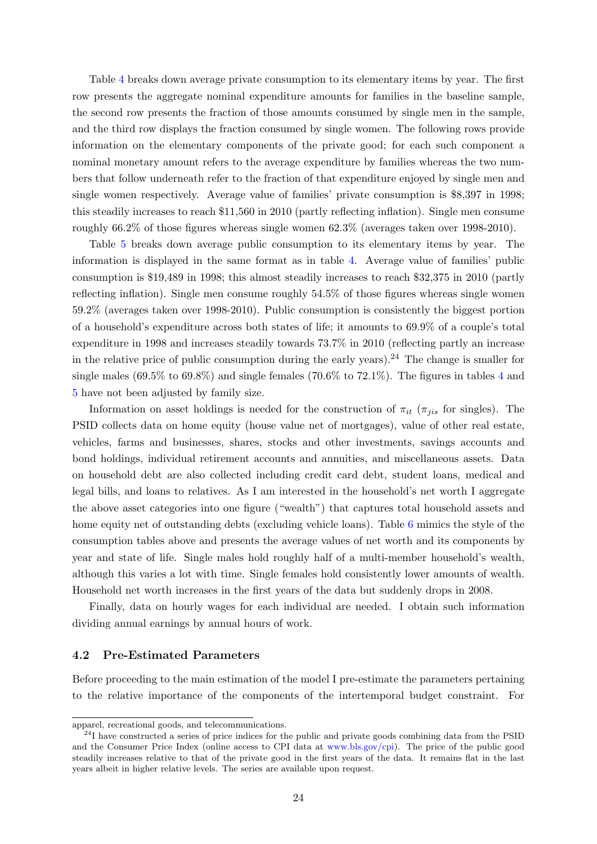Table [4](#page-38-0) breaks down average private consumption to its elementary items by year. The first row presents the aggregate nominal expenditure amounts for families in the baseline sample, the second row presents the fraction of those amounts consumed by single men in the sample, and the third row displays the fraction consumed by single women. The following rows provide information on the elementary components of the private good; for each such component a nominal monetary amount refers to the average expenditure by families whereas the two numbers that follow underneath refer to the fraction of that expenditure enjoyed by single men and single women respectively. Average value of families' private consumption is \$8,397 in 1998; this steadily increases to reach \$11,560 in 2010 (partly reflecting inflation). Single men consume roughly 66.2% of those figures whereas single women 62.3% (averages taken over 1998-2010).

Table [5](#page-39-0) breaks down average public consumption to its elementary items by year. The information is displayed in the same format as in table [4.](#page-38-0) Average value of families' public consumption is \$19,489 in 1998; this almost steadily increases to reach \$32,375 in 2010 (partly reflecting inflation). Single men consume roughly 54.5% of those figures whereas single women 59.2% (averages taken over 1998-2010). Public consumption is consistently the biggest portion of a household's expenditure across both states of life; it amounts to 69.9% of a couple's total expenditure in 1998 and increases steadily towards 73.7% in 2010 (reflecting partly an increase in the relative price of public consumption during the early years).<sup>24</sup> The change is smaller for single males  $(69.5\% \text{ to } 69.8\%)$  and single females  $(70.6\% \text{ to } 72.1\%)$ . The figures in tables [4](#page-38-0) and [5](#page-39-0) have not been adjusted by family size.

Information on asset holdings is needed for the construction of  $\pi_{it}$  ( $\pi_{jis}$  for singles). The PSID collects data on home equity (house value net of mortgages), value of other real estate, vehicles, farms and businesses, shares, stocks and other investments, savings accounts and bond holdings, individual retirement accounts and annuities, and miscellaneous assets. Data on household debt are also collected including credit card debt, student loans, medical and legal bills, and loans to relatives. As I am interested in the household's net worth I aggregate the above asset categories into one figure ("wealth") that captures total household assets and home equity net of outstanding debts (excluding vehicle loans). Table [6](#page-40-0) mimics the style of the consumption tables above and presents the average values of net worth and its components by year and state of life. Single males hold roughly half of a multi-member household's wealth, although this varies a lot with time. Single females hold consistently lower amounts of wealth. Household net worth increases in the first years of the data but suddenly drops in 2008.

Finally, data on hourly wages for each individual are needed. I obtain such information dividing annual earnings by annual hours of work.

#### <span id="page-23-0"></span>4.2 Pre-Estimated Parameters

Before proceeding to the main estimation of the model I pre-estimate the parameters pertaining to the relative importance of the components of the intertemporal budget constraint. For

apparel, recreational goods, and telecommunications.

<sup>&</sup>lt;sup>24</sup>I have constructed a series of price indices for the public and private goods combining data from the PSID and the Consumer Price Index (online access to CPI data at [www.bls.gov/cpi\)](http://www.bls.gov/cpi/). The price of the public good steadily increases relative to that of the private good in the first years of the data. It remains flat in the last years albeit in higher relative levels. The series are available upon request.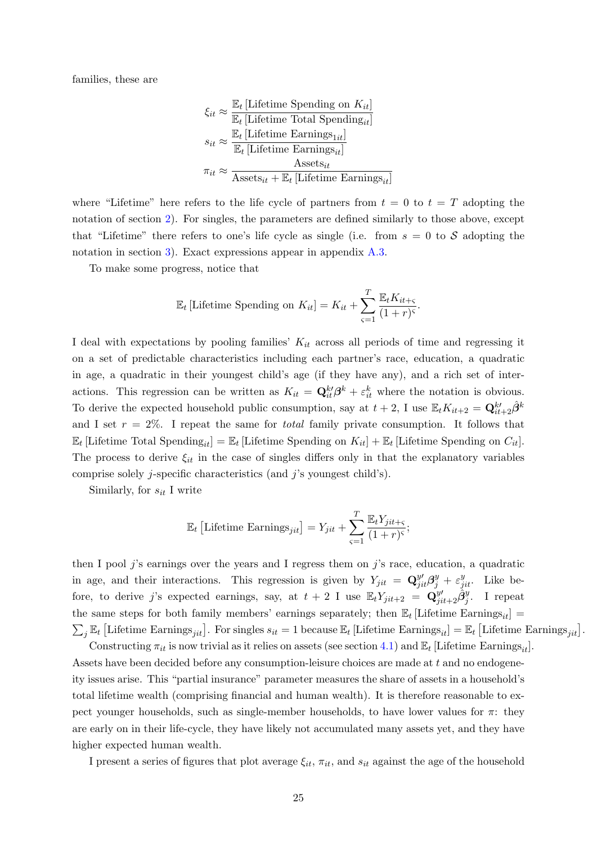families, these are

$$
\xi_{it} \approx \frac{\mathbb{E}_t \left[\text{Lifetime Spending on } K_{it}\right]}{\mathbb{E}_t \left[\text{Lifetime Total Spending}_{it}\right]}
$$
\n
$$
s_{it} \approx \frac{\mathbb{E}_t \left[\text{Lifetime Earning}_{1it}\right]}{\mathbb{E}_t \left[\text{Lifetime Earning}_{it}\right]}
$$
\n
$$
\pi_{it} \approx \frac{\text{Assets}_{it}}{\text{Assets}_{it} + \mathbb{E}_t \left[\text{Lifetime Earning}_{it}\right]}
$$

where "Lifetime" here refers to the life cycle of partners from  $t = 0$  to  $t = T$  adopting the notation of section [2\)](#page-5-0). For singles, the parameters are defined similarly to those above, except that "Lifetime" there refers to one's life cycle as single (i.e. from  $s = 0$  to S adopting the notation in section [3\)](#page-18-0). Exact expressions appear in appendix [A.3.](#page-48-1)

To make some progress, notice that

$$
\mathbb{E}_{t} \left[ \text{Lifetime Spending on } K_{it} \right] = K_{it} + \sum_{\varsigma=1}^{T} \frac{\mathbb{E}_{t} K_{it+\varsigma}}{(1+r)^{\varsigma}}.
$$

I deal with expectations by pooling families'  $K_{it}$  across all periods of time and regressing it on a set of predictable characteristics including each partner's race, education, a quadratic in age, a quadratic in their youngest child's age (if they have any), and a rich set of interactions. This regression can be written as  $K_{it} = \mathbf{Q}_{it}^{k} \beta^k + \varepsilon_{it}^k$  where the notation is obvious. To derive the expected household public consumption, say at  $t + 2$ , I use  $\mathbb{E}_t K_{it+2} = \mathbf{Q}_{it+2}^{k'} \hat{\beta}^k$ and I set  $r = 2\%$ . I repeat the same for *total* family private consumption. It follows that  $\mathbb{E}_t$  [Lifetime Total Spending<sub>it</sub>] =  $\mathbb{E}_t$  [Lifetime Spending on  $K_{it}$ ] +  $\mathbb{E}_t$  [Lifetime Spending on  $C_{it}$ ]. The process to derive  $\xi_{it}$  in the case of singles differs only in that the explanatory variables comprise solely  $j$ -specific characteristics (and  $j$ 's youngest child's).

Similarly, for  $s_{it}$  I write

$$
\mathbb{E}_{t}\left[\text{Lifetime Earnings}_{jit}\right] = Y_{jit} + \sum_{\varsigma=1}^{T} \frac{\mathbb{E}_{t} Y_{jit + \varsigma}}{(1+r)^{\varsigma}};
$$

then I pool j's earnings over the years and I regress them on j's race, education, a quadratic in age, and their interactions. This regression is given by  $Y_{jit} = \mathbf{Q}_{jit}^{y} \mathbf{\beta}_j^y + \varepsilon_{jit}^y$ . Like before, to derive j's expected earnings, say, at  $t+2$  I use  $\mathbb{E}_t Y_{jit+2} = \mathbf{Q}_{jit+2}^{y'} \hat{\beta}_j^y$ . I repeat the same steps for both family members' earnings separately; then  $\mathbb{E}_t$  [Lifetime Earnings<sub>it</sub>] =  $\sum_j \mathbb{E}_t$  [Lifetime Earnings<sub>jit</sub>]. For singles  $s_{it} = 1$  because  $\mathbb{E}_t$  [Lifetime Earnings<sub>it</sub>] =  $\mathbb{E}_t$  [Lifetime Earnings<sub>jit</sub>].

Constructing  $\pi_{it}$  is now trivial as it relies on assets (see section [4.1\)](#page-21-1) and  $\mathbb{E}_t$  [Lifetime Earnings<sub>it</sub>]. Assets have been decided before any consumption-leisure choices are made at t and no endogeneity issues arise. This "partial insurance" parameter measures the share of assets in a household's total lifetime wealth (comprising financial and human wealth). It is therefore reasonable to expect younger households, such as single-member households, to have lower values for  $\pi$ : they are early on in their life-cycle, they have likely not accumulated many assets yet, and they have higher expected human wealth.

I present a series of figures that plot average  $\xi_{it}$ ,  $\pi_{it}$ , and  $s_{it}$  against the age of the household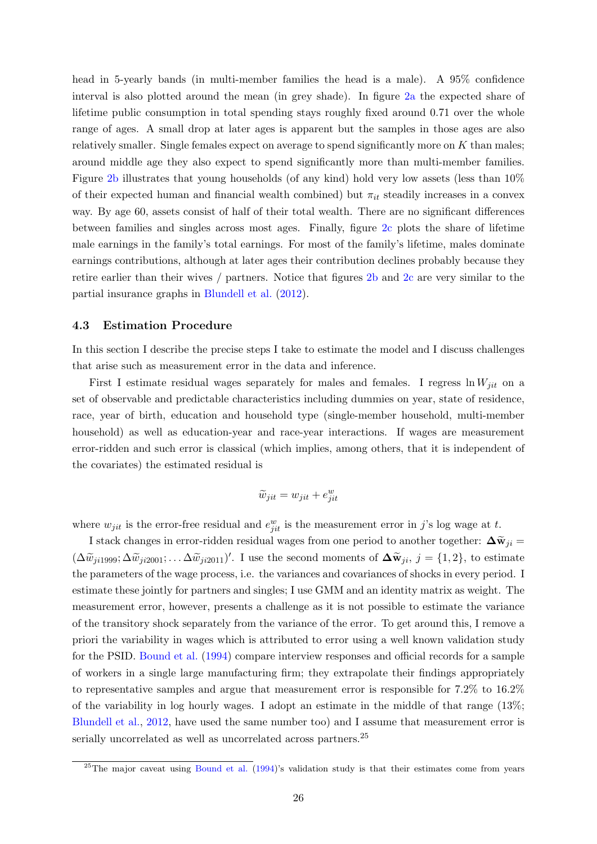head in 5-yearly bands (in multi-member families the head is a male). A 95% confidence interval is also plotted around the mean (in grey shade). In figure [2a](#page-41-0) the expected share of lifetime public consumption in total spending stays roughly fixed around 0.71 over the whole range of ages. A small drop at later ages is apparent but the samples in those ages are also relatively smaller. Single females expect on average to spend significantly more on K than males; around middle age they also expect to spend significantly more than multi-member families. Figure [2b](#page-41-0) illustrates that young households (of any kind) hold very low assets (less than 10% of their expected human and financial wealth combined) but  $\pi_{it}$  steadily increases in a convex way. By age 60, assets consist of half of their total wealth. There are no significant differences between families and singles across most ages. Finally, figure [2c](#page-41-0) plots the share of lifetime male earnings in the family's total earnings. For most of the family's lifetime, males dominate earnings contributions, although at later ages their contribution declines probably because they retire earlier than their wives / partners. Notice that figures [2b](#page-41-0) and [2c](#page-41-0) are very similar to the partial insurance graphs in [Blundell et al.](#page-32-0) [\(2012\)](#page-32-0).

#### <span id="page-25-0"></span>4.3 Estimation Procedure

In this section I describe the precise steps I take to estimate the model and I discuss challenges that arise such as measurement error in the data and inference.

First I estimate residual wages separately for males and females. I regress  $\ln W_{jit}$  on a set of observable and predictable characteristics including dummies on year, state of residence, race, year of birth, education and household type (single-member household, multi-member household) as well as education-year and race-year interactions. If wages are measurement error-ridden and such error is classical (which implies, among others, that it is independent of the covariates) the estimated residual is

$$
\widetilde{w}_{jit} = w_{jit} + e_{jit}^w
$$

where  $w_{jit}$  is the error-free residual and  $e_{jit}^w$  is the measurement error in j's log wage at t.

I stack changes in error-ridden residual wages from one period to another together:  $\Delta \tilde{w}_{ji} =$  $(\Delta \widetilde{w}_{ji1999}; \Delta \widetilde{w}_{ji2001}; \ldots \Delta \widetilde{w}_{ji2011})'$ . I use the second moments of  $\Delta \widetilde{w}_{ji}, j = \{1, 2\}$ , to estimate the parameters of the wage process, i.e. the variances and covariances of shocks in every period. I estimate these jointly for partners and singles; I use GMM and an identity matrix as weight. The measurement error, however, presents a challenge as it is not possible to estimate the variance of the transitory shock separately from the variance of the error. To get around this, I remove a priori the variability in wages which is attributed to error using a well known validation study for the PSID. [Bound et al.](#page-32-14) [\(1994\)](#page-32-14) compare interview responses and official records for a sample of workers in a single large manufacturing firm; they extrapolate their findings appropriately to representative samples and argue that measurement error is responsible for 7.2% to 16.2% of the variability in log hourly wages. I adopt an estimate in the middle of that range (13%; [Blundell et al.,](#page-32-0) [2012,](#page-32-0) have used the same number too) and I assume that measurement error is serially uncorrelated as well as uncorrelated across partners.<sup>25</sup>

<sup>&</sup>lt;sup>25</sup>The major caveat using [Bound et al.](#page-32-14)  $(1994)$ 's validation study is that their estimates come from years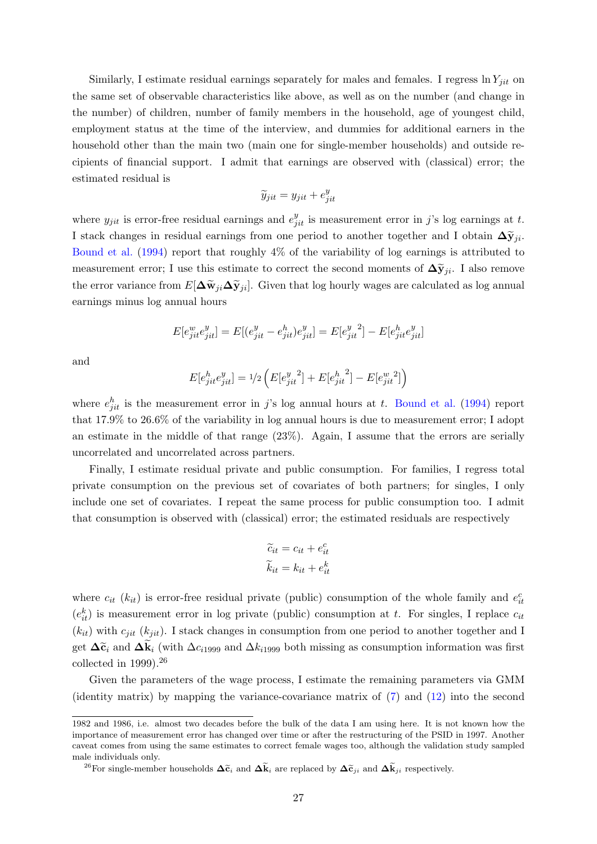Similarly, I estimate residual earnings separately for males and females. I regress  $\ln Y_{jit}$  on the same set of observable characteristics like above, as well as on the number (and change in the number) of children, number of family members in the household, age of youngest child, employment status at the time of the interview, and dummies for additional earners in the household other than the main two (main one for single-member households) and outside recipients of financial support. I admit that earnings are observed with (classical) error; the estimated residual is

$$
\widetilde{y}_{jit} = y_{jit} + e_{jit}^y
$$

where  $y_{jit}$  is error-free residual earnings and  $e_{jit}^y$  is measurement error in j's log earnings at t. I stack changes in residual earnings from one period to another together and I obtain  $\Delta \tilde{y}_{ji}$ . [Bound et al.](#page-32-14) [\(1994\)](#page-32-14) report that roughly 4% of the variability of log earnings is attributed to measurement error; I use this estimate to correct the second moments of  $\Delta \tilde{y}_{ji}$ . I also remove the error variance from  $E[\Delta \widetilde{\mathbf{w}}_{ji}\Delta \widetilde{\mathbf{y}}_{ji}]$ . Given that log hourly wages are calculated as log annual earnings minus log annual hours

$$
E[e_{jit}^w e_{jit}^y] = E[(e_{jit}^y - e_{jit}^h)e_{jit}^y] = E[e_{jit}^y{}^2] - E[e_{jit}^h e_{jit}^y]
$$

and

$$
E[e_{jit}^h e_{jit}^y] = \frac{1}{2} \left( E[e_{jit}^y]^2 + E[e_{jit}^h{}^2] - E[e_{jit}^w{}^2] \right)
$$

where  $e_{jit}^h$  is the measurement error in j's log annual hours at t. [Bound et al.](#page-32-14) [\(1994\)](#page-32-14) report that 17.9% to 26.6% of the variability in log annual hours is due to measurement error; I adopt an estimate in the middle of that range (23%). Again, I assume that the errors are serially uncorrelated and uncorrelated across partners.

Finally, I estimate residual private and public consumption. For families, I regress total private consumption on the previous set of covariates of both partners; for singles, I only include one set of covariates. I repeat the same process for public consumption too. I admit that consumption is observed with (classical) error; the estimated residuals are respectively

$$
\widetilde{c}_{it} = c_{it} + e_{it}^c
$$

$$
\widetilde{k}_{it} = k_{it} + e_{it}^k
$$

where  $c_{it}$  ( $k_{it}$ ) is error-free residual private (public) consumption of the whole family and  $e_{it}^c$  $(e_{it}^k)$  is measurement error in log private (public) consumption at t. For singles, I replace  $c_{it}$  $(k_{it})$  with  $c_{jit}$  ( $k_{jit}$ ). I stack changes in consumption from one period to another together and I get  $\Delta \tilde{\epsilon}_i$  and  $\Delta k_i$  (with  $\Delta c_{i1999}$  and  $\Delta k_{i1999}$  both missing as consumption information was first collected in  $1999$ ).<sup>26</sup>

Given the parameters of the wage process, I estimate the remaining parameters via GMM (identity matrix) by mapping the variance-covariance matrix of [\(7\)](#page-10-0) and [\(12\)](#page-19-2) into the second

<sup>1982</sup> and 1986, i.e. almost two decades before the bulk of the data I am using here. It is not known how the importance of measurement error has changed over time or after the restructuring of the PSID in 1997. Another caveat comes from using the same estimates to correct female wages too, although the validation study sampled male individuals only.

<sup>&</sup>lt;sup>26</sup>For single-member households  $\Delta \tilde{\epsilon}_i$  and  $\Delta \tilde{k}_i$  are replaced by  $\Delta \tilde{\epsilon}_{ji}$  and  $\Delta \tilde{k}_{ji}$  respectively.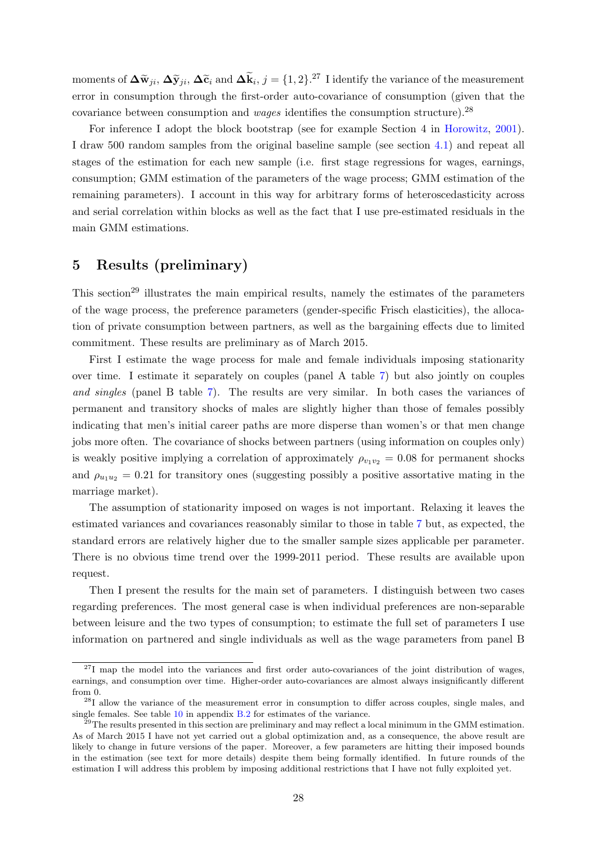moments of  $\Delta \widetilde{\mathbf{w}}_{ji}$ ,  $\Delta \widetilde{\mathbf{y}}_{ji}$ ,  $\Delta \widetilde{\mathbf{c}}_i$  and  $\Delta \widetilde{\mathbf{k}}_i$ ,  $j = \{1, 2\}$ .<sup>27</sup> I identify the variance of the measurement error in consumption through the first-order auto-covariance of consumption (given that the covariance between consumption and *wages* identifies the consumption structure).<sup>28</sup>

For inference I adopt the block bootstrap (see for example Section 4 in [Horowitz,](#page-33-14) [2001\)](#page-33-14). I draw 500 random samples from the original baseline sample (see section [4.1\)](#page-21-1) and repeat all stages of the estimation for each new sample (i.e. first stage regressions for wages, earnings, consumption; GMM estimation of the parameters of the wage process; GMM estimation of the remaining parameters). I account in this way for arbitrary forms of heteroscedasticity across and serial correlation within blocks as well as the fact that I use pre-estimated residuals in the main GMM estimations.

## <span id="page-27-0"></span>5 Results (preliminary)

This section<sup>29</sup> illustrates the main empirical results, namely the estimates of the parameters of the wage process, the preference parameters (gender-specific Frisch elasticities), the allocation of private consumption between partners, as well as the bargaining effects due to limited commitment. These results are preliminary as of March 2015.

First I estimate the wage process for male and female individuals imposing stationarity over time. I estimate it separately on couples (panel A table [7\)](#page-42-0) but also jointly on couples and singles (panel B table [7\)](#page-42-0). The results are very similar. In both cases the variances of permanent and transitory shocks of males are slightly higher than those of females possibly indicating that men's initial career paths are more disperse than women's or that men change jobs more often. The covariance of shocks between partners (using information on couples only) is weakly positive implying a correlation of approximately  $\rho_{v_1v_2} = 0.08$  for permanent shocks and  $\rho_{u_1u_2} = 0.21$  for transitory ones (suggesting possibly a positive assortative mating in the marriage market).

The assumption of stationarity imposed on wages is not important. Relaxing it leaves the estimated variances and covariances reasonably similar to those in table [7](#page-42-0) but, as expected, the standard errors are relatively higher due to the smaller sample sizes applicable per parameter. There is no obvious time trend over the 1999-2011 period. These results are available upon request.

Then I present the results for the main set of parameters. I distinguish between two cases regarding preferences. The most general case is when individual preferences are non-separable between leisure and the two types of consumption; to estimate the full set of parameters I use information on partnered and single individuals as well as the wage parameters from panel B

 $27$ I map the model into the variances and first order auto-covariances of the joint distribution of wages, earnings, and consumption over time. Higher-order auto-covariances are almost always insignificantly different from 0.

<sup>&</sup>lt;sup>28</sup>I allow the variance of the measurement error in consumption to differ across couples, single males, and single females. See table  $10$  in appendix  $B.2$  for estimates of the variance.

 $^{29}$ The results presented in this section are preliminary and may reflect a local minimum in the GMM estimation. As of March 2015 I have not yet carried out a global optimization and, as a consequence, the above result are likely to change in future versions of the paper. Moreover, a few parameters are hitting their imposed bounds in the estimation (see text for more details) despite them being formally identified. In future rounds of the estimation I will address this problem by imposing additional restrictions that I have not fully exploited yet.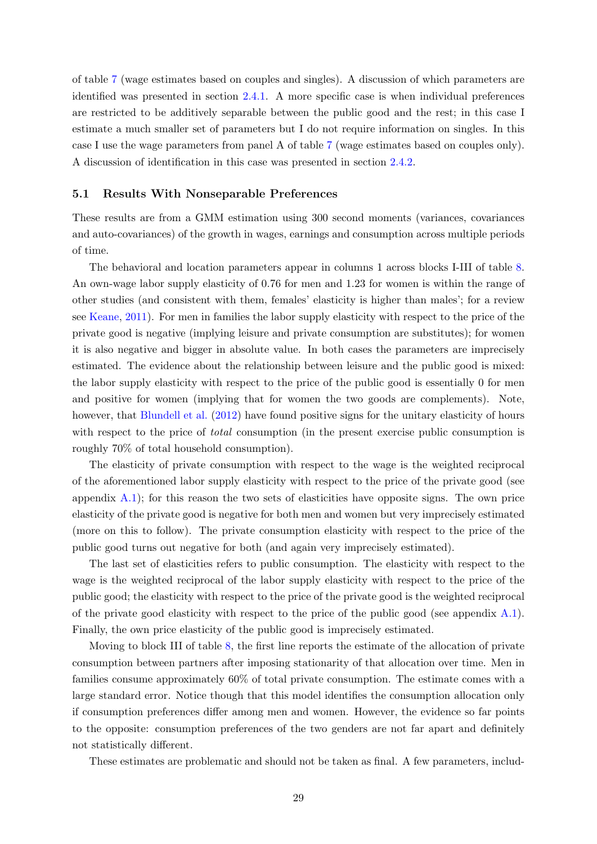of table [7](#page-42-0) (wage estimates based on couples and singles). A discussion of which parameters are identified was presented in section [2.4.1.](#page-16-0) A more specific case is when individual preferences are restricted to be additively separable between the public good and the rest; in this case I estimate a much smaller set of parameters but I do not require information on singles. In this case I use the wage parameters from panel A of table [7](#page-42-0) (wage estimates based on couples only). A discussion of identification in this case was presented in section [2.4.2.](#page-18-1)

#### 5.1 Results With Nonseparable Preferences

These results are from a GMM estimation using 300 second moments (variances, covariances and auto-covariances) of the growth in wages, earnings and consumption across multiple periods of time.

The behavioral and location parameters appear in columns 1 across blocks I-III of table [8.](#page-43-0) An own-wage labor supply elasticity of 0.76 for men and 1.23 for women is within the range of other studies (and consistent with them, females' elasticity is higher than males'; for a review see [Keane,](#page-33-15) [2011\)](#page-33-15). For men in families the labor supply elasticity with respect to the price of the private good is negative (implying leisure and private consumption are substitutes); for women it is also negative and bigger in absolute value. In both cases the parameters are imprecisely estimated. The evidence about the relationship between leisure and the public good is mixed: the labor supply elasticity with respect to the price of the public good is essentially 0 for men and positive for women (implying that for women the two goods are complements). Note, however, that [Blundell et al.](#page-32-0) [\(2012\)](#page-32-0) have found positive signs for the unitary elasticity of hours with respect to the price of *total* consumption (in the present exercise public consumption is roughly 70% of total household consumption).

The elasticity of private consumption with respect to the wage is the weighted reciprocal of the aforementioned labor supply elasticity with respect to the price of the private good (see appendix [A.1\)](#page-45-0); for this reason the two sets of elasticities have opposite signs. The own price elasticity of the private good is negative for both men and women but very imprecisely estimated (more on this to follow). The private consumption elasticity with respect to the price of the public good turns out negative for both (and again very imprecisely estimated).

The last set of elasticities refers to public consumption. The elasticity with respect to the wage is the weighted reciprocal of the labor supply elasticity with respect to the price of the public good; the elasticity with respect to the price of the private good is the weighted reciprocal of the private good elasticity with respect to the price of the public good (see appendix  $A.1$ ). Finally, the own price elasticity of the public good is imprecisely estimated.

Moving to block III of table [8,](#page-43-0) the first line reports the estimate of the allocation of private consumption between partners after imposing stationarity of that allocation over time. Men in families consume approximately 60% of total private consumption. The estimate comes with a large standard error. Notice though that this model identifies the consumption allocation only if consumption preferences differ among men and women. However, the evidence so far points to the opposite: consumption preferences of the two genders are not far apart and definitely not statistically different.

These estimates are problematic and should not be taken as final. A few parameters, includ-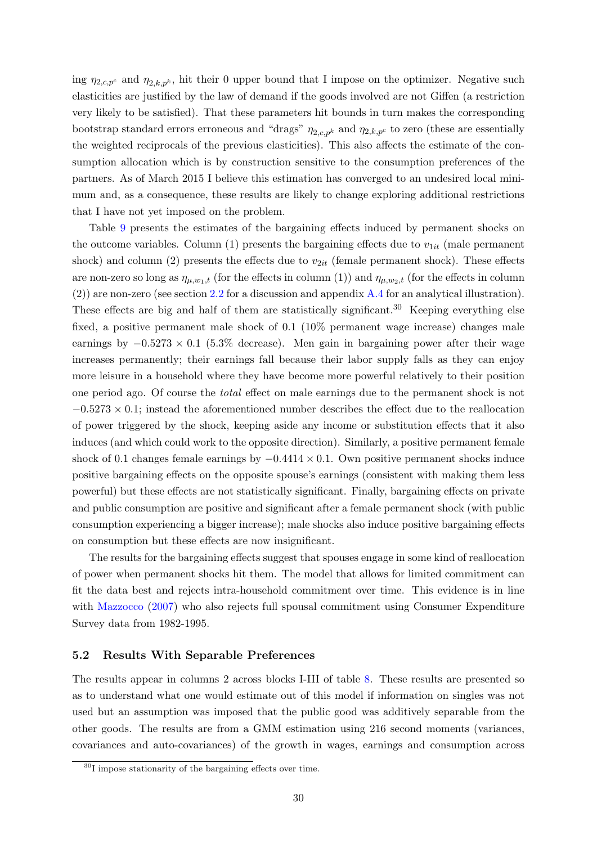ing  $\eta_{2,c,p^c}$  and  $\eta_{2,k,p^k}$ , hit their 0 upper bound that I impose on the optimizer. Negative such elasticities are justified by the law of demand if the goods involved are not Giffen (a restriction very likely to be satisfied). That these parameters hit bounds in turn makes the corresponding bootstrap standard errors erroneous and "drags"  $\eta_{2,c,p^k}$  and  $\eta_{2,k,p^c}$  to zero (these are essentially the weighted reciprocals of the previous elasticities). This also affects the estimate of the consumption allocation which is by construction sensitive to the consumption preferences of the partners. As of March 2015 I believe this estimation has converged to an undesired local minimum and, as a consequence, these results are likely to change exploring additional restrictions that I have not yet imposed on the problem.

Table [9](#page-44-0) presents the estimates of the bargaining effects induced by permanent shocks on the outcome variables. Column (1) presents the bargaining effects due to  $v_{1it}$  (male permanent shock) and column (2) presents the effects due to  $v_{2it}$  (female permanent shock). These effects are non-zero so long as  $\eta_{\mu,w_1,t}$  (for the effects in column (1)) and  $\eta_{\mu,w_2,t}$  (for the effects in column  $(2)$ ) are non-zero (see section [2.2](#page-9-1) for a discussion and appendix [A.4](#page-50-0) for an analytical illustration). These effects are big and half of them are statistically significant.<sup>30</sup> Keeping everything else fixed, a positive permanent male shock of 0.1 (10% permanent wage increase) changes male earnings by  $-0.5273 \times 0.1$  (5.3% decrease). Men gain in bargaining power after their wage increases permanently; their earnings fall because their labor supply falls as they can enjoy more leisure in a household where they have become more powerful relatively to their position one period ago. Of course the total effect on male earnings due to the permanent shock is not  $-0.5273 \times 0.1$ ; instead the aforementioned number describes the effect due to the reallocation of power triggered by the shock, keeping aside any income or substitution effects that it also induces (and which could work to the opposite direction). Similarly, a positive permanent female shock of 0.1 changes female earnings by  $-0.4414 \times 0.1$ . Own positive permanent shocks induce positive bargaining effects on the opposite spouse's earnings (consistent with making them less powerful) but these effects are not statistically significant. Finally, bargaining effects on private and public consumption are positive and significant after a female permanent shock (with public consumption experiencing a bigger increase); male shocks also induce positive bargaining effects on consumption but these effects are now insignificant.

The results for the bargaining effects suggest that spouses engage in some kind of reallocation of power when permanent shocks hit them. The model that allows for limited commitment can fit the data best and rejects intra-household commitment over time. This evidence is in line with [Mazzocco](#page-34-0) [\(2007\)](#page-34-0) who also rejects full spousal commitment using Consumer Expenditure Survey data from 1982-1995.

#### 5.2 Results With Separable Preferences

The results appear in columns 2 across blocks I-III of table [8.](#page-43-0) These results are presented so as to understand what one would estimate out of this model if information on singles was not used but an assumption was imposed that the public good was additively separable from the other goods. The results are from a GMM estimation using 216 second moments (variances, covariances and auto-covariances) of the growth in wages, earnings and consumption across

<sup>30</sup>I impose stationarity of the bargaining effects over time.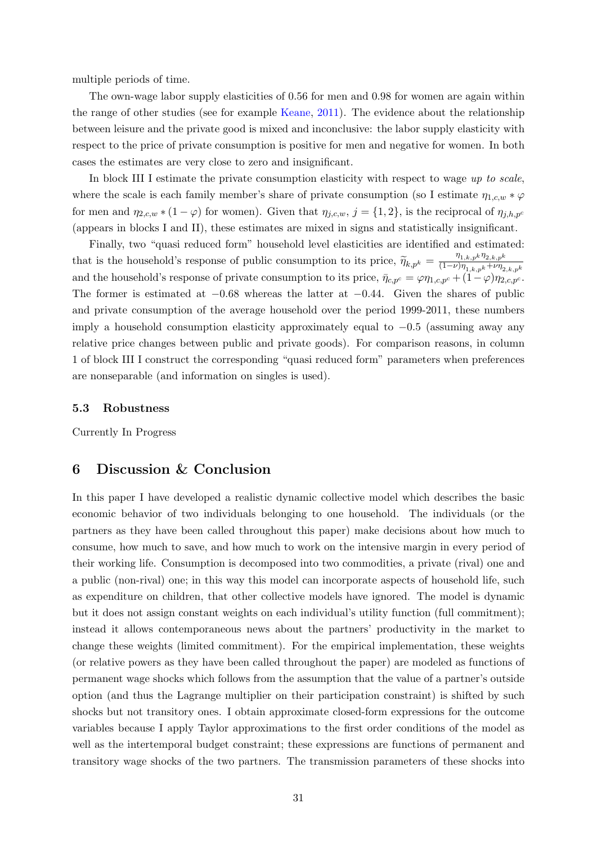multiple periods of time.

The own-wage labor supply elasticities of 0.56 for men and 0.98 for women are again within the range of other studies (see for example [Keane,](#page-33-15) [2011\)](#page-33-15). The evidence about the relationship between leisure and the private good is mixed and inconclusive: the labor supply elasticity with respect to the price of private consumption is positive for men and negative for women. In both cases the estimates are very close to zero and insignificant.

In block III I estimate the private consumption elasticity with respect to wage up to scale, where the scale is each family member's share of private consumption (so I estimate  $\eta_{1,c,w} * \varphi$ for men and  $\eta_{2,c,w} * (1 - \varphi)$  for women). Given that  $\eta_{j,c,w}$ ,  $j = \{1,2\}$ , is the reciprocal of  $\eta_{j,h,p}$ (appears in blocks I and II), these estimates are mixed in signs and statistically insignificant.

Finally, two "quasi reduced form" household level elasticities are identified and estimated: that is the household's response of public consumption to its price,  $\widetilde{\eta}_{k,p^k} = \frac{\eta_{1,k,p^k}\eta_{2,k,p^k}}{(1-\nu)\eta_{1,k,p^k}+\nu\eta_2}$  $(1-\nu)\eta_{1,k,pk} + \nu \eta_{2,k,pk}$ and the household's response of private consumption to its price,  $\bar{\eta}_{c,p^c} = \varphi \eta_{1,c,p^c} + (1-\varphi)\eta_{2,c,p^c}$ . The former is estimated at  $-0.68$  whereas the latter at  $-0.44$ . Given the shares of public and private consumption of the average household over the period 1999-2011, these numbers imply a household consumption elasticity approximately equal to  $-0.5$  (assuming away any relative price changes between public and private goods). For comparison reasons, in column 1 of block III I construct the corresponding "quasi reduced form" parameters when preferences are nonseparable (and information on singles is used).

#### <span id="page-30-1"></span>5.3 Robustness

Currently In Progress

## <span id="page-30-0"></span>6 Discussion & Conclusion

In this paper I have developed a realistic dynamic collective model which describes the basic economic behavior of two individuals belonging to one household. The individuals (or the partners as they have been called throughout this paper) make decisions about how much to consume, how much to save, and how much to work on the intensive margin in every period of their working life. Consumption is decomposed into two commodities, a private (rival) one and a public (non-rival) one; in this way this model can incorporate aspects of household life, such as expenditure on children, that other collective models have ignored. The model is dynamic but it does not assign constant weights on each individual's utility function (full commitment); instead it allows contemporaneous news about the partners' productivity in the market to change these weights (limited commitment). For the empirical implementation, these weights (or relative powers as they have been called throughout the paper) are modeled as functions of permanent wage shocks which follows from the assumption that the value of a partner's outside option (and thus the Lagrange multiplier on their participation constraint) is shifted by such shocks but not transitory ones. I obtain approximate closed-form expressions for the outcome variables because I apply Taylor approximations to the first order conditions of the model as well as the intertemporal budget constraint; these expressions are functions of permanent and transitory wage shocks of the two partners. The transmission parameters of these shocks into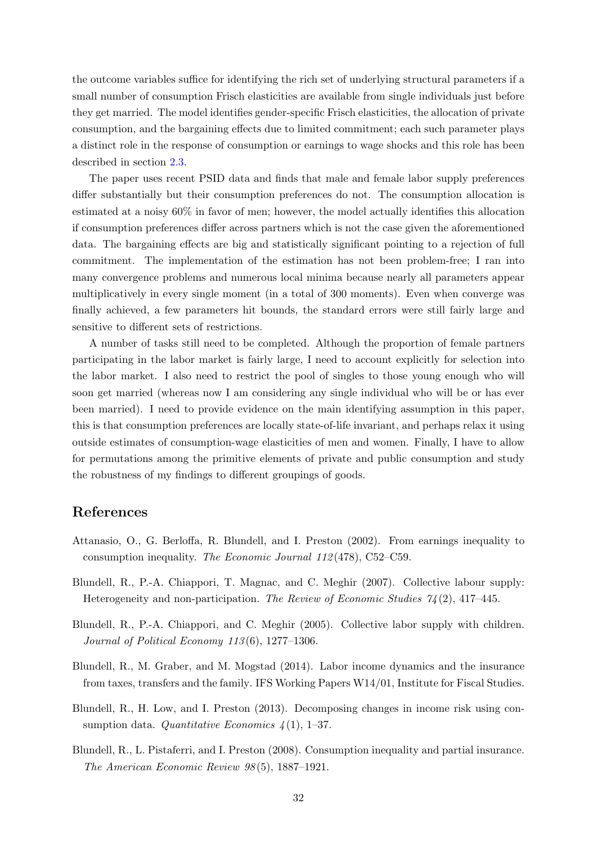the outcome variables suffice for identifying the rich set of underlying structural parameters if a small number of consumption Frisch elasticities are available from single individuals just before they get married. The model identifies gender-specific Frisch elasticities, the allocation of private consumption, and the bargaining effects due to limited commitment; each such parameter plays a distinct role in the response of consumption or earnings to wage shocks and this role has been described in section [2.3.](#page-13-1)

The paper uses recent PSID data and finds that male and female labor supply preferences differ substantially but their consumption preferences do not. The consumption allocation is estimated at a noisy 60% in favor of men; however, the model actually identifies this allocation if consumption preferences differ across partners which is not the case given the aforementioned data. The bargaining effects are big and statistically significant pointing to a rejection of full commitment. The implementation of the estimation has not been problem-free; I ran into many convergence problems and numerous local minima because nearly all parameters appear multiplicatively in every single moment (in a total of 300 moments). Even when converge was finally achieved, a few parameters hit bounds, the standard errors were still fairly large and sensitive to different sets of restrictions.

A number of tasks still need to be completed. Although the proportion of female partners participating in the labor market is fairly large, I need to account explicitly for selection into the labor market. I also need to restrict the pool of singles to those young enough who will soon get married (whereas now I am considering any single individual who will be or has ever been married). I need to provide evidence on the main identifying assumption in this paper, this is that consumption preferences are locally state-of-life invariant, and perhaps relax it using outside estimates of consumption-wage elasticities of men and women. Finally, I have to allow for permutations among the primitive elements of private and public consumption and study the robustness of my findings to different groupings of goods.

## References

- <span id="page-31-3"></span>Attanasio, O., G. Berloffa, R. Blundell, and I. Preston (2002). From earnings inequality to consumption inequality. The Economic Journal 112 (478), C52–C59.
- <span id="page-31-2"></span>Blundell, R., P.-A. Chiappori, T. Magnac, and C. Meghir (2007). Collective labour supply: Heterogeneity and non-participation. The Review of Economic Studies 74 (2), 417–445.
- <span id="page-31-1"></span>Blundell, R., P.-A. Chiappori, and C. Meghir (2005). Collective labor supply with children. Journal of Political Economy 113 (6), 1277–1306.
- <span id="page-31-4"></span>Blundell, R., M. Graber, and M. Mogstad (2014). Labor income dynamics and the insurance from taxes, transfers and the family. IFS Working Papers W14/01, Institute for Fiscal Studies.
- <span id="page-31-5"></span>Blundell, R., H. Low, and I. Preston (2013). Decomposing changes in income risk using consumption data. Quantitative Economics  $\mathcal{A}(1)$ , 1–37.
- <span id="page-31-0"></span>Blundell, R., L. Pistaferri, and I. Preston (2008). Consumption inequality and partial insurance. The American Economic Review 98 (5), 1887–1921.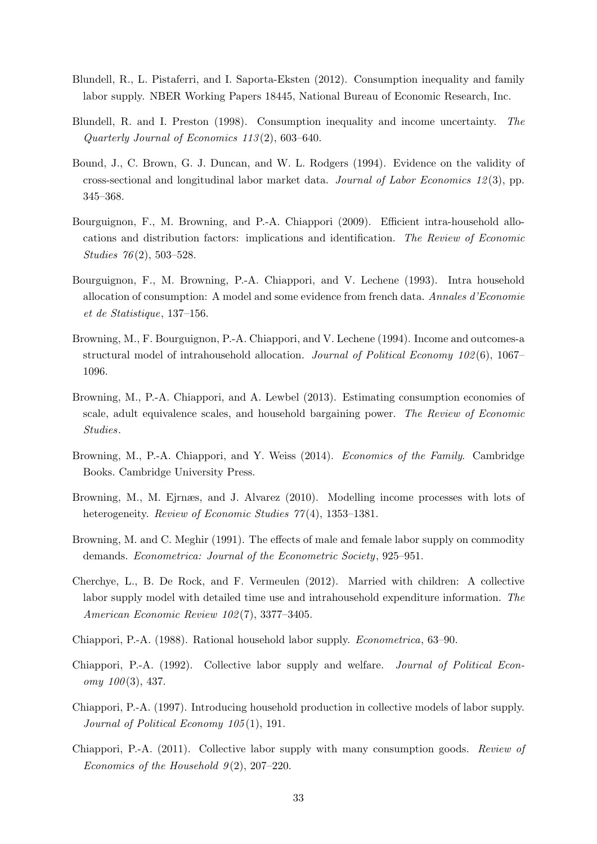- <span id="page-32-0"></span>Blundell, R., L. Pistaferri, and I. Saporta-Eksten (2012). Consumption inequality and family labor supply. NBER Working Papers 18445, National Bureau of Economic Research, Inc.
- <span id="page-32-1"></span>Blundell, R. and I. Preston (1998). Consumption inequality and income uncertainty. The Quarterly Journal of Economics 113 (2), 603–640.
- <span id="page-32-14"></span>Bound, J., C. Brown, G. J. Duncan, and W. L. Rodgers (1994). Evidence on the validity of cross-sectional and longitudinal labor market data. Journal of Labor Economics  $12(3)$ , pp. 345–368.
- <span id="page-32-7"></span>Bourguignon, F., M. Browning, and P.-A. Chiappori (2009). Efficient intra-household allocations and distribution factors: implications and identification. The Review of Economic Studies 76 (2), 503–528.
- <span id="page-32-10"></span>Bourguignon, F., M. Browning, P.-A. Chiappori, and V. Lechene (1993). Intra household allocation of consumption: A model and some evidence from french data. Annales d'Economie et de Statistique, 137–156.
- <span id="page-32-4"></span>Browning, M., F. Bourguignon, P.-A. Chiappori, and V. Lechene (1994). Income and outcomes-a structural model of intrahousehold allocation. Journal of Political Economy  $102(6)$ , 1067– 1096.
- <span id="page-32-6"></span>Browning, M., P.-A. Chiappori, and A. Lewbel (2013). Estimating consumption economies of scale, adult equivalence scales, and household bargaining power. The Review of Economic Studies.
- <span id="page-32-11"></span>Browning, M., P.-A. Chiappori, and Y. Weiss (2014). Economics of the Family. Cambridge Books. Cambridge University Press.
- <span id="page-32-12"></span>Browning, M., M. Ejrnæs, and J. Alvarez (2010). Modelling income processes with lots of heterogeneity. Review of Economic Studies  $77(4)$ , 1353–1381.
- <span id="page-32-13"></span>Browning, M. and C. Meghir (1991). The effects of male and female labor supply on commodity demands. Econometrica: Journal of the Econometric Society, 925–951.
- <span id="page-32-5"></span>Cherchye, L., B. De Rock, and F. Vermeulen (2012). Married with children: A collective labor supply model with detailed time use and intrahousehold expenditure information. The American Economic Review 102 (7), 3377–3405.
- <span id="page-32-2"></span>Chiappori, P.-A. (1988). Rational household labor supply. Econometrica, 63–90.
- <span id="page-32-3"></span>Chiappori, P.-A. (1992). Collective labor supply and welfare. Journal of Political Econ $omy 100(3), 437.$
- <span id="page-32-8"></span>Chiappori, P.-A. (1997). Introducing household production in collective models of labor supply. Journal of Political Economy  $105(1)$ , 191.
- <span id="page-32-9"></span>Chiappori, P.-A. (2011). Collective labor supply with many consumption goods. Review of Economics of the Household  $9(2)$ ,  $207-220$ .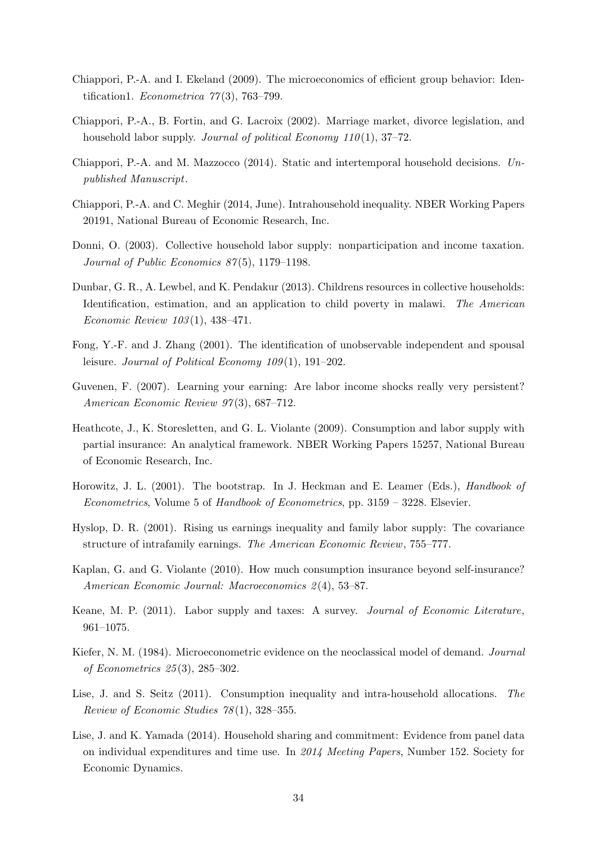- <span id="page-33-5"></span>Chiappori, P.-A. and I. Ekeland (2009). The microeconomics of efficient group behavior: Identification1. *Econometrica*  $77(3)$ , 763–799.
- <span id="page-33-4"></span>Chiappori, P.-A., B. Fortin, and G. Lacroix (2002). Marriage market, divorce legislation, and household labor supply. Journal of political Economy  $110(1)$ , 37–72.
- <span id="page-33-10"></span>Chiappori, P.-A. and M. Mazzocco (2014). Static and intertemporal household decisions. Unpublished Manuscript.
- <span id="page-33-11"></span>Chiappori, P.-A. and C. Meghir (2014, June). Intrahousehold inequality. NBER Working Papers 20191, National Bureau of Economic Research, Inc.
- <span id="page-33-6"></span>Donni, O. (2003). Collective household labor supply: nonparticipation and income taxation. Journal of Public Economics 87(5), 1179–1198.
- <span id="page-33-3"></span>Dunbar, G. R., A. Lewbel, and K. Pendakur (2013). Childrens resources in collective households: Identification, estimation, and an application to child poverty in malawi. The American Economic Review 103 (1), 438–471.
- <span id="page-33-9"></span>Fong, Y.-F. and J. Zhang (2001). The identification of unobservable independent and spousal leisure. Journal of Political Economy 109(1), 191–202.
- <span id="page-33-13"></span>Guvenen, F. (2007). Learning your earning: Are labor income shocks really very persistent? American Economic Review 97(3), 687-712.
- <span id="page-33-0"></span>Heathcote, J., K. Storesletten, and G. L. Violante (2009). Consumption and labor supply with partial insurance: An analytical framework. NBER Working Papers 15257, National Bureau of Economic Research, Inc.
- <span id="page-33-14"></span>Horowitz, J. L. (2001). The bootstrap. In J. Heckman and E. Leamer (Eds.), *Handbook of* Econometrics, Volume 5 of Handbook of Econometrics, pp. 3159 – 3228. Elsevier.
- <span id="page-33-7"></span>Hyslop, D. R. (2001). Rising us earnings inequality and family labor supply: The covariance structure of intrafamily earnings. The American Economic Review, 755–777.
- <span id="page-33-8"></span>Kaplan, G. and G. Violante (2010). How much consumption insurance beyond self-insurance? American Economic Journal: Macroeconomics 2 (4), 53–87.
- <span id="page-33-15"></span>Keane, M. P. (2011). Labor supply and taxes: A survey. Journal of Economic Literature, 961–1075.
- <span id="page-33-12"></span>Kiefer, N. M. (1984). Microeconometric evidence on the neoclassical model of demand. Journal of Econometrics 25 (3), 285–302.
- <span id="page-33-2"></span>Lise, J. and S. Seitz (2011). Consumption inequality and intra-household allocations. The Review of Economic Studies 78 (1), 328–355.
- <span id="page-33-1"></span>Lise, J. and K. Yamada (2014). Household sharing and commitment: Evidence from panel data on individual expenditures and time use. In 2014 Meeting Papers, Number 152. Society for Economic Dynamics.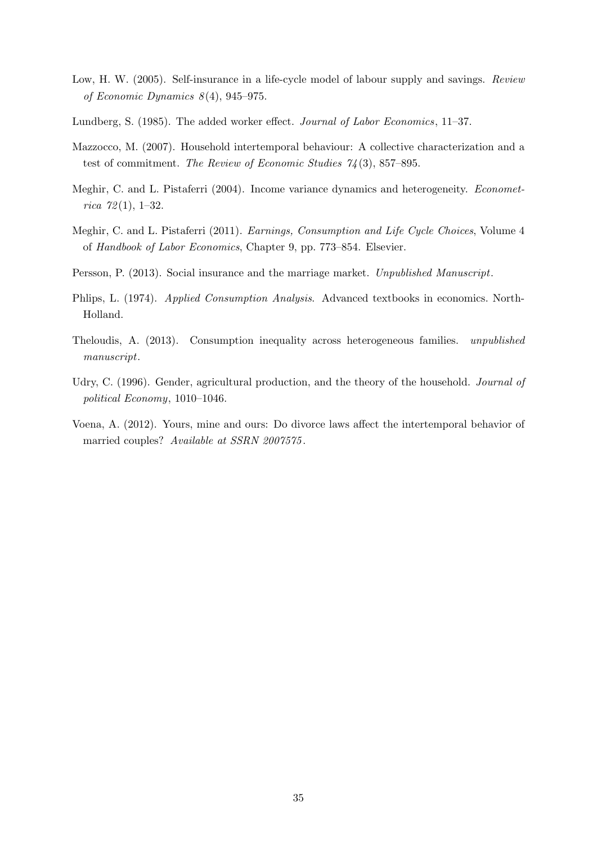- <span id="page-34-2"></span>Low, H. W. (2005). Self-insurance in a life-cycle model of labour supply and savings. Review of Economic Dynamics  $8(4)$ , 945–975.
- <span id="page-34-8"></span>Lundberg, S. (1985). The added worker effect. Journal of Labor Economics, 11–37.
- <span id="page-34-0"></span>Mazzocco, M. (2007). Household intertemporal behaviour: A collective characterization and a test of commitment. The Review of Economic Studies  $74(3)$ , 857–895.
- <span id="page-34-6"></span>Meghir, C. and L. Pistaferri (2004). Income variance dynamics and heterogeneity. Econometrica  $72(1), 1-32.$
- <span id="page-34-3"></span>Meghir, C. and L. Pistaferri (2011). Earnings, Consumption and Life Cycle Choices, Volume 4 of Handbook of Labor Economics, Chapter 9, pp. 773–854. Elsevier.
- <span id="page-34-4"></span>Persson, P. (2013). Social insurance and the marriage market. Unpublished Manuscript.
- <span id="page-34-9"></span>Phlips, L. (1974). Applied Consumption Analysis. Advanced textbooks in economics. North-Holland.
- <span id="page-34-7"></span>Theloudis, A. (2013). Consumption inequality across heterogeneous families. unpublished manuscript.
- <span id="page-34-5"></span>Udry, C. (1996). Gender, agricultural production, and the theory of the household. Journal of political Economy, 1010–1046.
- <span id="page-34-1"></span>Voena, A. (2012). Yours, mine and ours: Do divorce laws affect the intertemporal behavior of married couples? Available at SSRN 2007575.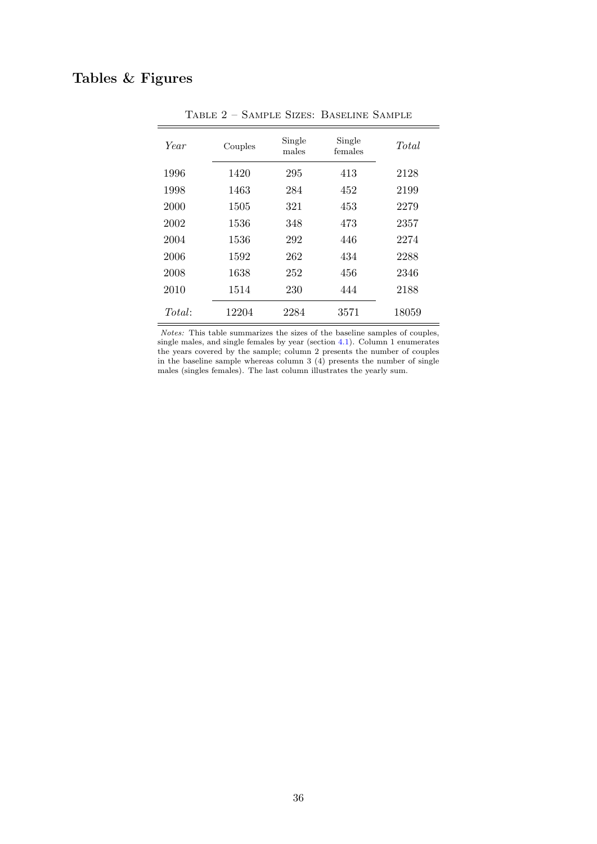# <span id="page-35-0"></span>Tables & Figures

| Year   | Couples | Single<br>males | Single<br>females | Total |
|--------|---------|-----------------|-------------------|-------|
| 1996   | 1420    | 295             | 413               | 2128  |
| 1998   | 1463    | 284             | 452               | 2199  |
| 2000   | 1505    | 321             | 453               | 2279  |
| 2002   | 1536    | 348             | 473               | 2357  |
| 2004   | 1536    | 292             | 446               | 2274  |
| 2006   | 1592    | 262             | 434               | 2288  |
| 2008   | 1638    | 252             | 456               | 2346  |
| 2010   | 1514    | 230             | 444               | 2188  |
| Total: | 12204   | 2284            | 3571              | 18059 |

Table 2 – Sample Sizes: Baseline Sample

Notes: This table summarizes the sizes of the baseline samples of couples, single males, and single females by year (section  $4.1$ ). Column 1 enumerates the years covered by the sample; column 2 presents the number of couples in the baseline sample whereas column  $3(4)$  presents the number of single males (singles females). The last column illustrates the yearly sum.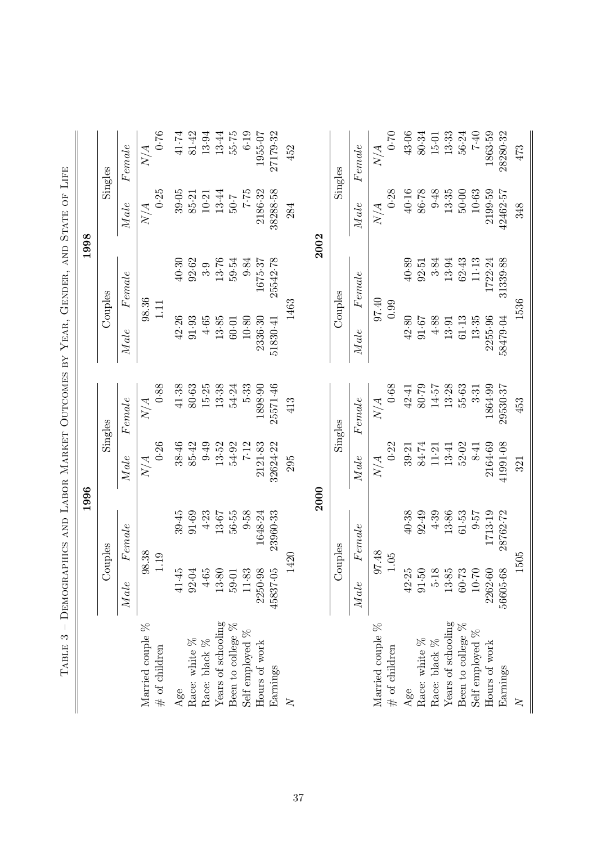<span id="page-36-0"></span>

| $\vert$<br>TABLE 3                  |                          | DEMOGRAPHICS AND LABOR MARKET OUTCOMES BY YEAR, |             |             |                     | GENDER, AND STATE OF |                     | LIFE            |
|-------------------------------------|--------------------------|-------------------------------------------------|-------------|-------------|---------------------|----------------------|---------------------|-----------------|
|                                     |                          | 1996                                            |             |             |                     | 1998                 |                     |                 |
|                                     |                          | <b>Jouples</b>                                  |             | Singles     |                     | Couples              |                     | Singles         |
|                                     | $Male$                   | Female                                          | Male        | Fende       | $\label{eq:1} Make$ | Fende                | $\label{eq:1} Make$ | Fende           |
| Married couple %                    |                          | 98.38                                           | N/A         | N/A         |                     | 98.36                | N/A                 | N/A             |
| $#$ of children                     |                          | 1.19                                            | 0.26        | 0.88        | 1.11                |                      | 0.25                | 0.76            |
| Age                                 | ηŰ<br>41.4               | 39.45                                           | 38.46       | 41.38       | 42.26               | 40.30                | 39.05               | 41.74           |
| Race: white $%$                     | 92.04                    | 91.69                                           | 85.42       | 80.63       | 91.93               | 92.62                | 85.21               | 81.42           |
| Race: black %                       | $4.65$                   | 4.23                                            | 0.49        | 15.25       | $4.65$              | 3.9                  | 10.21               | 13.94           |
| Years of schooling                  | $13.80$                  | 13.67                                           | 13.52       | 13.38       | 13.85               | 13.76                | 13.44               | 13.44           |
| Been to college %                   | 59.01                    | 56.55                                           | 54.92       | 54.24       | 60.01               | 59.54                | 7.05                | 55.75           |
| Self employed %                     | 11.83                    | 9.58                                            | 7.12        | 5.33        | 10.80               | 9.84                 | 52.7                | 6.19            |
| Hours of work                       | 2250.98                  | 1648.24                                         | 2121.83     | 1898.90     | 2336.30             | 1675-37              | 2186.32             | 1955-07         |
| Earnings                            | 45837.05                 | 23960.33                                        | 32624.22    | 25571.46    | 51830.41            | 25542.78             | 38288.58            | 27179.32        |
| $\geq$                              |                          | 1420                                            | 295         | 413         |                     | 1463                 | 284                 | 452             |
|                                     |                          |                                                 | 2000        |             |                     | 2002                 |                     |                 |
|                                     |                          | Couples                                         |             | Singles     |                     | Couples              |                     | Singles         |
|                                     | Male                     | Fende                                           | $_{Male}$   | Female      | Male                | Female               | Male                | Female          |
| Married couple %<br>$#$ of children |                          | 97.48<br>$1.05$                                 | 0.22<br>N/A | 0.68<br>N/A | 97.40<br>0.99       |                      | 0.28<br>N/A         | $0 - 70$<br>N/A |
| Age                                 | IJ<br>42.2               | 40.38                                           | 39.21       | 42.41       | 42.80               | 40.89                | 40.16               | 43.06           |
| Race: white $\%$                    | $91\!\cdot\!50$          | 92.49                                           | 84.74       | 80.09       | 91.67               | 92.51                | 86.78               | 80.34           |
| Race: black $\%$                    | $\infty$<br>$\ddot{5}$ : | 4.39                                            | 11.21       | 14.57       | 4.88                | 3.84                 | 9.48                | 15-01           |
| Years of schooling                  | 13.85                    | 13.86                                           | 13.41       | 13.28       | 13.91               | 13.94                | 13.35               | 13.33           |
| Been to college %                   | 60.73                    | 61.53                                           | 52.02       | 55.63       | 61.13               | 62.43                | $50.00$             | 56.24           |
| Self employed %                     | $10\mathord{\cdot} 70$   | 75.0                                            | 8.41        | 3.31        | 13.35               | 11.13                | 10.63               | $0 + 7$         |
| Hours of work                       | 2262.60                  | 1713.19                                         | 2164.69     | 1864.99     | 2255.96             | 1722.24              | 2199.59             | 1863.59         |
| Earnings                            | 56605.68                 | 28762.72                                        | 41991.08    | 29530.37    | 58479.04            | 31339.88             | 42462.57            | 28280.32        |
| $\mathsf{X}$                        |                          | 1505                                            | 321         | 453         |                     | 1536                 | 348                 | 473             |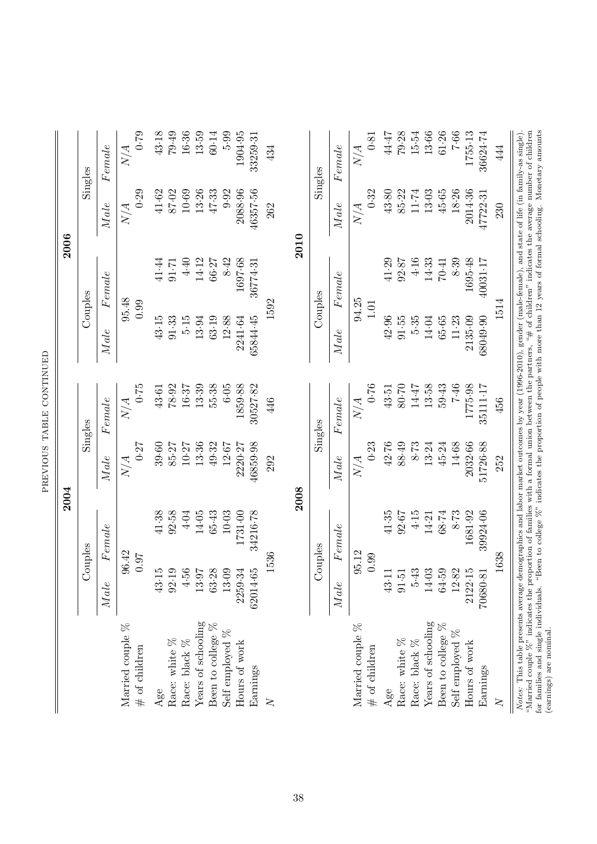|                                                                                                                                                                                                                                                                                                                                                                                                   |                 | 2004          |           |                                       |           | 2006                                                                                                                     |           |          |
|---------------------------------------------------------------------------------------------------------------------------------------------------------------------------------------------------------------------------------------------------------------------------------------------------------------------------------------------------------------------------------------------------|-----------------|---------------|-----------|---------------------------------------|-----------|--------------------------------------------------------------------------------------------------------------------------|-----------|----------|
|                                                                                                                                                                                                                                                                                                                                                                                                   |                 | Couples       | Singles   |                                       |           | Couples                                                                                                                  |           | Singles  |
|                                                                                                                                                                                                                                                                                                                                                                                                   | Male            | Fende         | $_{Male}$ | Fende                                 | $_{Male}$ | Female                                                                                                                   | $_{Male}$ | Fende    |
| Married couple %                                                                                                                                                                                                                                                                                                                                                                                  | 96.42           |               | $N\!/\!A$ | $\overline{\mathcal{A}}$<br>$\gtrsim$ |           | 95.48                                                                                                                    | N/A       | N/A      |
| $#$ of children                                                                                                                                                                                                                                                                                                                                                                                   | 0.97            |               | 0.27      | 0.75                                  |           | 0.99                                                                                                                     | 0.29      | 0.79     |
| Age                                                                                                                                                                                                                                                                                                                                                                                               | IJ<br>43.1      | 41.38         | 39.60     | 43.61                                 | 43.15     | 41.44                                                                                                                    | 41.62     | 43.18    |
| Race: white %                                                                                                                                                                                                                                                                                                                                                                                     | $\odot$<br>92.1 | 92.58         | 85.27     | 78.92                                 | 91.33     | 91.71                                                                                                                    | 87.02     | 79.49    |
| Race: black %                                                                                                                                                                                                                                                                                                                                                                                     | 4.56            | $4.04$        | 10.27     | 16.37                                 | 5.15      | 4.40                                                                                                                     | 10.69     | 16.36    |
| Years of schooling                                                                                                                                                                                                                                                                                                                                                                                | 13.97           | 14.05         | 13.36     | 13.39                                 | 13.94     | 14.12                                                                                                                    | 13.26     | 13.59    |
| Been to college %                                                                                                                                                                                                                                                                                                                                                                                 | 63.28           | $65 - 43$     | 49.32     | 55.38                                 | 63.19     | 66.27                                                                                                                    | 47.33     | 60.14    |
| Self employed %                                                                                                                                                                                                                                                                                                                                                                                   | 13.09           | 10.03         | 12.67     | 6.05                                  | 12.88     | 8.42                                                                                                                     | 9.92      | 5.99     |
| Hours of work                                                                                                                                                                                                                                                                                                                                                                                     | 2259.34         | 1731.00       | 2220.27   | 1859.88                               | 2241.64   | 1697.68                                                                                                                  | 2088.96   | 1904.95  |
| Earnings                                                                                                                                                                                                                                                                                                                                                                                          | 62014.65        | 34216.78      | 46859.98  | 30527.82                              | 65844-45  | 36774.31                                                                                                                 | 46357-56  | 33259.31 |
| $\geq$                                                                                                                                                                                                                                                                                                                                                                                            | 1536            |               | 292       | 446                                   |           | 1592                                                                                                                     | 262       | 434      |
|                                                                                                                                                                                                                                                                                                                                                                                                   |                 | 2008          |           |                                       |           | 2010                                                                                                                     |           |          |
|                                                                                                                                                                                                                                                                                                                                                                                                   |                 | <b>Soldno</b> | Singles   |                                       |           | Couples                                                                                                                  |           | Singles  |
|                                                                                                                                                                                                                                                                                                                                                                                                   | Male            | Fende         | Male      | Fende                                 | $_{Male}$ | Female                                                                                                                   | Male      | Female   |
| Married couple %                                                                                                                                                                                                                                                                                                                                                                                  | 95.12           |               | N/A       | N/A                                   |           | 94.25                                                                                                                    | N/A       | N/A      |
| $#$ of children                                                                                                                                                                                                                                                                                                                                                                                   | 0.99            |               | 0.23      | 0.76                                  |           | 1.01                                                                                                                     | 0.32      | 0.81     |
| Age                                                                                                                                                                                                                                                                                                                                                                                               | 43.1            | 41.35         | 42.76     | 43.51                                 | 42.96     | 41.29                                                                                                                    | 43.80     | 44.47    |
| Race: white $\%$                                                                                                                                                                                                                                                                                                                                                                                  | 91.51           | 92.67         | 88.49     | 80.70                                 | 91.55     | 92.87                                                                                                                    | 85.22     | 79.28    |
| Race: black %                                                                                                                                                                                                                                                                                                                                                                                     | 5.43            | 4.15          | 8.73      | 14.47                                 | 5.35      | 4.16                                                                                                                     | 11.74     | 15.54    |
| Years of schooling                                                                                                                                                                                                                                                                                                                                                                                | 14.03           | 14.21         | 13.24     | 13.58                                 | 14.04     | 14.33                                                                                                                    | 13.03     | 13.66    |
| Been to college %                                                                                                                                                                                                                                                                                                                                                                                 | 64.59           | 68.74         | 45.24     | 59.43                                 | 65.65     | 70.41                                                                                                                    | 45.65     | 61.26    |
| Self employed %                                                                                                                                                                                                                                                                                                                                                                                   | 12.82           | 8.73          | 14.68     | $9F - 2$                              | 11.23     | 8.39                                                                                                                     | 18.26     | 7.66     |
| Hours of work                                                                                                                                                                                                                                                                                                                                                                                     | 2122.15         | 1681.92       | 2032.66   | 1775.98                               | 2135.09   | 1695-48                                                                                                                  | 2014.36   | 1755.13  |
| Earnings                                                                                                                                                                                                                                                                                                                                                                                          | 70680-81        | 39924.06      | 51726.88  | 35111.17                              | 68049.90  | 40031.17                                                                                                                 | 47722.31  | 36624.74 |
| $\geq$                                                                                                                                                                                                                                                                                                                                                                                            | 1638            |               | 252       | 456                                   |           | 1514                                                                                                                     | 230       | 444      |
| "Married couple $\%$ " indicates the proportion of families with a formal union between the partners, "# of children" indicates the average number of children<br>Notes: This table presents average demographics and labor market outcomes by year (1996-2010), gender (male-female), and state of life (in family-as single)<br>for families and single individuals.<br>(earnings) are nominal. |                 |               |           |                                       |           | "Been to college $\%$ " indicates the proportion of people with more than 12 years of formal schooling. Monetary amounts |           |          |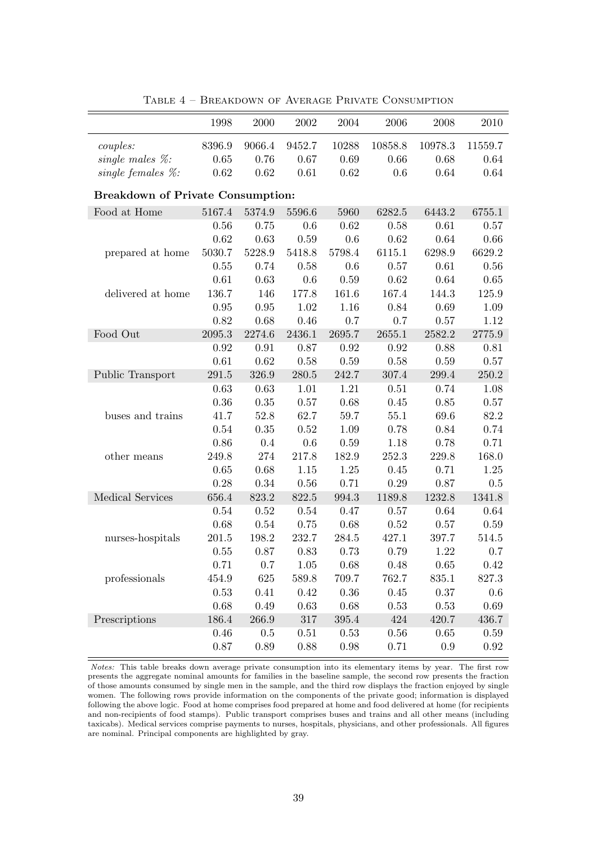<span id="page-38-0"></span>

|                                          | 1998   | 2000   | 2002    | 2004      | 2006    | 2008    | 2010      |
|------------------------------------------|--------|--------|---------|-----------|---------|---------|-----------|
| couples:                                 | 8396.9 | 9066.4 | 9452.7  | 10288     | 10858.8 | 10978.3 | 11559.7   |
| single males $\%$ :                      | 0.65   | 0.76   | 0.67    | 0.69      | 0.66    | 0.68    | 0.64      |
| single females $\%$ :                    | 0.62   | 0.62   | 0.61    | 0.62      | 0.6     | 0.64    | 0.64      |
|                                          |        |        |         |           |         |         |           |
| <b>Breakdown of Private Consumption:</b> |        |        |         |           |         |         |           |
| Food at Home                             | 5167.4 | 5374.9 | 5596.6  | 5960      | 6282.5  | 6443.2  | 6755.1    |
|                                          | 0.56   | 0.75   | 0.6     | 0.62      | 0.58    | 0.61    | 0.57      |
|                                          | 0.62   | 0.63   | 0.59    | 0.6       | 0.62    | 0.64    | 0.66      |
| prepared at home                         | 5030.7 | 5228.9 | 5418.8  | 5798.4    | 6115.1  | 6298.9  | 6629.2    |
|                                          | 0.55   | 0.74   | 0.58    | 0.6       | 0.57    | 0.61    | 0.56      |
|                                          | 0.61   | 0.63   | 0.6     | 0.59      | 0.62    | 0.64    | 0.65      |
| delivered at home                        | 136.7  | 146    | 177.8   | 161.6     | 167.4   | 144.3   | 125.9     |
|                                          | 0.95   | 0.95   | 1.02    | 1.16      | 0.84    | 0.69    | 1.09      |
|                                          | 0.82   | 0.68   | 0.46    | 0.7       | 0.7     | 0.57    | 1.12      |
| Food Out                                 | 2095.3 | 2274.6 | 2436.1  | 2695.7    | 2655.1  | 2582.2  | 2775.9    |
|                                          | 0.92   | 0.91   | 0.87    | 0.92      | 0.92    | 0.88    | 0.81      |
|                                          | 0.61   | 0.62   | 0.58    | 0.59      | 0.58    | 0.59    | 0.57      |
| Public Transport                         | 291.5  | 326.9  | 280.5   | 242.7     | 307.4   | 299.4   | 250.2     |
|                                          | 0.63   | 0.63   | 1.01    | 1.21      | 0.51    | 0.74    | 1.08      |
|                                          | 0.36   | 0.35   | 0.57    | 0.68      | 0.45    | 0.85    | 0.57      |
| buses and trains                         | 41.7   | 52.8   | 62.7    | 59.7      | 55.1    | 69.6    | 82.2      |
|                                          | 0.54   | 0.35   | 0.52    | 1.09      | 0.78    | 0.84    | 0.74      |
|                                          | 0.86   | 0.4    | 0.6     | 0.59      | 1.18    | 0.78    | 0.71      |
| other means                              | 249.8  | 274    | 217.8   | 182.9     | 252.3   | 229.8   | 168.0     |
|                                          | 0.65   | 0.68   | 1.15    | 1.25      | 0.45    | 0.71    | 1.25      |
|                                          | 0.28   | 0.34   | 0.56    | 0.71      | 0.29    | 0.87    | 0.5       |
| <b>Medical Services</b>                  | 656.4  | 823.2  | 822.5   | 994.3     | 1189.8  | 1232.8  | 1341.8    |
|                                          | 0.54   | 0.52   | 0.54    | 0.47      | 0.57    | 0.64    | 0.64      |
|                                          | 0.68   | 0.54   | 0.75    | 0.68      | 0.52    | 0.57    | 0.59      |
| nurses-hospitals                         | 201.5  | 198.2  | 232.7   | 284.5     | 427.1   | 397.7   | 514.5     |
|                                          | 0.55   | 0.87   | 0.83    | 0.73      | 0.79    | 1.22    | 0.7       |
|                                          | 0.71   | 0.7    | 1.05    | 0.68      | 0.48    | 0.65    | 0.42      |
| professionals                            | 454.9  | 625    | 589.8   | 709.7     | 762.7   | 835.1   | $827.3\,$ |
|                                          | 0.53   | 0.41   | 0.42    | 0.36      | 0.45    | 0.37    | 0.6       |
|                                          | 0.68   | 0.49   | 0.63    | 0.68      | 0.53    | 0.53    | 0.69      |
| Prescriptions                            | 186.4  | 266.9  | $317\,$ | $395.4\,$ | 424     | 420.7   | 436.7     |
|                                          | 0.46   | 0.5    | 0.51    | 0.53      | 0.56    | 0.65    | 0.59      |
|                                          | 0.87   | 0.89   | 0.88    | $0.98\,$  | 0.71    | 0.9     | 0.92      |
|                                          |        |        |         |           |         |         |           |

Table 4 – Breakdown of Average Private Consumption

Notes: This table breaks down average private consumption into its elementary items by year. The first row presents the aggregate nominal amounts for families in the baseline sample, the second row presents the fraction of those amounts consumed by single men in the sample, and the third row displays the fraction enjoyed by single women. The following rows provide information on the components of the private good; information is displayed following the above logic. Food at home comprises food prepared at home and food delivered at home (for recipients and non-recipients of food stamps). Public transport comprises buses and trains and all other means (including taxicabs). Medical services comprise payments to nurses, hospitals, physicians, and other professionals. All figures are nominal. Principal components are highlighted by gray.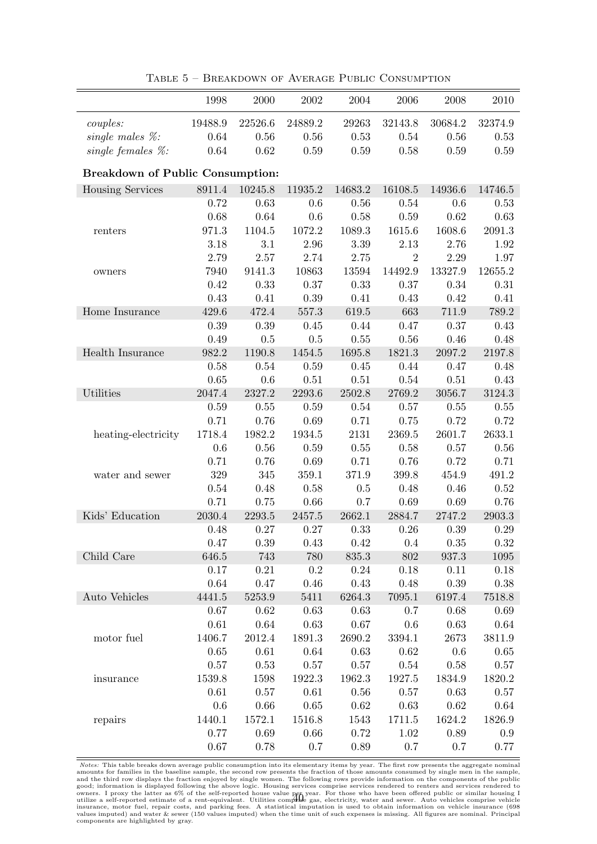<span id="page-39-0"></span>

|                                         | 1998     | 2000     | 2002     | 2004    | 2006           | 2008    | 2010      |
|-----------------------------------------|----------|----------|----------|---------|----------------|---------|-----------|
| couples:                                | 19488.9  | 22526.6  | 24889.2  | 29263   | 32143.8        | 30684.2 | 32374.9   |
| single males $\%$ :                     | 0.64     | 0.56     | 0.56     | 0.53    | 0.54           | 0.56    | 0.53      |
| single females $\%$ :                   | 0.64     | 0.62     | 0.59     | 0.59    | 0.58           | 0.59    | 0.59      |
| <b>Breakdown of Public Consumption:</b> |          |          |          |         |                |         |           |
| <b>Housing Services</b>                 | 8911.4   | 10245.8  | 11935.2  | 14683.2 | 16108.5        | 14936.6 | 14746.5   |
|                                         | 0.72     | 0.63     | 0.6      | 0.56    | 0.54           | 0.6     | 0.53      |
|                                         | 0.68     | 0.64     | 0.6      | 0.58    | 0.59           | 0.62    | 0.63      |
| renters                                 | 971.3    | 1104.5   | 1072.2   | 1089.3  | 1615.6         | 1608.6  | 2091.3    |
|                                         | 3.18     | 3.1      | 2.96     | 3.39    | 2.13           | 2.76    | 1.92      |
|                                         | 2.79     | 2.57     | 2.74     | 2.75    | $\overline{2}$ | 2.29    | 1.97      |
| owners                                  | 7940     | 9141.3   | 10863    | 13594   | 14492.9        | 13327.9 | 12655.2   |
|                                         | 0.42     | 0.33     | 0.37     | 0.33    | 0.37           | 0.34    | 0.31      |
|                                         | 0.43     | 0.41     | 0.39     | 0.41    | 0.43           | 0.42    | 0.41      |
| Home Insurance                          | 429.6    | 472.4    | 557.3    | 619.5   | 663            | 711.9   | 789.2     |
|                                         | 0.39     | 0.39     | 0.45     | 0.44    | 0.47           | 0.37    | 0.43      |
|                                         | 0.49     | 0.5      | 0.5      | 0.55    | 0.56           | 0.46    | 0.48      |
| Health Insurance                        | 982.2    | 1190.8   | 1454.5   | 1695.8  | 1821.3         | 2097.2  | 2197.8    |
|                                         | 0.58     | 0.54     | 0.59     | 0.45    | 0.44           | 0.47    | 0.48      |
|                                         | 0.65     | 0.6      | 0.51     | 0.51    | 0.54           | 0.51    | 0.43      |
| Utilities                               | 2047.4   | 2327.2   | 2293.6   | 2502.8  | 2769.2         | 3056.7  | 3124.3    |
|                                         | 0.59     | 0.55     | 0.59     | 0.54    | 0.57           | 0.55    | 0.55      |
|                                         | 0.71     | 0.76     | 0.69     | 0.71    | 0.75           | 0.72    | 0.72      |
| heating-electricity                     | 1718.4   | 1982.2   | 1934.5   | 2131    | 2369.5         | 2601.7  | 2633.1    |
|                                         | 0.6      | 0.56     | 0.59     | 0.55    | 0.58           | 0.57    | 0.56      |
|                                         | 0.71     | 0.76     | 0.69     | 0.71    | 0.76           | 0.72    | 0.71      |
| water and sewer                         | $329\,$  | 345      | 359.1    | 371.9   | 399.8          | 454.9   | 491.2     |
|                                         | 0.54     | 0.48     | 0.58     | 0.5     | 0.48           | 0.46    | 0.52      |
|                                         | 0.71     | 0.75     | 0.66     | 0.7     | 0.69           | 0.69    | 0.76      |
| Kids' Education                         | 2030.4   | 2293.5   | 2457.5   | 2662.1  | 2884.7         | 2747.2  | 2903.3    |
|                                         | 0.48     | 0.27     | 0.27     | 0.33    | 0.26           | 0.39    | 0.29      |
|                                         | 0.47     | $0.39\,$ | 0.43     | 0.42    | 0.4            | 0.35    | 0.32      |
| Child Care                              | 646.5    | 743      | 780      | 835.3   | 802            | 937.3   | $1095\,$  |
|                                         | 0.17     | 0.21     | 0.2      | 0.24    | 0.18           | 0.11    | 0.18      |
|                                         | 0.64     | 0.47     | 0.46     | 0.43    | 0.48           | 0.39    | $0.38\,$  |
| Auto Vehicles                           | 4441.5   | 5253.9   | 5411     | 6264.3  | 7095.1         | 6197.4  | 7518.8    |
|                                         | 0.67     | 0.62     | 0.63     | 0.63    | 0.7            | 0.68    | 0.69      |
|                                         | 0.61     | 0.64     | 0.63     | 0.67    | 0.6            | 0.63    | 0.64      |
| motor fuel                              | 1406.7   | 2012.4   | 1891.3   | 2690.2  | 3394.1         | 2673    | 3811.9    |
|                                         | 0.65     | 0.61     | 0.64     | 0.63    | 0.62           | 0.6     | 0.65      |
|                                         | 0.57     | $0.53\,$ | 0.57     | 0.57    | 0.54           | 0.58    | 0.57      |
| insurance                               | 1539.8   | 1598     | 1922.3   | 1962.3  | 1927.5         | 1834.9  | 1820.2    |
|                                         | 0.61     | 0.57     | $0.61\,$ | 0.56    | 0.57           | 0.63    | 0.57      |
|                                         | 0.6      | 0.66     | 0.65     | 0.62    | 0.63           | 0.62    | 0.64      |
| repairs                                 | 1440.1   | 1572.1   | 1516.8   | 1543    | 1711.5         | 1624.2  | 1826.9    |
|                                         | 0.77     | 0.69     | 0.66     | 0.72    | 1.02           | 0.89    | $\rm 0.9$ |
|                                         | $0.67\,$ | 0.78     | $0.7\,$  | 0.89    | 0.7            | 0.7     | $0.77\,$  |

Table 5 – Breakdown of Average Public Consumption

Notes: This table breaks down average public consumption into its elementary items by year. The first row presents the aggregate nominal amounts for families in the baseline sample, the second row presents the fraction of 40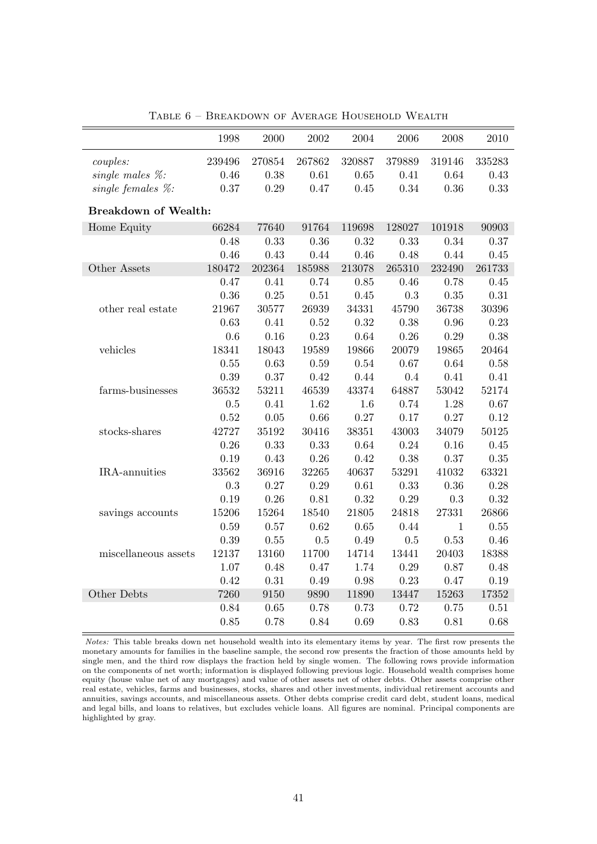<span id="page-40-0"></span>

|                             | 1998   | 2000   | 2002     | 2004   | 2006      | 2008         | 2010   |
|-----------------------------|--------|--------|----------|--------|-----------|--------------|--------|
| couples:                    | 239496 | 270854 | 267862   | 320887 | 379889    | 319146       | 335283 |
| single males $\%$ :         | 0.46   | 0.38   | 0.61     | 0.65   | 0.41      | 0.64         | 0.43   |
| single females $\%$ :       | 0.37   | 0.29   | 0.47     | 0.45   | 0.34      | 0.36         | 0.33   |
| <b>Breakdown of Wealth:</b> |        |        |          |        |           |              |        |
| Home Equity                 | 66284  | 77640  | 91764    | 119698 | 128027    | 101918       | 90903  |
|                             | 0.48   | 0.33   | 0.36     | 0.32   | 0.33      | 0.34         | 0.37   |
|                             | 0.46   | 0.43   | 0.44     | 0.46   | 0.48      | 0.44         | 0.45   |
| Other Assets                | 180472 | 202364 | 185988   | 213078 | 265310    | 232490       | 261733 |
|                             | 0.47   | 0.41   | 0.74     | 0.85   | 0.46      | 0.78         | 0.45   |
|                             | 0.36   | 0.25   | $0.51\,$ | 0.45   | $\rm 0.3$ | 0.35         | 0.31   |
| other real estate           | 21967  | 30577  | 26939    | 34331  | 45790     | 36738        | 30396  |
|                             | 0.63   | 0.41   | 0.52     | 0.32   | 0.38      | 0.96         | 0.23   |
|                             | 0.6    | 0.16   | 0.23     | 0.64   | 0.26      | 0.29         | 0.38   |
| vehicles                    | 18341  | 18043  | 19589    | 19866  | 20079     | 19865        | 20464  |
|                             | 0.55   | 0.63   | 0.59     | 0.54   | 0.67      | 0.64         | 0.58   |
|                             | 0.39   | 0.37   | 0.42     | 0.44   | 0.4       | 0.41         | 0.41   |
| farms-businesses            | 36532  | 53211  | 46539    | 43374  | 64887     | 53042        | 52174  |
|                             | 0.5    | 0.41   | 1.62     | 1.6    | 0.74      | 1.28         | 0.67   |
|                             | 0.52   | 0.05   | 0.66     | 0.27   | 0.17      | 0.27         | 0.12   |
| stocks-shares               | 42727  | 35192  | 30416    | 38351  | 43003     | 34079        | 50125  |
|                             | 0.26   | 0.33   | 0.33     | 0.64   | 0.24      | 0.16         | 0.45   |
|                             | 0.19   | 0.43   | 0.26     | 0.42   | 0.38      | 0.37         | 0.35   |
| IRA-annuities               | 33562  | 36916  | 32265    | 40637  | 53291     | 41032        | 63321  |
|                             | 0.3    | 0.27   | 0.29     | 0.61   | 0.33      | 0.36         | 0.28   |
|                             | 0.19   | 0.26   | 0.81     | 0.32   | 0.29      | 0.3          | 0.32   |
| savings accounts            | 15206  | 15264  | 18540    | 21805  | 24818     | 27331        | 26866  |
|                             | 0.59   | 0.57   | 0.62     | 0.65   | 0.44      | $\mathbf{1}$ | 0.55   |
|                             | 0.39   | 0.55   | 0.5      | 0.49   | $0.5\,$   | 0.53         | 0.46   |
| miscellaneous assets        | 12137  | 13160  | 11700    | 14714  | 13441     | 20403        | 18388  |
|                             | 1.07   | 0.48   | 0.47     | 1.74   | 0.29      | 0.87         | 0.48   |
|                             | 0.42   | 0.31   | 0.49     | 0.98   | 0.23      | 0.47         | 0.19   |
| Other Debts                 | 7260   | 9150   | 9890     | 11890  | 13447     | 15263        | 17352  |
|                             | 0.84   | 0.65   | 0.78     | 0.73   | 0.72      | 0.75         | 0.51   |
|                             | 0.85   | 0.78   | 0.84     | 0.69   | 0.83      | 0.81         | 0.68   |

Table 6 – Breakdown of Average Household Wealth

Notes: This table breaks down net household wealth into its elementary items by year. The first row presents the monetary amounts for families in the baseline sample, the second row presents the fraction of those amounts held by single men, and the third row displays the fraction held by single women. The following rows provide information on the components of net worth; information is displayed following previous logic. Household wealth comprises home equity (house value net of any mortgages) and value of other assets net of other debts. Other assets comprise other real estate, vehicles, farms and businesses, stocks, shares and other investments, individual retirement accounts and annuities, savings accounts, and miscellaneous assets. Other debts comprise credit card debt, student loans, medical and legal bills, and loans to relatives, but excludes vehicle loans. All figures are nominal. Principal components are highlighted by gray.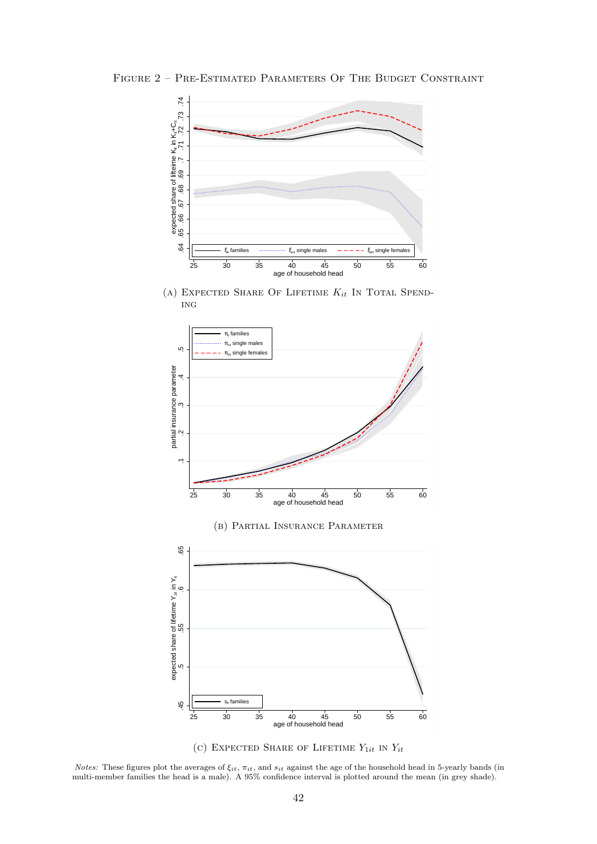<span id="page-41-0"></span>FIGURE 2 - PRE-ESTIMATED PARAMETERS OF THE BUDGET CONSTRAINT



(A) EXPECTED SHARE OF LIFETIME  $K_{it}$  In Total Spending





Notes: These figures plot the averages of  $\xi_{it}$ ,  $\pi_{it}$ , and  $s_{it}$  against the age of the household head in 5-yearly bands (in multi-member families the head is a male). A 95% confidence interval is plotted around the mean (in grey shade).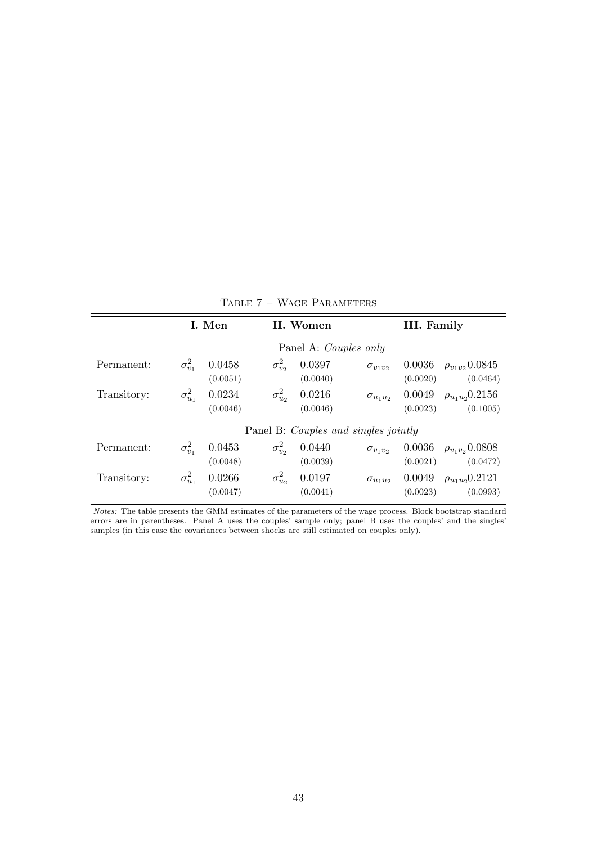<span id="page-42-0"></span>

|             |                  | I. Men             |                  | II. Women                            |                   | III. Family        |                                    |
|-------------|------------------|--------------------|------------------|--------------------------------------|-------------------|--------------------|------------------------------------|
|             |                  |                    |                  | Panel A: Couples only                |                   |                    |                                    |
| Permanent:  | $\sigma_{v_1}^2$ | 0.0458<br>(0.0051) | $\sigma_{v_2}^2$ | 0.0397<br>(0.0040)                   | $\sigma_{v_1v_2}$ | 0.0036<br>(0.0020) | $\rho_{v_1v_2}$ 0.0845<br>(0.0464) |
| Transitory: | $\sigma^2_{u_1}$ | 0.0234<br>(0.0046) | $\sigma_{u_2}^2$ | 0.0216<br>(0.0046)                   | $\sigma_{u_1u_2}$ | 0.0049<br>(0.0023) | $\rho_{u_1u_2}0.2156$<br>(0.1005)  |
|             |                  |                    |                  | Panel B: Couples and singles jointly |                   |                    |                                    |
| Permanent:  | $\sigma_{v_1}^2$ | 0.0453<br>(0.0048) | $\sigma_{v_2}^2$ | 0.0440<br>(0.0039)                   | $\sigma_{v_1v_2}$ | 0.0036<br>(0.0021) | $\rho_{v_1v_2}$ 0.0808<br>(0.0472) |
| Transitory: | $\sigma_{u_1}^2$ | 0.0266<br>(0.0047) | $\sigma_{u_2}^2$ | 0.0197<br>(0.0041)                   | $\sigma_{u_1u_2}$ | 0.0049<br>(0.0023) | $\rho_{u_1u_2}$ 0.2121<br>(0.0993) |

Table 7 – Wage Parameters

Notes: The table presents the GMM estimates of the parameters of the wage process. Block bootstrap standard errors are in parentheses. Panel A uses the couples' sample only; panel B uses the couples' and the singles' samples (in this case the covariances between shocks are still estimated on couples only).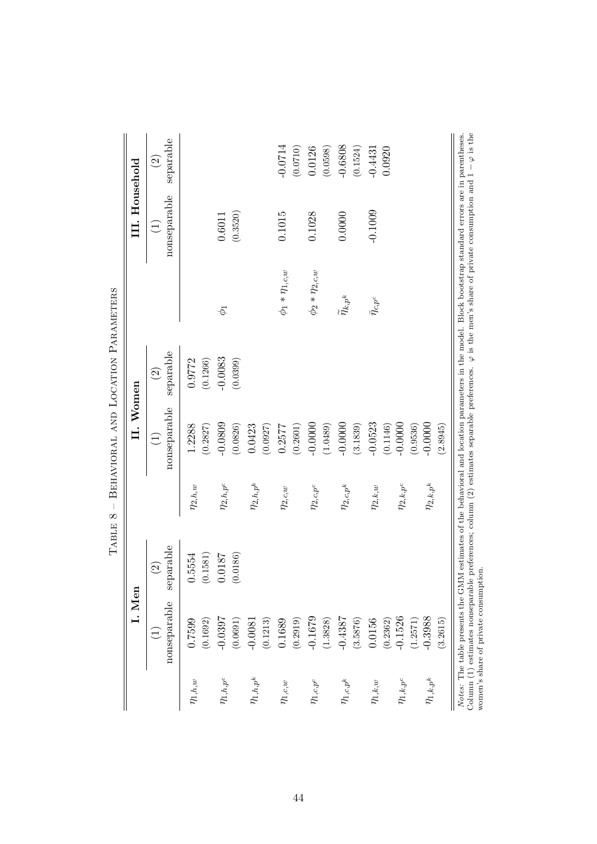|                  | I. Men                          |                                |                  | II. Women                   |                            |                            | III. Household              |                                       |
|------------------|---------------------------------|--------------------------------|------------------|-----------------------------|----------------------------|----------------------------|-----------------------------|---------------------------------------|
|                  | nonseparable<br>$\widehat{\Xi}$ | parable<br>$\widehat{S}$<br>Se |                  | nonseparable<br>$\bigoplus$ | separable<br>$\widehat{c}$ |                            | nonseparable<br>$\bigoplus$ | separable<br>$\widehat{\mathfrak{D}}$ |
| $\eta_{1,h,w}$   | 0.7599<br>(0.1692)              | 0.5554<br>(0.1581)             | $\eta_{2,h,w}$   | 1.2288<br>(0.2827)          | 0.9772<br>(0.1266)         |                            |                             |                                       |
| $\eta_{1,h,p^c}$ | $-0.0397$<br>(0.0691)           | (0.0186)<br>0.0187             | $\eta_{2,h,p^c}$ | $-0.0809$<br>(0.0826)       | $-0.0083$<br>(0.0399)      | $\phi_1$                   | (0.3520)<br>0.6011          |                                       |
| $\eta_{1,h,p^k}$ | (0.1213)<br>$-0.0081$           |                                | $\eta_{2,h,p^k}$ | 0.0423<br>(0.0927)          |                            |                            |                             |                                       |
| $\eta_{1,c,w}$   | 0.1689<br>(0.2919)              |                                | $\eta_{2,c,w}$   | (0.2601)<br>0.2577          |                            | $\phi_1 * \eta_{1,c,w}$    | 0.1015                      | $-0.0714$<br>(0.0710)                 |
| $\eta_{1,c,p^c}$ | $-0.1679$<br>(1.3828)           |                                | $\eta_{2,c,p^c}$ | $-0.0000$<br>(1.0489)       |                            | $\phi_2 * \eta_{2,c,w}$    | 0.1028                      | 0.0126<br>(0.0598)                    |
| $\eta_{1,c,p^k}$ | $-0.4387$<br>(3.5876)           |                                | $\eta_{2,c,p^k}$ | $-0.0000$<br>(3.1839)       |                            | $\widetilde{\eta}_{k,p^k}$ | 0.0000                      | $-0.6808$<br>(0.1524)                 |
| $\eta_{1,k,w}$   | 0.0156<br>(0.2362)              |                                | $\eta_{2,k,w}$   | $-0.0523$<br>(0.1146)       |                            | $\bar{\eta}_{c,p^c}$       | $-0.1009$                   | 0.0920<br>$-0.4431$                   |
| $\eta_{1,k,p^c}$ | $-0.1526$<br>(1.2571)           |                                | $\eta_{2,k,p^c}$ | $-0.0000$<br>(0.9536)       |                            |                            |                             |                                       |
| $\eta_{1,k,p^k}$ | $-0.3988$<br>(3.2615)           |                                | $\eta_{2,k,p^k}$ | $-0.0000$<br>(2.8945)       |                            |                            |                             |                                       |

<span id="page-43-0"></span>TABLE  $8$  – BEHAVIORAL AND LOCATION PARAMETERS Table 8 – Behavioral and Location Parameters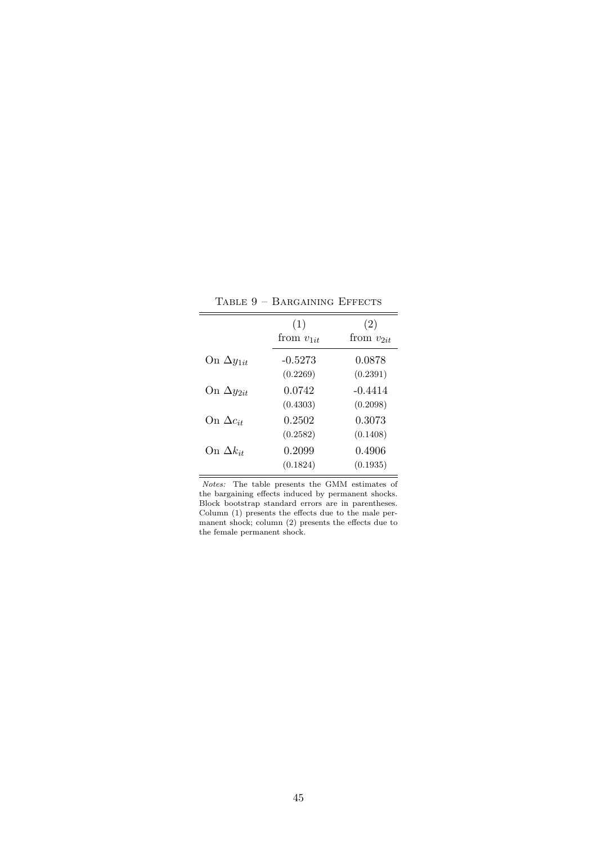<span id="page-44-0"></span>

| (1)<br>from $v_{1it}$ | (2)<br>from $v_{2it}$ |
|-----------------------|-----------------------|
|                       |                       |
|                       |                       |
| $-0.5273$             | 0.0878                |
| (0.2269)              | (0.2391)              |
| 0.0742                | $-0.4414$             |
| (0.4303)              | (0.2098)              |
| 0.2502                | 0.3073                |
| (0.2582)              | (0.1408)              |
| 0.2099                | 0.4906                |
| (0.1824)              | (0.1935)              |
|                       |                       |

Table 9 – Bargaining Effects

Notes: The table presents the GMM estimates of the bargaining effects induced by permanent shocks. Block bootstrap standard errors are in parentheses. Column (1) presents the effects due to the male permanent shock; column (2) presents the effects due to the female permanent shock.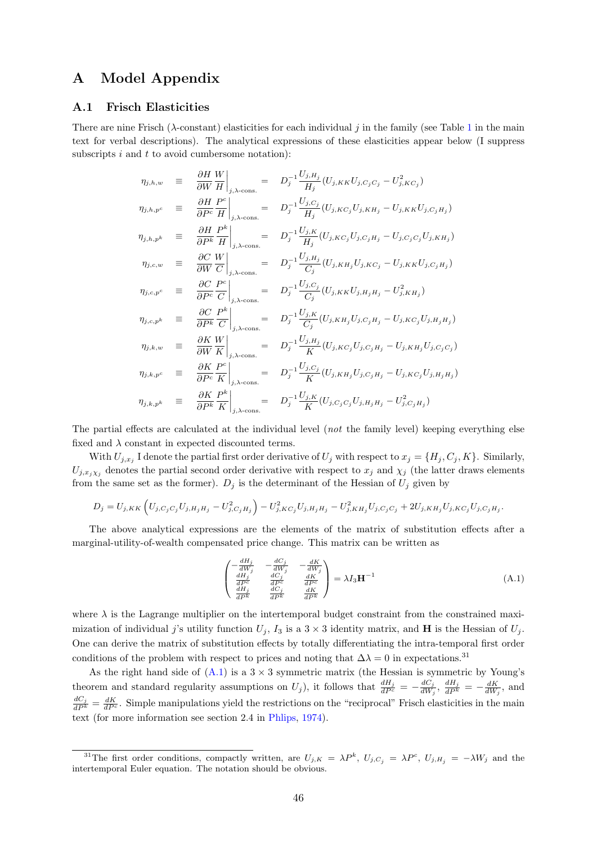## A Model Appendix

#### <span id="page-45-0"></span>A.1 Frisch Elasticities

There are nine Frisch ( $\lambda$ -constant) elasticities for each individual j in the family (see Table [1](#page-11-0) in the main text for verbal descriptions). The analytical expressions of these elasticities appear below (I suppress subscripts  $i$  and  $t$  to avoid cumbersome notation):

$$
\eta_{j,h,w} = \frac{\partial H}{\partial W} \frac{W}{H} \Big|_{j,\lambda-\text{cons.}} = D_j^{-1} \frac{U_{j,H_j}}{H_j} (U_{j,KK} U_{j,C_j C_j} - U_{j,KC_j}^2)
$$
\n
$$
\eta_{j,h,p^c} = \frac{\partial H}{\partial P^c} \frac{P^c}{H} \Big|_{j,\lambda-\text{cons.}} = D_j^{-1} \frac{U_{j,C_j}}{H_j} (U_{j,KC_j} U_{j,KH_j} - U_{j,KK} U_{j,C_jH_j})
$$
\n
$$
\eta_{j,h,p^k} = \frac{\partial H}{\partial P^k} \frac{P^k}{H} \Big|_{j,\lambda-\text{cons.}} = D_j^{-1} \frac{U_{j,K}}{H_j} (U_{j,KC_j} U_{j,C_jH_j} - U_{j,C_jC_j} U_{j,KH_j})
$$
\n
$$
\eta_{j,c,w} = \frac{\partial C}{\partial W} \frac{W}{C} \Big|_{j,\lambda-\text{cons.}} = D_j^{-1} \frac{U_{j,H_j}}{C_j} (U_{j,KH_j} U_{j,KC_j} - U_{j,KK} U_{j,C_jH_j})
$$
\n
$$
\eta_{j,c,p^c} = \frac{\partial C}{\partial P^c} \frac{P^c}{C} \Big|_{j,\lambda-\text{cons.}} = D_j^{-1} \frac{U_{j,C_j}}{C_j} (U_{j,KK} U_{j,H_jH_j} - U_{j,KK}^2 U_{j,C_jH_j})
$$
\n
$$
\eta_{j,c,p^k} = \frac{\partial C}{\partial P^k} \frac{P^k}{C} \Big|_{j,\lambda-\text{cons.}} = D_j^{-1} \frac{U_{j,K}}{C_j} (U_{j,KH_j} U_{j,C_jH_j} - U_{j,KC_j} U_{j,H_jH_j})
$$
\n
$$
\eta_{j,k,w} = \frac{\partial K}{\partial W} \frac{W}{K} \Big|_{j,\lambda-\text{cons.}} = D_j^{-1} \frac{U_{j,H_j}}{K} (U_{j,KC_j} U_{j,C_jH_j} - U_{j,KH_j} U_{j,C_jC_j})
$$
\n
$$
\eta_{j,k,p^c} = \frac{\partial K}{\partial P^c} \frac{P^c}{K} \Big|_{j,\lambda-\text{cons.}} = D_j^{-1} \frac{U_{j,C_j}}{K} (U
$$

The partial effects are calculated at the individual level (*not* the family level) keeping everything else fixed and  $\lambda$  constant in expected discounted terms.

With  $U_{j,x_j}$  I denote the partial first order derivative of  $U_j$  with respect to  $x_j = \{H_j, C_j, K\}$ . Similarly,  $U_{j,x_i\chi_j}$  denotes the partial second order derivative with respect to  $x_j$  and  $\chi_j$  (the latter draws elements from the same set as the former).  $D_j$  is the determinant of the Hessian of  $U_j$  given by

$$
D_j = U_{j,KK} \left( U_{j,C_jC_j} U_{j,H_jH_j} - U_{j,C_jH_j}^2 \right) - U_{j,KC_j}^2 U_{j,H_jH_j} - U_{j,KH_j}^2 U_{j,C_jC_j} + 2U_{j,KH_j} U_{j,KC_j} U_{j,C_jH_j}.
$$

The above analytical expressions are the elements of the matrix of substitution effects after a marginal-utility-of-wealth compensated price change. This matrix can be written as

<span id="page-45-1"></span>
$$
\begin{pmatrix}\n-\frac{dH_j}{dW_j} & -\frac{dC_j}{dW_j} & -\frac{dK}{dW_j} \\
\frac{dH_j}{dP^c} & \frac{dC_j}{dP^c} & \frac{dK}{dP^c} \\
\frac{dH_j}{dP^k} & \frac{dC_j}{dP^k} & \frac{dK}{dP^k}\n\end{pmatrix} = \lambda I_3 \mathbf{H}^{-1}
$$
\n(A.1)

where  $\lambda$  is the Lagrange multiplier on the intertemporal budget constraint from the constrained maximization of individual j's utility function  $U_j$ ,  $I_3$  is a  $3 \times 3$  identity matrix, and **H** is the Hessian of  $U_j$ . One can derive the matrix of substitution effects by totally differentiating the intra-temporal first order conditions of the problem with respect to prices and noting that  $\Delta\lambda = 0$  in expectations.<sup>31</sup>

As the right hand side of  $(A.1)$  is a  $3 \times 3$  symmetric matrix (the Hessian is symmetric by Young's theorem and standard regularity assumptions on  $U_j$ ), it follows that  $\frac{dH_j}{dP^c} = -\frac{dC_j}{dW}$  $\frac{dC_j}{dW_j}$ ,  $\frac{dH_j}{dP^k} = -\frac{dK}{dW_j}$ , and  $\frac{dC_j}{dP^k} = \frac{dK}{dP^c}$ . Simple manipulations yield the restrictions on the "reciprocal" Frisch elasticities in the main text (for more information see section 2.4 in [Phlips,](#page-34-9) [1974\)](#page-34-9).

<sup>&</sup>lt;sup>31</sup>The first order conditions, compactly written, are  $U_{j,K} = \lambda P^k$ ,  $U_{j,C_j} = \lambda P^c$ ,  $U_{j,H_j} = -\lambda W_j$  and the intertemporal Euler equation. The notation should be obvious.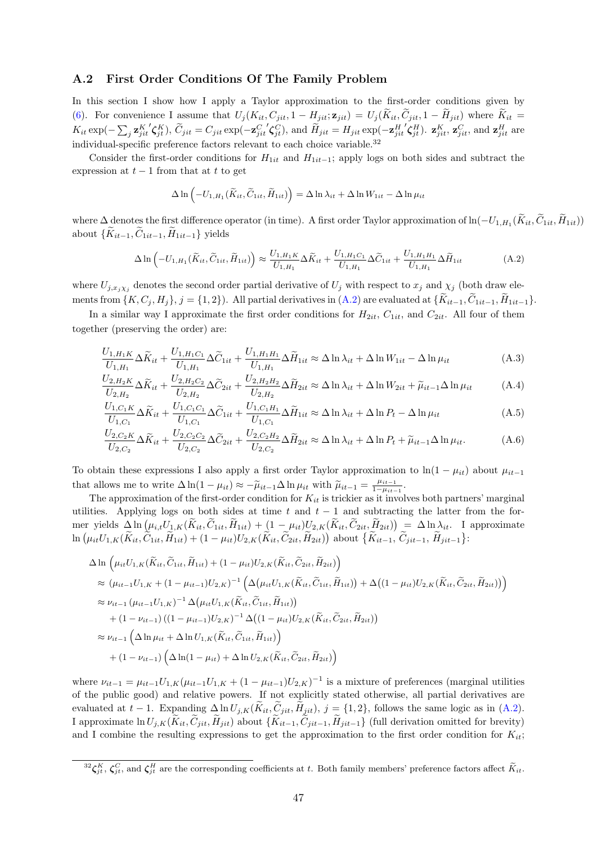#### <span id="page-46-0"></span>A.2 First Order Conditions Of The Family Problem

In this section I show how I apply a Taylor approximation to the first-order conditions given by [\(6\)](#page-10-1). For convenience I assume that  $U_j(K_{it}, C_{jit}, 1 - H_{jit}; \mathbf{z}_{jit}) = U_j(K_{it}, C_{jit}, 1 - H_{jit})$  where  $K_{it} =$  $K_{it} \exp(-\sum_j \mathbf{z}_{jit}^K)$  $\left(\boldsymbol{\zeta}_{jt}^K\right), \ \widetilde{C}_{jit} = C_{jit} \exp(-\mathbf{z}_{jit}^C)$  $\mathcal{L}_{\mathbf{S}jt}^{(C)}$ , and  $\widetilde{H}_{jit} = H_{jit} \exp(-\mathbf{z}_{jit}^H)$  $\left\langle \boldsymbol{\zeta}_{jt}^{H}\right\rangle$ .  $\mathbf{z}_{jit}^{K}$ ,  $\mathbf{z}_{jit}^{C}$ , and  $\mathbf{z}_{jit}^{H}$  are individual-specific preference factors relevant to each choice variable.<sup>32</sup>

Consider the first-order conditions for  $H_{1it}$  and  $H_{1it-1}$ ; apply logs on both sides and subtract the expression at  $t-1$  from that at t to get

<span id="page-46-2"></span>
$$
\Delta \ln \left( -U_{1,H_1}(\widetilde{K}_{it}, \widetilde{C}_{1it}, \widetilde{H}_{1it}) \right) = \Delta \ln \lambda_{it} + \Delta \ln W_{1it} - \Delta \ln \mu_{it}
$$

where  $\Delta$  denotes the first difference operator (in time). A first order Taylor approximation of ln( $-U_{1,H_1}(K_{it}, C_{1it}, H_{1it})$ ) about  $\{\widetilde{K}_{it-1}, \widetilde{C}_{1it-1}, \widetilde{H}_{1it-1}\}\$  yields

<span id="page-46-1"></span>
$$
\Delta \ln \left( -U_{1,H_1}(\widetilde{K}_{it}, \widetilde{C}_{1it}, \widetilde{H}_{1it}) \right) \approx \frac{U_{1,H_1K}}{U_{1,H_1}} \Delta \widetilde{K}_{it} + \frac{U_{1,H_1C_1}}{U_{1,H_1}} \Delta \widetilde{C}_{1it} + \frac{U_{1,H_1H_1}}{U_{1,H_1}} \Delta \widetilde{H}_{1it}
$$
\n(A.2)

where  $U_{j,x_i\chi_j}$  denotes the second order partial derivative of  $U_j$  with respect to  $x_j$  and  $\chi_j$  (both draw elements from  $\{K, C_j, H_j\}, j = \{1, 2\}$ . All partial derivatives in  $(A.2)$  are evaluated at  $\{\widetilde{K}_{it-1}, \widetilde{C}_{1it-1}, \widetilde{H}_{1it-1}\}.$ 

In a similar way I approximate the first order conditions for  $H_{2it}$ ,  $C_{1it}$ , and  $C_{2it}$ . All four of them together (preserving the order) are:

$$
\frac{U_{1,H_1K}}{U_{1,H_1}} \Delta \tilde{K}_{it} + \frac{U_{1,H_1C_1}}{U_{1,H_1}} \Delta \tilde{C}_{1it} + \frac{U_{1,H_1H_1}}{U_{1,H_1}} \Delta \tilde{H}_{1it} \approx \Delta \ln \lambda_{it} + \Delta \ln W_{1it} - \Delta \ln \mu_{it}
$$
(A.3)

$$
\frac{U_{2,H_2K}}{U_{2,H_2}}\Delta \widetilde{K}_{it} + \frac{U_{2,H_2C_2}}{U_{2,H_2}}\Delta \widetilde{C}_{2it} + \frac{U_{2,H_2H_2}}{U_{2,H_2}}\Delta \widetilde{H}_{2it} \approx \Delta \ln \lambda_{it} + \Delta \ln W_{2it} + \widetilde{\mu}_{it-1} \Delta \ln \mu_{it}
$$
(A.4)

$$
\frac{U_{1,C_1K}}{U_{1,C_1}} \Delta \widetilde{K}_{it} + \frac{U_{1,C_1C_1}}{U_{1,C_1}} \Delta \widetilde{C}_{1it} + \frac{U_{1,C_1H_1}}{U_{1,C_1}} \Delta \widetilde{H}_{1it} \approx \Delta \ln \lambda_{it} + \Delta \ln P_t - \Delta \ln \mu_{it}
$$
\n(A.5)

$$
\frac{U_{2,C_2K}}{U_{2,C_2}} \Delta \widetilde{K}_{it} + \frac{U_{2,C_2C_2}}{U_{2,C_2}} \Delta \widetilde{C}_{2it} + \frac{U_{2,C_2H_2}}{U_{2,C_2}} \Delta \widetilde{H}_{2it} \approx \Delta \ln \lambda_{it} + \Delta \ln P_t + \widetilde{\mu}_{it-1} \Delta \ln \mu_{it}.
$$
 (A.6)

To obtain these expressions I also apply a first order Taylor approximation to  $\ln(1 - \mu_{it})$  about  $\mu_{it-1}$ that allows me to write  $\Delta \ln(1 - \mu_{it}) \approx -\tilde{\mu}_{it-1} \Delta \ln \mu_{it}$  with  $\tilde{\mu}_{it-1} = \frac{\mu_{it-1}}{1 - \mu_{it-1}}$  $\frac{\mu_{it-1}}{1-\mu_{it-1}}$ .

The approximation of the first-order condition for  $K_{it}$  is trickier as it involves both partners' marginal utilities. Applying logs on both sides at time t and  $t - 1$  and subtracting the latter from the former yields  $\Delta \ln \left( \mu_{i,t} U_{1,K}(\tilde{K}_{it}, \tilde{C}_{1it}, \tilde{H}_{1it}) + (1 - \mu_{it}) U_{2,K}(\tilde{K}_{it}, \tilde{C}_{2it}, \tilde{H}_{2it}) \right) = \Delta \ln \lambda_{it}$ . I approximate  $\ln \left( \mu_{it} U_{1,K}(\tilde{K}_{it}, \tilde{C}_{1it}, \tilde{H}_{1it}) + (1 - \mu_{it}) U_{2,K}(\tilde{K}_{it}, \tilde{C}_{2it}, \tilde{H}_{2it}) \right)$  about  $\{ \tilde{K}_{it-1}, \tilde{C}_{jit-1}, \tilde{H}_{jit-1} \}$ :

$$
\Delta \ln \left( \mu_{it} U_{1,K}(\tilde{K}_{it}, \tilde{C}_{1it}, \tilde{H}_{1it}) + (1 - \mu_{it}) U_{2,K}(\tilde{K}_{it}, \tilde{C}_{2it}, \tilde{H}_{2it}) \right)
$$
  
\n
$$
\approx (\mu_{it-1} U_{1,K} + (1 - \mu_{it-1}) U_{2,K})^{-1} \left( \Delta (\mu_{it} U_{1,K}(\tilde{K}_{it}, \tilde{C}_{1it}, \tilde{H}_{1it})) + \Delta ((1 - \mu_{it}) U_{2,K}(\tilde{K}_{it}, \tilde{C}_{2it}, \tilde{H}_{2it})) \right)
$$
  
\n
$$
\approx \nu_{it-1} (\mu_{it-1} U_{1,K})^{-1} \Delta (\mu_{it} U_{1,K}(\tilde{K}_{it}, \tilde{C}_{1it}, \tilde{H}_{1it}))
$$
  
\n
$$
+ (1 - \nu_{it-1}) ((1 - \mu_{it-1}) U_{2,K})^{-1} \Delta ((1 - \mu_{it}) U_{2,K}(\tilde{K}_{it}, \tilde{C}_{2it}, \tilde{H}_{2it}))
$$
  
\n
$$
\approx \nu_{it-1} (\Delta \ln \mu_{it} + \Delta \ln U_{1,K}(\tilde{K}_{it}, \tilde{C}_{1it}, \tilde{H}_{1it}))
$$
  
\n
$$
+ (1 - \nu_{it-1}) (\Delta \ln (1 - \mu_{it}) + \Delta \ln U_{2,K}(\tilde{K}_{it}, \tilde{C}_{2it}, \tilde{H}_{2it}))
$$

where  $\nu_{it-1} = \mu_{it-1} U_{1,K} (\mu_{it-1} U_{1,K} + (1 - \mu_{it-1}) U_{2,K})^{-1}$  is a mixture of preferences (marginal utilities of the public good) and relative powers. If not explicitly stated otherwise, all partial derivatives are evaluated at  $t-1$ . Expanding  $\Delta \ln U_{j,K}(\tilde{K}_{it}, \tilde{C}_{jit}, \tilde{H}_{jit}), j = \{1, 2\}$ , follows the same logic as in [\(A.2\)](#page-46-1). I approximate  $\ln U_{j,K}(\tilde{K}_{it}, \tilde{C}_{jit}, \tilde{H}_{jit})$  about  $\{\tilde{K}_{it-1}, \tilde{C}_{jit-1}, \tilde{H}_{jit-1}\}$  (full derivation omitted for brevity) and I combine the resulting expressions to get the approximation to the first order condition for  $K_{it}$ ;

 ${}^{32}\zeta_{jt}^K$ ,  $\zeta_{jt}^C$ , and  $\zeta_{jt}^H$  are the corresponding coefficients at t. Both family members' preference factors affect  $\widetilde{K}_{it}$ .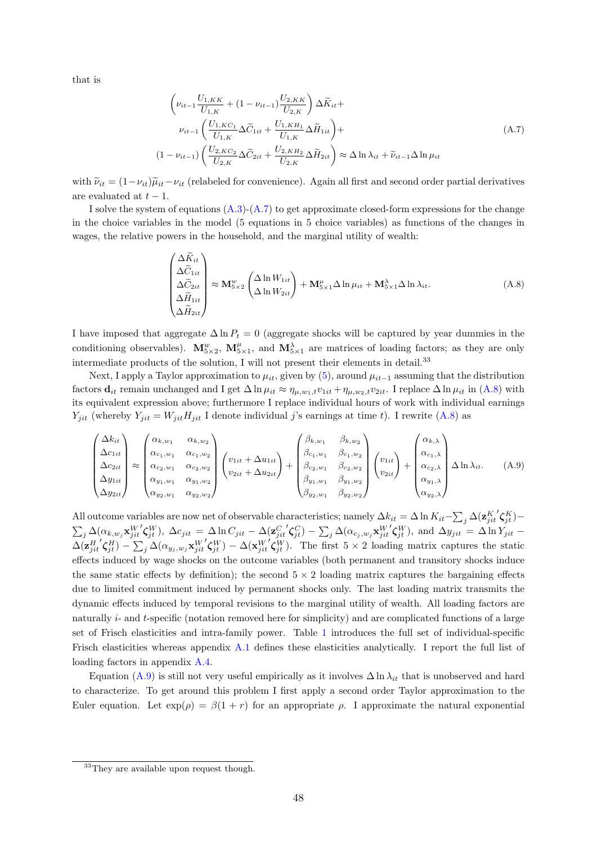that is

<span id="page-47-1"></span>
$$
\left(\nu_{it-1} \frac{U_{1,KK}}{U_{1,K}} + (1 - \nu_{it-1}) \frac{U_{2,KK}}{U_{2,K}}\right) \Delta \tilde{K}_{it} +
$$
\n
$$
\nu_{it-1} \left(\frac{U_{1,KC_1}}{U_{1,K}} \Delta \tilde{C}_{1it} + \frac{U_{1,KH_1}}{U_{1,K}} \Delta \tilde{H}_{1it}\right) +
$$
\n
$$
(1 - \nu_{it-1}) \left(\frac{U_{2,KC_2}}{U_{2,K}} \Delta \tilde{C}_{2it} + \frac{U_{2,KH_2}}{U_{2,K}} \Delta \tilde{H}_{2it}\right) \approx \Delta \ln \lambda_{it} + \tilde{\nu}_{it-1} \Delta \ln \mu_{it}
$$
\n(A.7)

with  $\tilde{\nu}_{it} = (1-\nu_{it})\tilde{\mu}_{it}-\nu_{it}$  (relabeled for convenience). Again all first and second order partial derivatives are evaluated at  $t-1$ .

I solve the system of equations  $(A.3)-(A.7)$  $(A.3)-(A.7)$  $(A.3)-(A.7)$  to get approximate closed-form expressions for the change in the choice variables in the model (5 equations in 5 choice variables) as functions of the changes in wages, the relative powers in the household, and the marginal utility of wealth:

<span id="page-47-2"></span><span id="page-47-0"></span>
$$
\begin{pmatrix}\n\Delta \widetilde{K}_{it} \\
\Delta \widetilde{C}_{1it} \\
\Delta \widetilde{C}_{2it} \\
\Delta \widetilde{H}_{1it} \\
\Delta \widetilde{H}_{2it}\n\end{pmatrix} \approx \mathbf{M}_{5\times 2}^{w} \begin{pmatrix}\n\Delta \ln W_{1it} \\
\Delta \ln W_{2it}\n\end{pmatrix} + \mathbf{M}_{5\times 1}^{\mu} \Delta \ln \mu_{it} + \mathbf{M}_{5\times 1}^{\lambda} \Delta \ln \lambda_{it}.
$$
\n(A.8)

I have imposed that aggregate  $\Delta \ln P_t = 0$  (aggregate shocks will be captured by year dummies in the conditioning observables).  $\mathbf{M}_{5\times2}^w$ ,  $\mathbf{M}_{5\times1}^{\mu}$ , and  $\mathbf{M}_{5\times1}^{\lambda}$  are matrices of loading factors; as they are only intermediate products of the solution, I will not present their elements in detail.<sup>33</sup>

Next, I apply a Taylor approximation to  $\mu_{it}$ , given by [\(5\)](#page-9-0), around  $\mu_{it-1}$  assuming that the distribution factors  $\mathbf{d}_{it}$  remain unchanged and I get  $\Delta \ln \mu_{it} \approx \eta_{\mu,w_1,t} v_{1it} + \eta_{\mu,w_2,t} v_{2it}$ . I replace  $\Delta \ln \mu_{it}$  in [\(A.8\)](#page-47-0) with its equivalent expression above; furthermore I replace individual hours of work with individual earnings  $Y_{jit}$  (whereby  $Y_{jit} = W_{jit} H_{jit}$  I denote individual j's earnings at time t). I rewrite [\(A.8\)](#page-47-0) as

$$
\begin{pmatrix}\n\Delta k_{it} \\
\Delta c_{1it} \\
\Delta c_{2it} \\
\Delta y_{1it} \\
\Delta y_{2it}\n\end{pmatrix}\n\approx\n\begin{pmatrix}\n\alpha_{k,w_1} & \alpha_{k,w_2} \\
\alpha_{c_1,w_1} & \alpha_{c_1,w_2} \\
\alpha_{c_2,w_1} & \alpha_{c_2,w_2} \\
\alpha_{w_1,w_1} & \alpha_{w_1,w_2} \\
\alpha_{w_2,w_1} & \alpha_{w_2,w_2}\n\end{pmatrix}\n\begin{pmatrix}\nv_{1it} + \Delta u_{1it} \\
v_{2it} + \Delta u_{2it}\n\end{pmatrix} +\n\begin{pmatrix}\n\beta_{k,w_1} & \beta_{k,w_2} \\
\beta_{c_1,w_1} & \beta_{c_1,w_2} \\
\beta_{c_2,w_1} & \beta_{c_2,w_2} \\
\beta_{w_1,w_1} & \beta_{w_1,w_2} \\
\beta_{w_2,w_1} & \beta_{w_2,w_2}\n\end{pmatrix}\n\begin{pmatrix}\nv_{1it} \\
\alpha_{c_1,\lambda} \\
\alpha_{c_2,\lambda} \\
\alpha_{w_1,\lambda} \\
\alpha_{w_2,\lambda}\n\end{pmatrix}\n\Delta \ln \lambda_{it}.
$$
\n(A.9)

All outcome variables are now net of observable characteristics; namely  $\Delta k_{it} = \Delta \ln K_{it} - \sum_j \Delta(\mathbf{z}_{jit}^K)$  $\zeta_{jt}^K$ )−  $\sum_j \Delta(\alpha_{k,w_j}\mathbf{x}_{jit}^W$  $\mathcal{L}_{jt}^{(W)}$ ,  $\Delta c_{jit} = \Delta \ln C_{jit} - \Delta (\mathbf{z}_{jit}^C)$  $\left< \boldsymbol{\zeta}_{jt}^C \right> - \sum_j \Delta(\alpha_{c_j, w_j}\mathbf{x}_{jit}^W)$  $\zeta_{jt}^W$ ), and  $\Delta y_{jit} = \Delta \ln Y_{jit}$  –  $\Delta(\mathbf{z}^H_{jit}$  $\left(\boldsymbol{\zeta}_{jt}^{H}\right)-\sum_{j}\Delta(\alpha_{y_{j},w_{j}}\mathbf{x}_{jit}^{W})$  $\mathbf{C}^W_{jt}$ ) –  $\Delta(\mathbf{x}^W_{jit})$  $\zeta_{jt}^W$ ). The first  $5 \times 2$  loading matrix captures the static effects induced by wage shocks on the outcome variables (both permanent and transitory shocks induce the same static effects by definition); the second  $5 \times 2$  loading matrix captures the bargaining effects due to limited commitment induced by permanent shocks only. The last loading matrix transmits the dynamic effects induced by temporal revisions to the marginal utility of wealth. All loading factors are naturally i- and t-specific (notation removed here for simplicity) and are complicated functions of a large set of Frisch elasticities and intra-family power. Table [1](#page-11-0) introduces the full set of individual-specific Frisch elasticities whereas appendix [A.1](#page-45-0) defines these elasticities analytically. I report the full list of loading factors in appendix [A.4.](#page-50-0)

Equation [\(A.9\)](#page-47-2) is still not very useful empirically as it involves  $\Delta \ln \lambda_{it}$  that is unobserved and hard to characterize. To get around this problem I first apply a second order Taylor approximation to the Euler equation. Let  $\exp(\rho) = \beta(1+r)$  for an appropriate  $\rho$ . I approximate the natural exponential

<sup>&</sup>lt;sup>33</sup>They are available upon request though.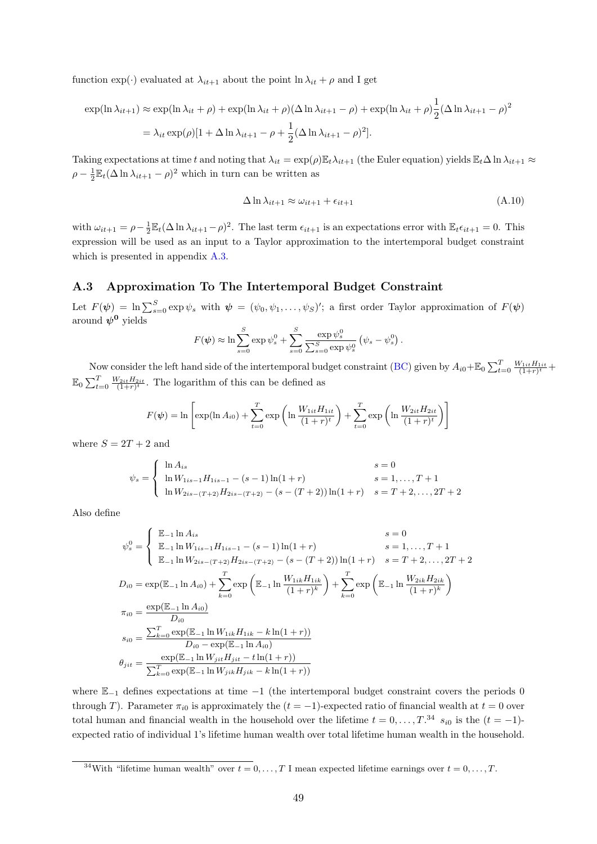function  $\exp(\cdot)$  evaluated at  $\lambda_{it+1}$  about the point  $\ln \lambda_{it} + \rho$  and I get

$$
\exp(\ln \lambda_{it+1}) \approx \exp(\ln \lambda_{it} + \rho) + \exp(\ln \lambda_{it} + \rho)(\Delta \ln \lambda_{it+1} - \rho) + \exp(\ln \lambda_{it} + \rho)\frac{1}{2}(\Delta \ln \lambda_{it+1} - \rho)^2
$$

$$
= \lambda_{it} \exp(\rho)[1 + \Delta \ln \lambda_{it+1} - \rho + \frac{1}{2}(\Delta \ln \lambda_{it+1} - \rho)^2].
$$

Taking expectations at time t and noting that  $\lambda_{it} = \exp(\rho) \mathbb{E}_t \lambda_{it+1}$  (the Euler equation) yields  $\mathbb{E}_t \Delta \ln \lambda_{it+1} \approx$  $\rho - \frac{1}{2} \mathbb{E}_t (\Delta \ln \lambda_{it+1} - \rho)^2$  which in turn can be written as

<span id="page-48-0"></span>
$$
\Delta \ln \lambda_{it+1} \approx \omega_{it+1} + \epsilon_{it+1} \tag{A.10}
$$

with  $\omega_{it+1} = \rho - \frac{1}{2} \mathbb{E}_t (\Delta \ln \lambda_{it+1} - \rho)^2$ . The last term  $\epsilon_{it+1}$  is an expectations error with  $\mathbb{E}_t \epsilon_{it+1} = 0$ . This expression will be used as an input to a Taylor approximation to the intertemporal budget constraint which is presented in appendix [A.3.](#page-48-1)

#### <span id="page-48-1"></span>A.3 Approximation To The Intertemporal Budget Constraint

Let  $F(\psi) = \ln \sum_{s=0}^{S} \exp \psi_s$  with  $\psi = (\psi_0, \psi_1, \dots, \psi_S)'$ ; a first order Taylor approximation of  $F(\psi)$ around  $\psi^0$  yields

$$
F(\psi) \approx \ln \sum_{s=0}^{S} \exp \psi_s^0 + \sum_{s=0}^{S} \frac{\exp \psi_s^0}{\sum_{s=0}^{S} \exp \psi_s^0} (\psi_s - \psi_s^0).
$$

Now consider the left hand side of the intertemporal budget constraint [\(BC\)](#page-6-4) given by  $A_{i0} + \mathbb{E}_0 \sum_{t=0}^{T} \frac{W_{1it}H_{1it}}{(1+r)^t} +$  $\mathbb{E}_0 \sum_{t=0}^T \frac{W_{2it} H_{2it}}{(1+r)^t}$ . The logarithm of this can be defined as

$$
F(\psi) = \ln \left[ \exp(\ln A_{i0}) + \sum_{t=0}^{T} \exp \left( \ln \frac{W_{1it} H_{1it}}{(1+r)^t} \right) + \sum_{t=0}^{T} \exp \left( \ln \frac{W_{2it} H_{2it}}{(1+r)^t} \right) \right]
$$

where  $S = 2T + 2$  and

$$
\psi_s = \begin{cases} \ln A_{is} & s = 0\\ \ln W_{1is-1}H_{1is-1} - (s-1)\ln(1+r) & s = 1, \dots, T+1\\ \ln W_{2is-(T+2)}H_{2is-(T+2)} - (s-(T+2))\ln(1+r) & s = T+2, \dots, 2T+2 \end{cases}
$$

Also define

$$
\psi_s^0 = \begin{cases}\n\mathbb{E}_{-1} \ln A_{is} & s = 0 \\
\mathbb{E}_{-1} \ln W_{1is-1} H_{1is-1} - (s-1) \ln(1+r) & s = 1, ..., T+1 \\
\mathbb{E}_{-1} \ln W_{2is-(T+2)} H_{2is-(T+2)} - (s - (T+2)) \ln(1+r) & s = T+2, ..., 2T+2\n\end{cases}
$$
\n
$$
D_{i0} = \exp(\mathbb{E}_{-1} \ln A_{i0}) + \sum_{k=0}^{T} \exp\left(\mathbb{E}_{-1} \ln \frac{W_{1ik} H_{1ik}}{(1+r)^k}\right) + \sum_{k=0}^{T} \exp\left(\mathbb{E}_{-1} \ln \frac{W_{2ik} H_{2ik}}{(1+r)^k}\right)
$$
\n
$$
\pi_{i0} = \frac{\exp(\mathbb{E}_{-1} \ln A_{i0})}{D_{i0}}
$$
\n
$$
s_{i0} = \frac{\sum_{k=0}^{T} \exp(\mathbb{E}_{-1} \ln W_{1ik} H_{1ik} - k \ln(1+r))}{D_{i0} - \exp(\mathbb{E}_{-1} \ln A_{i0})}
$$
\n
$$
\theta_{jit} = \frac{\exp(\mathbb{E}_{-1} \ln W_{jit} H_{jit} - t \ln(1+r))}{\sum_{k=0}^{T} \exp(\mathbb{E}_{-1} \ln W_{jit} H_{jit} - k \ln(1+r))}
$$

where  $\mathbb{E}_{-1}$  defines expectations at time  $-1$  (the intertemporal budget constraint covers the periods 0 through T). Parameter  $\pi_{i0}$  is approximately the  $(t = -1)$ -expected ratio of financial wealth at  $t = 0$  over total human and financial wealth in the household over the lifetime  $t = 0, \ldots, T^{34}$   $s_{i0}$  is the  $(t = -1)$ expected ratio of individual 1's lifetime human wealth over total lifetime human wealth in the household.

<sup>&</sup>lt;sup>34</sup>With "lifetime human wealth" over  $t = 0, \ldots, T$  I mean expected lifetime earnings over  $t = 0, \ldots, T$ .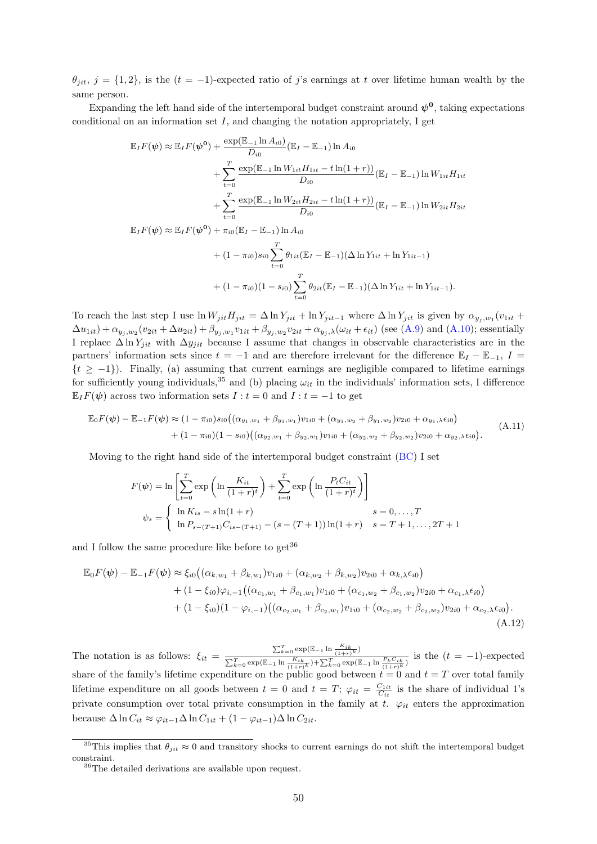$\theta_{jit}$ ,  $j = \{1, 2\}$ , is the  $(t = -1)$ -expected ratio of j's earnings at t over lifetime human wealth by the same person.

Expanding the left hand side of the intertemporal budget constraint around  $\psi^0$ , taking expectations conditional on an information set  $I$ , and changing the notation appropriately, I get

$$
\mathbb{E}_{I}F(\psi) \approx \mathbb{E}_{I}F(\psi^{0}) + \frac{\exp(\mathbb{E}_{-1}\ln A_{i0})}{D_{i0}}(\mathbb{E}_{I} - \mathbb{E}_{-1})\ln A_{i0} \n+ \sum_{t=0}^{T} \frac{\exp(\mathbb{E}_{-1}\ln W_{1it}H_{1it} - t\ln(1+r))}{D_{i0}}(\mathbb{E}_{I} - \mathbb{E}_{-1})\ln W_{1it}H_{1it} \n+ \sum_{t=0}^{T} \frac{\exp(\mathbb{E}_{-1}\ln W_{2it}H_{2it} - t\ln(1+r))}{D_{i0}}(\mathbb{E}_{I} - \mathbb{E}_{-1})\ln W_{2it}H_{2it} \n\mathbb{E}_{I}F(\psi) \approx \mathbb{E}_{I}F(\psi^{0}) + \pi_{i0}(\mathbb{E}_{I} - \mathbb{E}_{-1})\ln A_{i0} \n+ (1 - \pi_{i0})s_{i0} \sum_{t=0}^{T} \theta_{1it}(\mathbb{E}_{I} - \mathbb{E}_{-1})(\Delta \ln Y_{1it} + \ln Y_{1it-1}) \n+ (1 - \pi_{i0})(1 - s_{i0}) \sum_{t=0}^{T} \theta_{2it}(\mathbb{E}_{I} - \mathbb{E}_{-1})(\Delta \ln Y_{1it} + \ln Y_{1it-1}).
$$

To reach the last step I use  $\ln W_{jit}H_{jit} = \Delta \ln Y_{jit} + \ln Y_{jit-1}$  where  $\Delta \ln Y_{jit}$  is given by  $\alpha_{y_j, w_1}(v_{1it} +$  $\Delta u_{1it}) + \alpha_{y_j, w_2}(v_{2it} + \Delta u_{2it}) + \beta_{y_j, w_1}v_{1it} + \beta_{y_j, w_2}v_{2it} + \alpha_{y_j, \lambda}(\omega_{it} + \epsilon_{it})$  (see [\(A.9\)](#page-47-2) and [\(A.10\)](#page-48-0); essentially I replace  $\Delta \ln Y_{jit}$  with  $\Delta y_{jit}$  because I assume that changes in observable characteristics are in the partners' information sets since  $t = -1$  and are therefore irrelevant for the difference  $\mathbb{E}_I - \mathbb{E}_{-1}$ ,  $I =$  $\{t \geq -1\}$ ). Finally, (a) assuming that current earnings are negligible compared to lifetime earnings for sufficiently young individuals,<sup>35</sup> and (b) placing  $\omega_{it}$  in the individuals' information sets, I difference  $\mathbb{E}_{I}F(\psi)$  across two information sets  $I : t = 0$  and  $I : t = -1$  to get

$$
\mathbb{E}_{0}F(\psi) - \mathbb{E}_{-1}F(\psi) \approx (1 - \pi_{i0})s_{i0}((\alpha_{y_{1},w_{1}} + \beta_{y_{1},w_{1}})v_{1i0} + (\alpha_{y_{1},w_{2}} + \beta_{y_{1},w_{2}})v_{2i0} + \alpha_{y_{1},\lambda}\epsilon_{i0}) + (1 - \pi_{i0})(1 - s_{i0})((\alpha_{y_{2},w_{1}} + \beta_{y_{2},w_{1}})v_{1i0} + (\alpha_{y_{2},w_{2}} + \beta_{y_{2},w_{2}})v_{2i0} + \alpha_{y_{2},\lambda}\epsilon_{i0}).
$$
\n(A.11)

Moving to the right hand side of the intertemporal budget constraint [\(BC\)](#page-6-4) I set

<span id="page-49-1"></span><span id="page-49-0"></span>
$$
F(\psi) = \ln \left[ \sum_{t=0}^{T} \exp \left( \ln \frac{K_{it}}{(1+r)^t} \right) + \sum_{t=0}^{T} \exp \left( \ln \frac{P_t C_{it}}{(1+r)^t} \right) \right]
$$
  

$$
\psi_s = \begin{cases} \ln K_{is} - s \ln(1+r) & s = 0, ..., T \\ \ln P_{s-(T+1)} C_{is-(T+1)} - (s - (T+1)) \ln(1+r) & s = T+1, ..., 2T+1 \end{cases}
$$

and I follow the same procedure like before to  $get^{36}$ 

$$
\mathbb{E}_{0}F(\boldsymbol{\psi}) - \mathbb{E}_{-1}F(\boldsymbol{\psi}) \approx \xi_{i0} \big( (\alpha_{k,w_{1}} + \beta_{k,w_{1}})v_{1i0} + (\alpha_{k,w_{2}} + \beta_{k,w_{2}})v_{2i0} + \alpha_{k,\lambda}\epsilon_{i0} \big) + (1 - \xi_{i0})\varphi_{i,-1} \big( (\alpha_{c_{1},w_{1}} + \beta_{c_{1},w_{1}})v_{1i0} + (\alpha_{c_{1},w_{2}} + \beta_{c_{1},w_{2}})v_{2i0} + \alpha_{c_{1},\lambda}\epsilon_{i0} \big) + (1 - \xi_{i0})(1 - \varphi_{i,-1}) \big( (\alpha_{c_{2},w_{1}} + \beta_{c_{2},w_{1}})v_{1i0} + (\alpha_{c_{2},w_{2}} + \beta_{c_{2},w_{2}})v_{2i0} + \alpha_{c_{2},\lambda}\epsilon_{i0} \big).
$$
\n(A.12)

The notation is as follows:  $\xi_{it} = \frac{\sum_{k=0}^{T} \exp(\mathbb{E}_{-1} \ln \frac{K_{ik}}{(1+r)^k})}{\sum_{k=0}^{T} \exp(\mathbb{E}_{-1} \ln \frac{K_{ik}}{(1+r)^k})}$  $\frac{E_{k=0}^{T} \exp\left(\mathbb{E}_{-1} \ln \frac{K_{ik}}{(1+r)^k}\right)}{\sum_{k=0}^{T} \exp\left(\mathbb{E}_{-1} \ln \frac{F_k}{(1+r)^k}\right)}$  is the  $(t = -1)$ -expected share of the family's lifetime expenditure on the public good between  $t = 0$  and  $t = T$  over total family lifetime expenditure on all goods between  $t = 0$  and  $t = T$ ;  $\varphi_{it} = \frac{C_{1it}}{C_{it}}$  is the share of individual 1's private consumption over total private consumption in the family at t.  $\varphi_{it}$  enters the approximation because  $\Delta \ln C_{it} \approx \varphi_{it-1} \Delta \ln C_{1it} + (1 - \varphi_{it-1}) \Delta \ln C_{2it}$ .

<sup>&</sup>lt;sup>35</sup>This implies that  $\theta_{jit} \approx 0$  and transitory shocks to current earnings do not shift the intertemporal budget constraint.

<sup>36</sup>The detailed derivations are available upon request.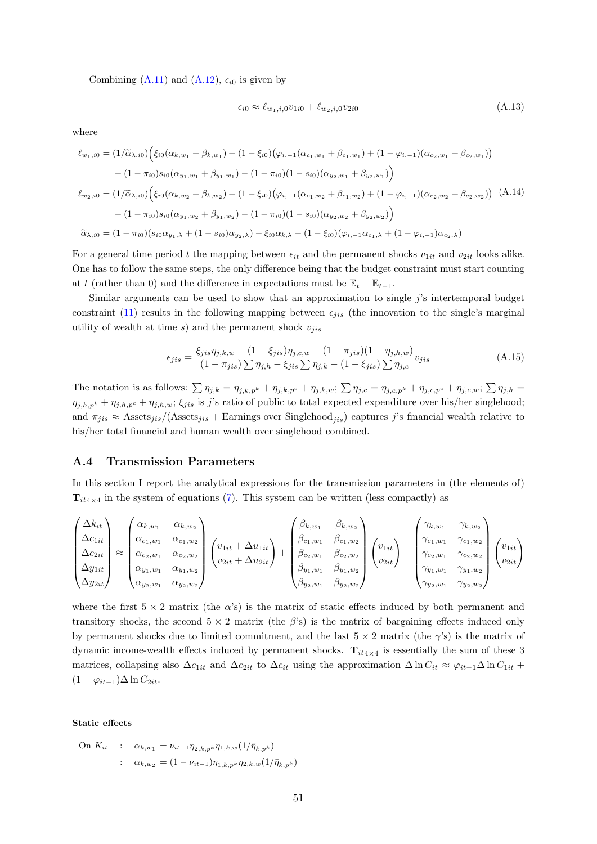Combining  $(A.11)$  and  $(A.12)$ ,  $\epsilon_{i0}$  is given by

<span id="page-50-3"></span><span id="page-50-1"></span>
$$
\epsilon_{i0} \approx \ell_{w_1,i,0} v_{1i0} + \ell_{w_2,i,0} v_{2i0}
$$
\n(A.13)

where

$$
\ell_{w_1,i0} = (1/\tilde{\alpha}_{\lambda,i0}) \Big( \xi_{i0} (\alpha_{k,w_1} + \beta_{k,w_1}) + (1 - \xi_{i0}) (\varphi_{i,-1} (\alpha_{c_1,w_1} + \beta_{c_1,w_1}) + (1 - \varphi_{i,-1}) (\alpha_{c_2,w_1} + \beta_{c_2,w_1}) \Big)
$$

$$
- (1 - \pi_{i0}) s_{i0} (\alpha_{y_1,w_1} + \beta_{y_1,w_1}) - (1 - \pi_{i0}) (1 - s_{i0}) (\alpha_{y_2,w_1} + \beta_{y_2,w_1}) \Big)
$$

$$
\ell_{w_2,i0} = (1/\tilde{\alpha}_{\lambda,i0}) \Big( \xi_{i0} (\alpha_{k,w_2} + \beta_{k,w_2}) + (1 - \xi_{i0}) (\varphi_{i,-1} (\alpha_{c_1,w_2} + \beta_{c_1,w_2}) + (1 - \varphi_{i,-1}) (\alpha_{c_2,w_2} + \beta_{c_2,w_2}) \Big) \quad (A.14)
$$

$$
- (1 - \pi_{i0}) s_{i0} (\alpha_{y_1,w_2} + \beta_{y_1,w_2}) - (1 - \pi_{i0}) (1 - s_{i0}) (\alpha_{y_2,w_2} + \beta_{y_2,w_2}) \Big)
$$

$$
\tilde{\alpha}_{\lambda,i0} = (1 - \pi_{i0}) (s_{i0} \alpha_{y_1,\lambda} + (1 - s_{i0}) \alpha_{y_2,\lambda}) - \xi_{i0} \alpha_{k,\lambda} - (1 - \xi_{i0}) (\varphi_{i,-1} \alpha_{c_1,\lambda} + (1 - \varphi_{i,-1}) \alpha_{c_2,\lambda})
$$

For a general time period t the mapping between  $\epsilon_{it}$  and the permanent shocks  $v_{1it}$  and  $v_{2it}$  looks alike. One has to follow the same steps, the only difference being that the budget constraint must start counting at t (rather than 0) and the difference in expectations must be  $\mathbb{E}_t - \mathbb{E}_{t-1}$ .

Similar arguments can be used to show that an approximation to single  $j$ 's intertemporal budget constraint [\(11\)](#page-19-1) results in the following mapping between  $\epsilon_{iis}$  (the innovation to the single's marginal utility of wealth at time  $s$ ) and the permanent shock  $v_{iis}$ 

<span id="page-50-2"></span>
$$
\epsilon_{jis} = \frac{\xi_{jis}\eta_{j,k,w} + (1 - \xi_{jis})\eta_{j,c,w} - (1 - \pi_{jis})(1 + \eta_{j,h,w})}{(1 - \pi_{jis})\sum\eta_{j,h} - \xi_{jis}\sum\eta_{j,k} - (1 - \xi_{jis})\sum\eta_{j,c}}v_{jis}
$$
(A.15)

The notation is as follows:  $\sum \eta_{j,k} = \eta_{j,k,p^k} + \eta_{j,k,p^c} + \eta_{j,k,w}$ ;  $\sum \eta_{j,c} = \eta_{j,c,p^k} + \eta_{j,c,p^c} + \eta_{j,c,w}$ ;  $\sum \eta_{j,h} =$  $\eta_{j,h,p^k} + \eta_{j,h,p^c} + \eta_{j,h,w}$ ;  $\xi_{jis}$  is j's ratio of public to total expected expenditure over his/her singlehood; and  $\pi_{jis} \approx \text{Assets}_{jis} / (\text{Assets}_{jis} + \text{Earnings over Singlehood}_{jis})$  captures j's financial wealth relative to his/her total financial and human wealth over singlehood combined.

#### <span id="page-50-0"></span>A.4 Transmission Parameters

In this section I report the analytical expressions for the transmission parameters in (the elements of)  $\mathbf{T}_{it4\times 4}$  in the system of equations [\(7\)](#page-10-0). This system can be written (less compactly) as

$$
\begin{pmatrix}\n\Delta k_{it} \\
\Delta c_{1it} \\
\Delta c_{2it} \\
\Delta y_{1it} \\
\Delta y_{2it}\n\end{pmatrix}\n\approx\n\begin{pmatrix}\n\alpha_{k,w_1} & \alpha_{k,w_2} \\
\alpha_{c_1,w_1} & \alpha_{c_1,w_2} \\
\alpha_{c_2,w_1} & \alpha_{c_2,w_2} \\
\alpha_{y_1,w_1} & \alpha_{y_1,w_2} \\
\alpha_{y_2,w_1} & \alpha_{y_2,w_2}\n\end{pmatrix}\n\begin{pmatrix}\nv_{1it} + \Delta u_{1it} \\
v_{2it} + \Delta u_{2it}\n\end{pmatrix} +\n\begin{pmatrix}\n\beta_{k,w_1} & \beta_{k,w_2} \\
\beta_{c_1,w_1} & \beta_{c_1,w_2} \\
\beta_{c_2,w_1} & \beta_{c_2,w_2} \\
\beta_{y_1,w_1} & \beta_{y_1,w_2} \\
\beta_{y_2,w_1} & \beta_{y_2,w_2}\n\end{pmatrix}\n\begin{pmatrix}\nv_{1it} \\
v_{2it} \\
v_{2it}\n\end{pmatrix} +\n\begin{pmatrix}\n\gamma_{k,w_1} & \gamma_{k,w_2} \\
\gamma_{c_1,w_1} & \gamma_{c_1,w_2} \\
\gamma_{c_2,w_1} & \gamma_{c_2,w_2} \\
\gamma_{y_1,w_1} & \gamma_{y_1,w_2} \\
\gamma_{y_2,w_1} & \gamma_{y_2,w_2}\n\end{pmatrix}\n\begin{pmatrix}\nv_{1it} \\
v_{2it}\n\end{pmatrix}
$$

where the first  $5 \times 2$  matrix (the  $\alpha$ 's) is the matrix of static effects induced by both permanent and transitory shocks, the second  $5 \times 2$  matrix (the  $\beta$ 's) is the matrix of bargaining effects induced only by permanent shocks due to limited commitment, and the last  $5 \times 2$  matrix (the  $\gamma$ 's) is the matrix of dynamic income-wealth effects induced by permanent shocks.  $T_{it4\times 4}$  is essentially the sum of these 3 matrices, collapsing also  $\Delta c_{1it}$  and  $\Delta c_{2it}$  to  $\Delta c_{it}$  using the approximation  $\Delta \ln C_{it} \approx \varphi_{it-1} \Delta \ln C_{1it} +$  $(1 - \varphi_{it-1})\Delta \ln C_{2it}.$ 

Static effects

On 
$$
K_{it}
$$
 :  $\alpha_{k,w_1} = \nu_{it-1} \eta_{2,k,p^k} \eta_{1,k,w} (1/\bar{\eta}_{k,p^k})$   
 :  $\alpha_{k,w_2} = (1 - \nu_{it-1}) \eta_{1,k,p^k} \eta_{2,k,w} (1/\bar{\eta}_{k,p^k})$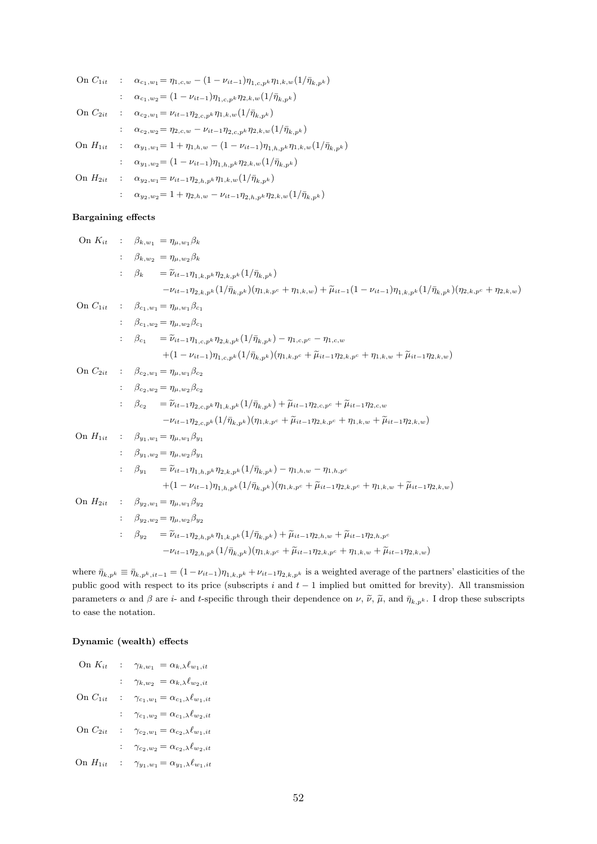| On $C_{1it}$ | : $\alpha_{c_1,w_1} = \eta_{1,c,w} - (1 - \nu_{it-1})\eta_{1,c,p^k}\eta_{1,k,w}(1/\bar{\eta}_{k,p^k})$     |
|--------------|------------------------------------------------------------------------------------------------------------|
|              | $\alpha_{c_1,w_2} = (1 - \nu_{it-1}) \eta_{1,c,p^k} \eta_{2,k,w} (1/\bar{\eta}_{k,p^k})$                   |
| On $C_{2it}$ | : $\alpha_{c_2,w_1} = \nu_{it-1} \eta_{2,c,pk} \eta_{1,k,w} (1/\bar{\eta}_{k,pk})$                         |
|              | $\alpha_{c_2,w_2} = \eta_{2,c,w} - \nu_{it-1} \eta_{2,c,pk} \eta_{2,k,w} (1/\bar{\eta}_{k,pk})$            |
| On $H_{1it}$ | : $\alpha_{y_1,w_1} = 1 + \eta_{1,h,w} - (1 - \nu_{it-1})\eta_{1,h,p^k}\eta_{1,k,w}(1/\bar{\eta}_{k,p^k})$ |
|              | $\alpha_{y_1,w_2} \!= (1 - \nu_{it-1}) \eta_{1,h,p^k} \eta_{2,k,w} (1/\bar{\eta}_{k,p^k})$                 |
| On $H_{2it}$ | : $\alpha_{y_2,w_1} = \nu_{it-1} \eta_{2,h,p^k} \eta_{1,k,w} (1/\bar{\eta}_{k,p^k})$                       |
|              | $\alpha_{y_2,w_2} = 1 + \eta_{2,h,w} - \nu_{it-1} \eta_{2,h,p} \eta_{2,k,w} (1/\bar{\eta}_{k,p^k})$        |

#### Bargaining effects

On 
$$
K_{it}
$$
:  $\beta_{k,w_{2}} = \eta_{\mu,w_{2}}\beta_{k}$   
\n $\beta_{k,w_{2}} = \eta_{\mu,w_{2}}\beta_{k}$   
\n $\beta_{k} = \tilde{\nu}_{it-1}\eta_{1,k,p^{k}}\eta_{2,k,p^{k}}(1/\bar{\eta}_{k,p^{k}})$   
\n $-\nu_{it-1}\eta_{2,k,p^{k}}(1/\bar{\eta}_{k,p^{k}})(\eta_{1,k,p^{c}} + \eta_{1,k,w}) + \tilde{\mu}_{it-1}(1 - \nu_{it-1})\eta_{1,k,p^{k}}(1/\bar{\eta}_{k,p^{k}})(\eta_{2,k,p^{c}} + \eta_{2,k,w})$   
\nOn  $C_{1it}$ :  $\beta_{c_{1},w_{2}} = \eta_{\mu,w_{2}}\beta_{c_{1}}$   
\n $\beta_{c_{1},w_{2}} = \eta_{\mu,w_{2}}\beta_{c_{1}}$   
\n $\beta_{c_{1}} = \tilde{\nu}_{it-1}\eta_{1,c,p^{k}}\eta_{2,k,p^{k}}(1/\bar{\eta}_{k,p^{k}}) - \eta_{1,c,p^{c}} - \eta_{1,c,w}$   
\n $+(1 - \nu_{it-1})\eta_{1,c,p^{k}}(1/\bar{\eta}_{k,p^{k}})(\eta_{1,k,p^{c}} + \tilde{\mu}_{it-1}\eta_{2,k,p^{c}} + \eta_{1,k,w} + \tilde{\mu}_{it-1}\eta_{2,k,w})$   
\nOn  $C_{2it}$ :  $\beta_{c_{2},w_{2}} = \eta_{\mu,w_{2}}\beta_{c_{2}}$   
\n $\beta_{c_{2},w_{2}} = \eta_{\mu,w_{2}}\beta_{c_{2}}$   
\n $\beta_{c_{2}} = \tilde{\nu}_{it-1}\eta_{2,c,p^{k}}\eta_{1,k,p^{k}}(1/\bar{\eta}_{k,p^{k}}) + \tilde{\mu}_{it-1}\eta_{2,c,p^{c}} + \tilde{\mu}_{it-1}\eta_{2,c,w}$   
\n $-\nu_{it-1}\eta_{2,c,p^{k}}(1/\bar{\eta}_{k,p^{k}})(\eta_{1,k,p^{c}} + \tilde{\mu}_{it-1}\eta_{2,k,p^{c}} + \eta_{1,k,w} + \tilde{\mu}_{it-1}\eta_{2,k,w})$   
\nOn  $H_{1it}$ :  $\beta_{y_{1},w_{2$ 

where  $\bar{\eta}_{k,p^k} \equiv \bar{\eta}_{k,p^k,it-1} = (1 - \nu_{it-1})\eta_{1,k,p^k} + \nu_{it-1}\eta_{2,k,p^k}$  is a weighted average of the partners' elasticities of the public good with respect to its price (subscripts  $i$  and  $t - 1$  implied but omitted for brevity). All transmission parameters  $\alpha$  and  $\beta$  are *i*- and *t*-specific through their dependence on  $\nu$ ,  $\tilde{\nu}$ ,  $\tilde{\mu}$ , and  $\bar{\eta}_{k,p^k}$ . I drop these subscripts to ease the notation.

#### Dynamic (wealth) effects

| On $K_{it}$  | $\langle 1 \rangle$       | $\gamma_{k,w_1} = \alpha_{k,\lambda} \ell_{w_1,it}$       |
|--------------|---------------------------|-----------------------------------------------------------|
|              |                           | $\gamma_{k,w_2} \ = \alpha_{k,\lambda} \ell_{w_2,it}$     |
| On $C_{1it}$ | $\mathbb{Z}^{\mathbb{Z}}$ | $\gamma_{c_1,w_1}=\alpha_{c_1,\lambda}\ell_{w_1,it}$      |
|              |                           | $\gamma_{c_1,w_2}=\alpha_{c_1,\lambda}\ell_{w_2,it}$      |
| On $C_{2it}$ | $\mathbb{Z}^{\mathbb{Z}}$ | $\gamma_{c_2,w_1}=\alpha_{c_2,\lambda}\ell_{w_1,it}$      |
|              |                           | $\gamma_{c_2,w_2}=\alpha_{c_2,\lambda}\ell_{w_2,it}$      |
| On $H_{1it}$ |                           | : $\gamma_{y_1,w_1} = \alpha_{y_1,\lambda} \ell_{w_1,it}$ |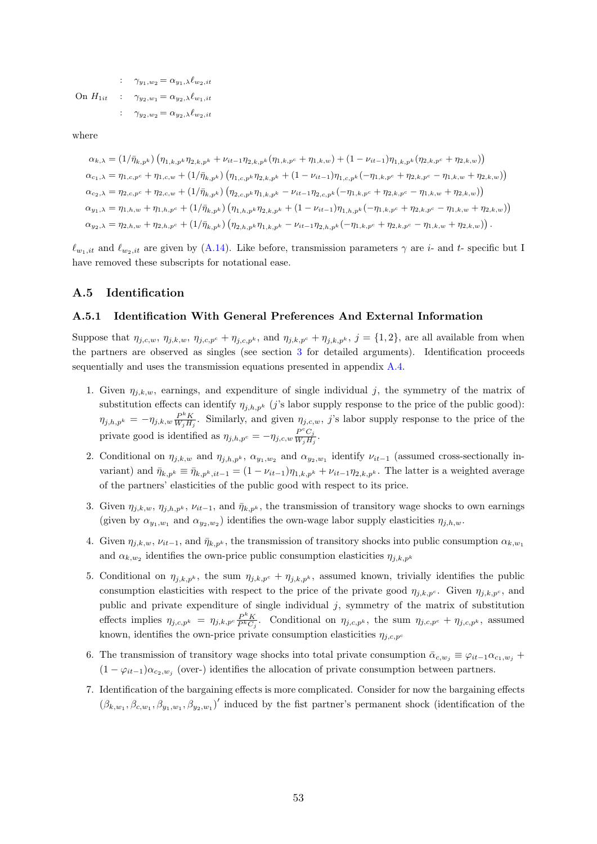:  $\gamma_{y_1,w_2} = \alpha_{y_1,\lambda} \ell_{w_2,it}$ On  $H_{1it}$  :  $\gamma_{y_2,w_1} = \alpha_{y_2,\lambda} \ell_{w_1,it}$ :  $\gamma_{y_2,w_2} = \alpha_{y_2,\lambda} \ell_{w_2,it}$ 

where

 $\alpha_{k,\lambda} = (1/\bar{\eta}_{k,p^k}) \left( \eta_{1,k,p^k} \eta_{2,k,p^k} + \nu_{it-1} \eta_{2,k,p^k} (\eta_{1,k,p^c} + \eta_{1,k,w}) + (1-\nu_{it-1}) \eta_{1,k,p^k} (\eta_{2,k,p^c} + \eta_{2,k,w}) \right)$  $\alpha_{c_1,\lambda} = \eta_{1,c,p^c} + \eta_{1,c,w} + (1/\bar{\eta}_{k,p^k}) \left( \eta_{1,c,p^k} \eta_{2,k,p^k} + (1 - \nu_{it-1}) \eta_{1,c,p^k} (-\eta_{1,k,p^c} + \eta_{2,k,p^c} - \eta_{1,k,w} + \eta_{2,k,w}) \right)$  $\alpha_{c_2,\lambda} = \eta_{2,c,p^c} + \eta_{2,c,w} + (1/\bar{\eta}_{k,p^k}) \left( \eta_{2,c,p^k} \eta_{1,k,p^k} - \nu_{it-1} \eta_{2,c,p^k} (-\eta_{1,k,p^c} + \eta_{2,k,p^c} - \eta_{1,k,w} + \eta_{2,k,w}) \right)$  $\alpha_{y_1,\lambda} = \eta_{1,h,w} + \eta_{1,h,p^c} + (1/\bar{\eta}_{k,p^k}) \left( \eta_{1,h,p^k} \eta_{2,k,p^k} + (1 - \nu_{it-1}) \eta_{1,h,p^k} (-\eta_{1,k,p^c} + \eta_{2,k,p^c} - \eta_{1,k,w} + \eta_{2,k,w}) \right)$  $\alpha_{y_2,\lambda} = \eta_{2,h,w} + \eta_{2,h,p^c} + (1/\bar{\eta}_{k,p^k}) \left( \eta_{2,h,p^k} \eta_{1,k,p^k} - \nu_{it-1} \eta_{2,h,p^k} (-\eta_{1,k,p^c} + \eta_{2,k,p^c} - \eta_{1,k,w} + \eta_{2,k,w}) \right).$ 

 $\ell_{w_1,it}$  and  $\ell_{w_2,it}$  are given by [\(A.14\)](#page-50-3). Like before, transmission parameters  $\gamma$  are i- and t- specific but I have removed these subscripts for notational ease.

#### A.5 Identification

#### <span id="page-52-0"></span>A.5.1 Identification With General Preferences And External Information

Suppose that  $\eta_{j,c,w}, \eta_{j,k,w}, \eta_{j,c,p^c} + \eta_{j,c,p^k}$ , and  $\eta_{j,k,p^c} + \eta_{j,k,p^k}$ ,  $j = \{1,2\}$ , are all available from when the partners are observed as singles (see section [3](#page-18-0) for detailed arguments). Identification proceeds sequentially and uses the transmission equations presented in appendix [A.4.](#page-50-0)

- 1. Given  $\eta_{ik,w}$ , earnings, and expenditure of single individual j, the symmetry of the matrix of substitution effects can identify  $\eta_{j,h,p^k}$  (j's labor supply response to the price of the public good):  $\eta_{j,h,p^k} = -\eta_{j,k,w} \frac{P^k K}{W_j H_j}$ . Similarly, and given  $\eta_{j,c,w}$ , j's labor supply response to the price of the private good is identified as  $\eta_{j,h,p^c} = -\eta_{j,c,w} \frac{P^c C_j}{W_c H}$  $W_jH_j$ .
- 2. Conditional on  $\eta_{j,k,w}$  and  $\eta_{j,h,p^k}$ ,  $\alpha_{y_1,w_2}$  and  $\alpha_{y_2,w_1}$  identify  $\nu_{it-1}$  (assumed cross-sectionally invariant) and  $\bar{\eta}_{k,p^k} \equiv \bar{\eta}_{k,p^k,i_{t-1}} = (1 - \nu_{it-1})\eta_{1,k,p^k} + \nu_{it-1}\eta_{2,k,p^k}$ . The latter is a weighted average of the partners' elasticities of the public good with respect to its price.
- 3. Given  $\eta_{j,k,w}, \eta_{j,h,p^k}, \nu_{it-1}$ , and  $\bar{\eta}_{k,p^k}$ , the transmission of transitory wage shocks to own earnings (given by  $\alpha_{y_1,w_1}$  and  $\alpha_{y_2,w_2}$ ) identifies the own-wage labor supply elasticities  $\eta_{j,h,w}$ .
- 4. Given  $\eta_{j,k,w}, \nu_{it-1}$ , and  $\bar{\eta}_{k,p^k}$ , the transmission of transitory shocks into public consumption  $\alpha_{k,w_1}$ and  $\alpha_{k,w_2}$  identifies the own-price public consumption elasticities  $\eta_{j,k,p^k}$
- 5. Conditional on  $\eta_{j,k,p^k}$ , the sum  $\eta_{j,k,p^c} + \eta_{j,k,p^k}$ , assumed known, trivially identifies the public consumption elasticities with respect to the price of the private good  $\eta_{i,k,p^c}$ . Given  $\eta_{i,k,p^c}$ , and public and private expenditure of single individual  $j$ , symmetry of the matrix of substitution effects implies  $\eta_{j,c,p^k} = \eta_{j,k,p^c} \frac{P^k K}{P^k C}$  $\frac{P_{\mu}^{K}K}{P_{\mu}C_{j}}$ . Conditional on  $\eta_{j,c,p^k}$ , the sum  $\eta_{j,c,p^c} + \eta_{j,c,p^k}$ , assumed known, identifies the own-price private consumption elasticities  $\eta_{j,c,p}$
- 6. The transmission of transitory wage shocks into total private consumption  $\bar{\alpha}_{c,w_j} \equiv \varphi_{it-1} \alpha_{c_1,w_j} +$  $(1 - \varphi_{it-1}) \alpha_{c_2,w_j}$  (over-) identifies the allocation of private consumption between partners.
- 7. Identification of the bargaining effects is more complicated. Consider for now the bargaining effects  $(\beta_{k,w_1},\beta_{c,w_1},\beta_{y_1,w_1},\beta_{y_2,w_1})'$  induced by the fist partner's permanent shock (identification of the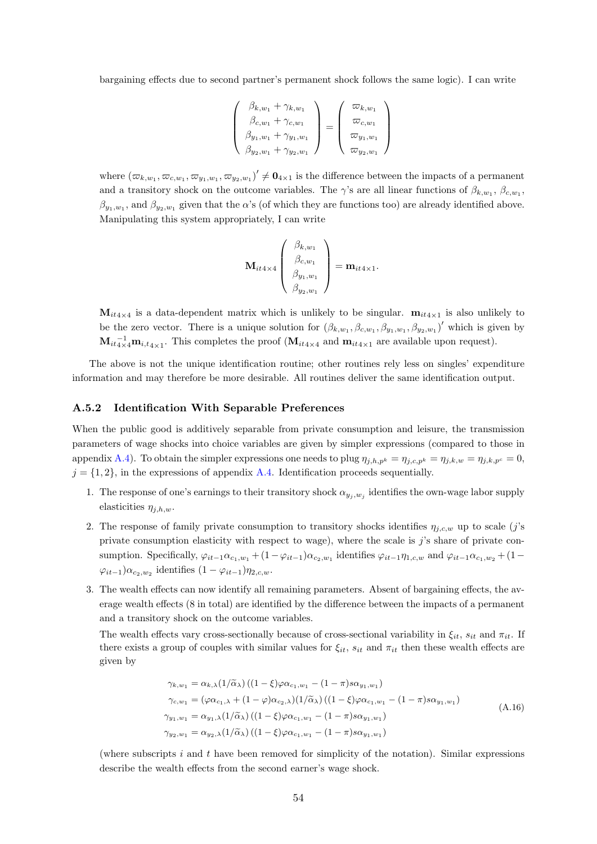bargaining effects due to second partner's permanent shock follows the same logic). I can write

$$
\begin{pmatrix}\n\beta_{k,w_1} + \gamma_{k,w_1} \\
\beta_{c,w_1} + \gamma_{c,w_1} \\
\beta_{y_1,w_1} + \gamma_{y_1,w_1} \\
\beta_{y_2,w_1} + \gamma_{y_2,w_1}\n\end{pmatrix} = \begin{pmatrix}\n\varpi_{k,w_1} \\
\varpi_{c,w_1} \\
\varpi_{y_1,w_1} \\
\varpi_{y_2,w_1}\n\end{pmatrix}
$$

where  $(\varpi_{k,w_1}, \varpi_{c,w_1}, \varpi_{y_1,w_1}, \varpi_{y_2,w_1})' \neq \mathbf{0}_{4\times 1}$  is the difference between the impacts of a permanent and a transitory shock on the outcome variables. The  $\gamma$ 's are all linear functions of  $\beta_{k,w_1}, \beta_{c,w_1}$ ,  $\beta_{y_1,w_1}$ , and  $\beta_{y_2,w_1}$  given that the  $\alpha$ 's (of which they are functions too) are already identified above. Manipulating this system appropriately, I can write

$$
\mathbf{M}_{it4\times 4}\left(\begin{array}{c}\beta_{k,w_1}\\ \beta_{c,w_1}\\ \beta_{y_1,w_1}\\ \beta_{y_2,w_1}\end{array}\right)=\mathbf{m}_{it4\times 1}.
$$

 $M_{it4\times4}$  is a data-dependent matrix which is unlikely to be singular.  $m_{it4\times1}$  is also unlikely to be the zero vector. There is a unique solution for  $(\beta_{k,w_1}, \beta_{c,w_1}, \beta_{y_1,w_1}, \beta_{y_2,w_1})'$  which is given by  $\mathbf{M}_{it4\times 4}^{-1}\mathbf{m}_{i,t4\times 1}$ . This completes the proof  $(\mathbf{M}_{it4\times 4}$  and  $\mathbf{m}_{it4\times 1}$  are available upon request).

The above is not the unique identification routine; other routines rely less on singles' expenditure information and may therefore be more desirable. All routines deliver the same identification output.

#### <span id="page-53-0"></span>A.5.2 Identification With Separable Preferences

When the public good is additively separable from private consumption and leisure, the transmission parameters of wage shocks into choice variables are given by simpler expressions (compared to those in appendix [A.4\)](#page-50-0). To obtain the simpler expressions one needs to plug  $\eta_{j,h,p^k} = \eta_{j,c,p^k} = \eta_{j,k,w} = \eta_{j,k,p^c} = 0$ ,  $j = \{1, 2\}$ , in the expressions of appendix [A.4.](#page-50-0) Identification proceeds sequentially.

- 1. The response of one's earnings to their transitory shock  $\alpha_{y_j, w_j}$  identifies the own-wage labor supply elasticities  $\eta_{j,h,w}$ .
- 2. The response of family private consumption to transitory shocks identifies  $\eta_{j,c,w}$  up to scale (j's private consumption elasticity with respect to wage), where the scale is j's share of private consumption. Specifically,  $\varphi_{it-1}\alpha_{c_1,w_1} + (1-\varphi_{it-1})\alpha_{c_2,w_1}$  identifies  $\varphi_{it-1}\eta_{1,c,w}$  and  $\varphi_{it-1}\alpha_{c_1,w_2} + (1-\varphi_{it-1})\alpha_{c_2,w_1}$  $\varphi_{it-1}$ ) $\alpha_{c_2,w_2}$  identifies  $(1 - \varphi_{it-1})\eta_{2,c,w}$ .
- 3. The wealth effects can now identify all remaining parameters. Absent of bargaining effects, the average wealth effects (8 in total) are identified by the difference between the impacts of a permanent and a transitory shock on the outcome variables.

The wealth effects vary cross-sectionally because of cross-sectional variability in  $\xi_{it}$ ,  $s_{it}$  and  $\pi_{it}$ . If there exists a group of couples with similar values for  $\xi_{it}$ ,  $s_{it}$  and  $\pi_{it}$  then these wealth effects are given by

<span id="page-53-1"></span>
$$
\gamma_{k,w_1} = \alpha_{k,\lambda} (1/\tilde{\alpha}_{\lambda}) ((1 - \xi)\varphi \alpha_{c_1,w_1} - (1 - \pi)s\alpha_{y_1,w_1})
$$
  
\n
$$
\gamma_{c,w_1} = (\varphi \alpha_{c_1,\lambda} + (1 - \varphi)\alpha_{c_2,\lambda}) (1/\tilde{\alpha}_{\lambda}) ((1 - \xi)\varphi \alpha_{c_1,w_1} - (1 - \pi)s\alpha_{y_1,w_1})
$$
  
\n
$$
\gamma_{y_1,w_1} = \alpha_{y_1,\lambda} (1/\tilde{\alpha}_{\lambda}) ((1 - \xi)\varphi \alpha_{c_1,w_1} - (1 - \pi)s\alpha_{y_1,w_1})
$$
  
\n
$$
\gamma_{y_2,w_1} = \alpha_{y_2,\lambda} (1/\tilde{\alpha}_{\lambda}) ((1 - \xi)\varphi \alpha_{c_1,w_1} - (1 - \pi)s\alpha_{y_1,w_1})
$$
\n(A.16)

(where subscripts  $i$  and  $t$  have been removed for simplicity of the notation). Similar expressions describe the wealth effects from the second earner's wage shock.